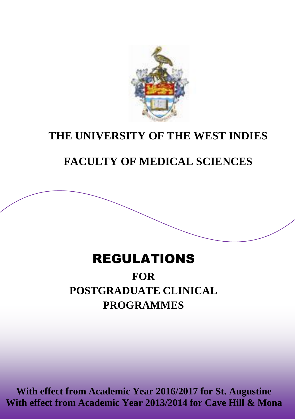

## **THE UNIVERSITY OF THE WEST INDIES**

## **FACULTY OF MEDICAL SCIENCES**

## REGULATIONS

# **PROGRAMMES FOR POSTGRADUATE CLINICAL**

**With effect from Academic Year 2016/2017 for St. Augustine With effect from Academic Year 2013/2014 for Cave Hill & Mona**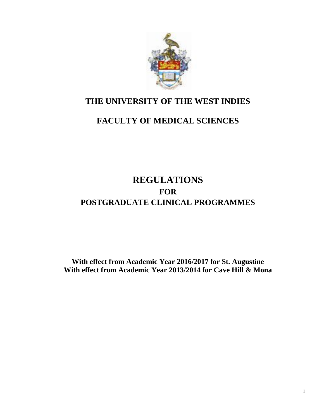

## **THE UNIVERSITY OF THE WEST INDIES**

# **FACULTY OF MEDICAL SCIENCES**

# **REGULATIONS FOR POSTGRADUATE CLINICAL PROGRAMMES**

**With effect from Academic Year 2016/2017 for St. Augustine With effect from Academic Year 2013/2014 for Cave Hill & Mona**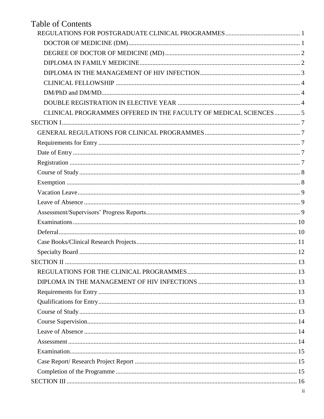# **Table of Contents**

| CLINICAL PROGRAMMES OFFERED IN THE FACULTY OF MEDICAL SCIENCES  5 |  |
|-------------------------------------------------------------------|--|
|                                                                   |  |
|                                                                   |  |
|                                                                   |  |
|                                                                   |  |
|                                                                   |  |
|                                                                   |  |
|                                                                   |  |
|                                                                   |  |
|                                                                   |  |
|                                                                   |  |
|                                                                   |  |
|                                                                   |  |
|                                                                   |  |
|                                                                   |  |
|                                                                   |  |
|                                                                   |  |
|                                                                   |  |
|                                                                   |  |
|                                                                   |  |
|                                                                   |  |
|                                                                   |  |
|                                                                   |  |
|                                                                   |  |
|                                                                   |  |
|                                                                   |  |
|                                                                   |  |
|                                                                   |  |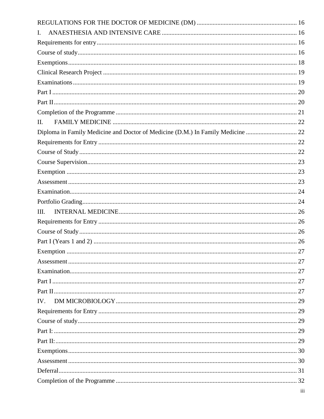| $\mathbf{I}$ .                                                                  |  |
|---------------------------------------------------------------------------------|--|
|                                                                                 |  |
|                                                                                 |  |
|                                                                                 |  |
|                                                                                 |  |
|                                                                                 |  |
|                                                                                 |  |
|                                                                                 |  |
|                                                                                 |  |
| $\Pi$ .                                                                         |  |
| Diploma in Family Medicine and Doctor of Medicine (D.M.) In Family Medicine  22 |  |
|                                                                                 |  |
|                                                                                 |  |
|                                                                                 |  |
|                                                                                 |  |
|                                                                                 |  |
|                                                                                 |  |
|                                                                                 |  |
| III.                                                                            |  |
|                                                                                 |  |
|                                                                                 |  |
|                                                                                 |  |
|                                                                                 |  |
|                                                                                 |  |
|                                                                                 |  |
|                                                                                 |  |
|                                                                                 |  |
| IV.                                                                             |  |
|                                                                                 |  |
|                                                                                 |  |
|                                                                                 |  |
|                                                                                 |  |
|                                                                                 |  |
|                                                                                 |  |
|                                                                                 |  |
|                                                                                 |  |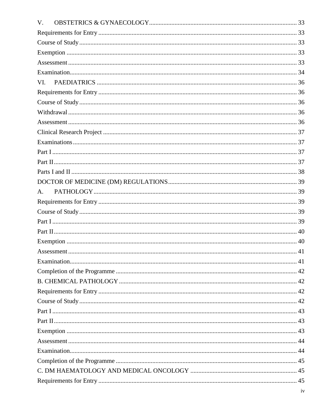| V.             |  |
|----------------|--|
|                |  |
|                |  |
|                |  |
|                |  |
|                |  |
| VI.            |  |
|                |  |
|                |  |
|                |  |
|                |  |
|                |  |
|                |  |
|                |  |
|                |  |
|                |  |
|                |  |
| A <sub>1</sub> |  |
|                |  |
|                |  |
|                |  |
|                |  |
|                |  |
|                |  |
|                |  |
|                |  |
|                |  |
|                |  |
|                |  |
|                |  |
|                |  |
|                |  |
|                |  |
|                |  |
|                |  |
|                |  |
|                |  |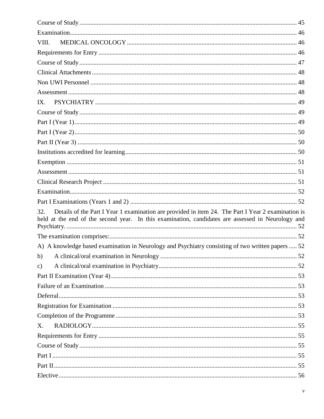| VIII.                                                                                                                                                                                                          |  |
|----------------------------------------------------------------------------------------------------------------------------------------------------------------------------------------------------------------|--|
|                                                                                                                                                                                                                |  |
|                                                                                                                                                                                                                |  |
|                                                                                                                                                                                                                |  |
|                                                                                                                                                                                                                |  |
|                                                                                                                                                                                                                |  |
| IX.                                                                                                                                                                                                            |  |
|                                                                                                                                                                                                                |  |
|                                                                                                                                                                                                                |  |
|                                                                                                                                                                                                                |  |
|                                                                                                                                                                                                                |  |
|                                                                                                                                                                                                                |  |
|                                                                                                                                                                                                                |  |
|                                                                                                                                                                                                                |  |
|                                                                                                                                                                                                                |  |
|                                                                                                                                                                                                                |  |
|                                                                                                                                                                                                                |  |
| Details of the Part I Year 1 examination are provided in item 24. The Part I Year 2 examination is<br>32.<br>held at the end of the second year. In this examination, candidates are assessed in Neurology and |  |
|                                                                                                                                                                                                                |  |
| A) A knowledge based examination in Neurology and Psychiatry consisting of two written papers  52                                                                                                              |  |
|                                                                                                                                                                                                                |  |
| $\mathbf{c})$                                                                                                                                                                                                  |  |
|                                                                                                                                                                                                                |  |
|                                                                                                                                                                                                                |  |
|                                                                                                                                                                                                                |  |
|                                                                                                                                                                                                                |  |
|                                                                                                                                                                                                                |  |
| X.                                                                                                                                                                                                             |  |
|                                                                                                                                                                                                                |  |
|                                                                                                                                                                                                                |  |
|                                                                                                                                                                                                                |  |
|                                                                                                                                                                                                                |  |
|                                                                                                                                                                                                                |  |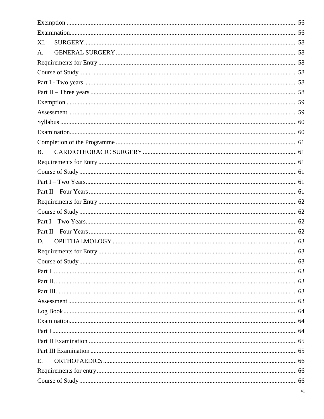| XI.       |  |
|-----------|--|
| A.        |  |
|           |  |
|           |  |
|           |  |
|           |  |
|           |  |
|           |  |
|           |  |
|           |  |
|           |  |
| <b>B.</b> |  |
|           |  |
|           |  |
|           |  |
|           |  |
|           |  |
|           |  |
|           |  |
|           |  |
| D.        |  |
|           |  |
|           |  |
|           |  |
|           |  |
|           |  |
|           |  |
|           |  |
|           |  |
|           |  |
|           |  |
|           |  |
| E.        |  |
|           |  |
|           |  |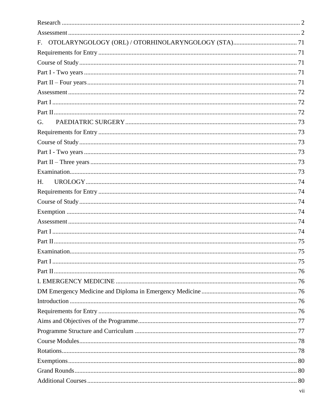| G. |  |
|----|--|
|    |  |
|    |  |
|    |  |
|    |  |
|    |  |
| H. |  |
|    |  |
|    |  |
|    |  |
|    |  |
|    |  |
|    |  |
|    |  |
|    |  |
|    |  |
|    |  |
|    |  |
|    |  |
|    |  |
|    |  |
|    |  |
|    |  |
|    |  |
|    |  |
|    |  |
|    |  |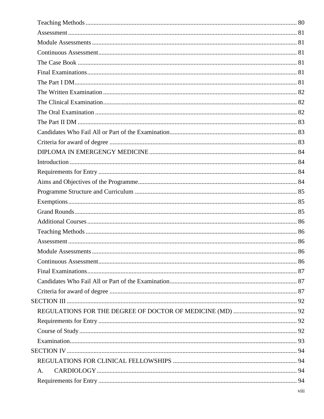| A. |  |
|----|--|
|    |  |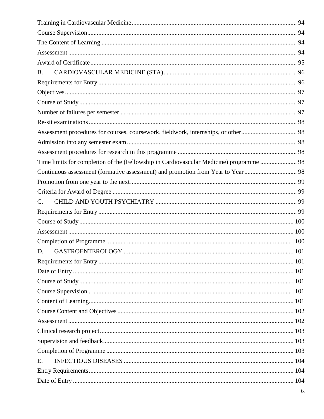| B.                                                                                      |  |
|-----------------------------------------------------------------------------------------|--|
|                                                                                         |  |
|                                                                                         |  |
|                                                                                         |  |
|                                                                                         |  |
|                                                                                         |  |
|                                                                                         |  |
|                                                                                         |  |
|                                                                                         |  |
| Time limits for completion of the (Fellowship in Cardiovascular Medicine) programme  98 |  |
|                                                                                         |  |
|                                                                                         |  |
|                                                                                         |  |
| $\mathbf{C}$ .                                                                          |  |
|                                                                                         |  |
|                                                                                         |  |
|                                                                                         |  |
|                                                                                         |  |
| D.                                                                                      |  |
|                                                                                         |  |
|                                                                                         |  |
|                                                                                         |  |
|                                                                                         |  |
|                                                                                         |  |
|                                                                                         |  |
|                                                                                         |  |
|                                                                                         |  |
|                                                                                         |  |
|                                                                                         |  |
| E.                                                                                      |  |
|                                                                                         |  |
|                                                                                         |  |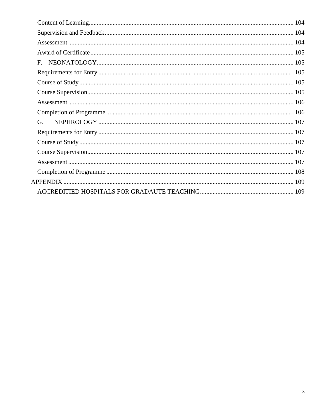| G. |  |  |
|----|--|--|
|    |  |  |
|    |  |  |
|    |  |  |
|    |  |  |
|    |  |  |
|    |  |  |
|    |  |  |
|    |  |  |
|    |  |  |
|    |  |  |
|    |  |  |
|    |  |  |
|    |  |  |
|    |  |  |
|    |  |  |
|    |  |  |
|    |  |  |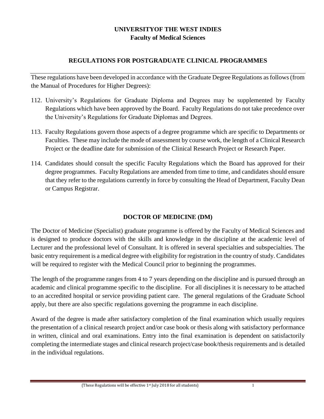## **UNIVERSITYOF THE WEST INDIES Faculty of Medical Sciences**

## **REGULATIONS FOR POSTGRADUATE CLINICAL PROGRAMMES**

<span id="page-11-0"></span>These regulations have been developed in accordance with the Graduate Degree Regulations as follows (from the Manual of Procedures for Higher Degrees):

- 112. University's Regulations for Graduate Diploma and Degrees may be supplemented by Faculty Regulations which have been approved by the Board. Faculty Regulations do not take precedence over the University's Regulations for Graduate Diplomas and Degrees.
- 113. Faculty Regulations govern those aspects of a degree programme which are specific to Departments or Faculties. These may include the mode of assessment by course work, the length of a Clinical Research Project or the deadline date for submission of the Clinical Research Project or Research Paper.
- 114. Candidates should consult the specific Faculty Regulations which the Board has approved for their degree programmes. Faculty Regulations are amended from time to time, and candidates should ensure that they refer to the regulations currently in force by consulting the Head of Department, Faculty Dean or Campus Registrar.

## **DOCTOR OF MEDICINE (DM)**

<span id="page-11-1"></span>The Doctor of Medicine (Specialist) graduate programme is offered by the Faculty of Medical Sciences and is designed to produce doctors with the skills and knowledge in the discipline at the academic level of Lecturer and the professional level of Consultant. It is offered in several specialties and subspecialties. The basic entry requirement is a medical degree with eligibility for registration in the country of study. Candidates will be required to register with the Medical Council prior to beginning the programmes.

The length of the programme ranges from 4 to 7 years depending on the discipline and is pursued through an academic and clinical programme specific to the discipline. For all disciplines it is necessary to be attached to an accredited hospital or service providing patient care. The general regulations of the Graduate School apply, but there are also specific regulations governing the programme in each discipline.

Award of the degree is made after satisfactory completion of the final examination which usually requires the presentation of a clinical research project and/or case book or thesis along with satisfactory performance in written, clinical and oral examinations. Entry into the final examination is dependent on satisfactorily completing the intermediate stages and clinical research project/case book/thesis requirements and is detailed in the individual regulations.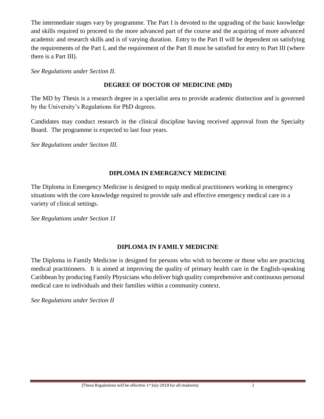The intermediate stages vary by programme. The Part I is devoted to the upgrading of the basic knowledge and skills required to proceed to the more advanced part of the course and the acquiring of more advanced academic and research skills and is of varying duration. Entry to the Part II will be dependent on satisfying the requirements of the Part I, and the requirement of the Part II must be satisfied for entry to Part III (where there is a Part III).

<span id="page-12-0"></span>*See Regulations under Section II.*

## **DEGREE OF DOCTOR OF MEDICINE (MD)**

The MD by Thesis is a research degree in a specialist area to provide academic distinction and is governed by the University's Regulations for PhD degrees.

Candidates may conduct research in the clinical discipline having received approval from the Specialty Board. The programme is expected to last four years.

*See Regulations under Section III.*

## **DIPLOMA IN EMERGENCY MEDICINE**

The Diploma in Emergency Medicine is designed to equip medical practitioners working in emergency situations with the core knowledge required to provide safe and effective emergency medical care in a variety of clinical settings.

*See Regulations under Section 1I*

## **DIPLOMA IN FAMILY MEDICINE**

<span id="page-12-1"></span>The Diploma in Family Medicine is designed for persons who wish to become or those who are practicing medical practitioners. It is aimed at improving the quality of primary health care in the English-speaking Caribbean by producing Family Physicians who deliver high quality comprehensive and continuous personal medical care to individuals and their families within a community context.

*See Regulations under Section II*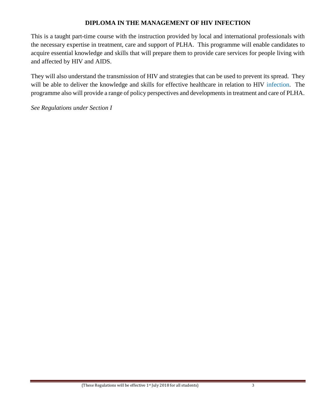## **DIPLOMA IN THE MANAGEMENT OF HIV INFECTION**

<span id="page-13-0"></span>This is a taught part-time course with the instruction provided by local and international professionals with the necessary expertise in treatment, care and support of PLHA. This programme will enable candidates to acquire essential knowledge and skills that will prepare them to provide care services for people living with and affected by HIV and AIDS.

They will also understand the transmission of HIV and strategies that can be used to prevent its spread. They will be able to deliver the knowledge and skills for effective healthcare in relation to HIV infection. The programme also will provide a range of policy perspectives and developments in treatment and care of PLHA.

*See Regulations under Section I*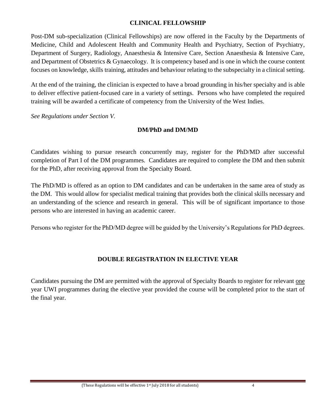## **CLINICAL FELLOWSHIP**

<span id="page-14-0"></span>Post-DM sub-specialization (Clinical Fellowships) are now offered in the Faculty by the Departments of Medicine, Child and Adolescent Health and Community Health and Psychiatry, Section of Psychiatry, Department of Surgery, Radiology, Anaesthesia & Intensive Care, Section Anaesthesia & Intensive Care, and Department of Obstetrics & Gynaecology. It is competency based and is one in which the course content focuses on knowledge, skills training, attitudes and behaviour relating to the subspecialty in a clinical setting.

At the end of the training, the clinician is expected to have a broad grounding in his/her specialty and is able to deliver effective patient-focused care in a variety of settings. Persons who have completed the required training will be awarded a certificate of competency from the University of the West Indies.

<span id="page-14-1"></span>*See Regulations under Section V.* 

## **DM/PhD and DM/MD**

Candidates wishing to pursue research concurrently may, register for the PhD/MD after successful completion of Part I of the DM programmes. Candidates are required to complete the DM and then submit for the PhD, after receiving approval from the Specialty Board.

The PhD/MD is offered as an option to DM candidates and can be undertaken in the same area of study as the DM. This would allow for specialist medical training that provides both the clinical skills necessary and an understanding of the science and research in general. This will be of significant importance to those persons who are interested in having an academic career.

Persons who register for the PhD/MD degree will be guided by the University's Regulations for PhD degrees.

## **DOUBLE REGISTRATION IN ELECTIVE YEAR**

<span id="page-14-2"></span>Candidates pursuing the DM are permitted with the approval of Specialty Boards to register for relevant one year UWI programmes during the elective year provided the course will be completed prior to the start of the final year.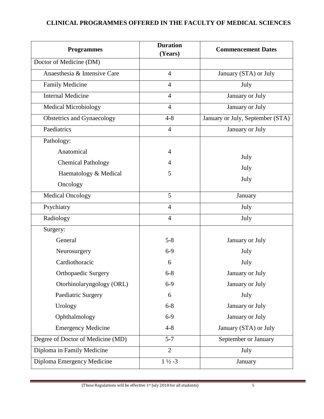## <span id="page-15-0"></span>**CLINICAL PROGRAMMES OFFERED IN THE FACULTY OF MEDICAL SCIENCES**

| <b>Programmes</b>                 | <b>Duration</b><br>(Years) | <b>Commencement Dates</b>        |
|-----------------------------------|----------------------------|----------------------------------|
| Doctor of Medicine (DM)           |                            |                                  |
| Anaesthesia & Intensive Care      | $\overline{4}$             | January (STA) or July            |
| Family Medicine                   | $\overline{4}$             | July                             |
| <b>Internal Medicine</b>          | $\overline{4}$             | January or July                  |
| <b>Medical Microbiology</b>       | $\overline{4}$             | January or July                  |
| <b>Obstetrics and Gynaecology</b> | $4 - 8$                    | January or July, September (STA) |
| Paediatrics                       | $\overline{4}$             | January or July                  |
| Pathology:                        |                            |                                  |
| Anatomical                        | $\overline{4}$             | July                             |
| <b>Chemical Pathology</b>         | 4                          | July                             |
| Haematology & Medical             | 5                          | July                             |
| Oncology                          |                            |                                  |
| <b>Medical Oncology</b>           | 5                          | January                          |
| Psychiatry                        | $\overline{4}$             | July                             |
| Radiology                         | $\overline{4}$             | July                             |
| Surgery:                          |                            |                                  |
| General                           | $5 - 8$                    | January or July                  |
| Neurosurgery                      | $6-9$                      | July                             |
| Cardiothoracic                    | 6                          | July                             |
| <b>Orthopaedic Surgery</b>        | $6 - 8$                    | January or July                  |
| Otorhinolaryngology (ORL)         | $6-9$                      | January or July                  |
| Paediatric Surgery                | 6                          | July                             |
| Urology                           | $6 - 8$                    | January or July                  |
| Ophthalmology                     | $6-9$                      | January or July                  |
| <b>Emergency Medicine</b>         | $4 - 8$                    | January (STA) or July            |
| Degree of Doctor of Medicine (MD) | $5 - 7$                    | September or January             |
| Diploma in Family Medicine        | $\overline{2}$             | July                             |
| Diploma Emergency Medicine        | $1\frac{1}{2} - 3$         | January                          |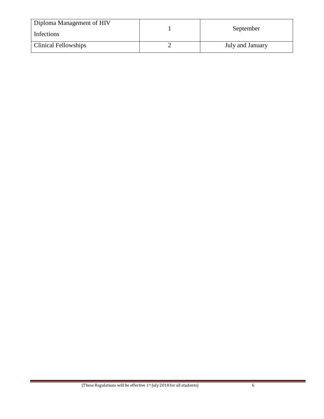| Diploma Management of HIV<br>Infections | September        |
|-----------------------------------------|------------------|
| <b>Clinical Fellowships</b>             | July and January |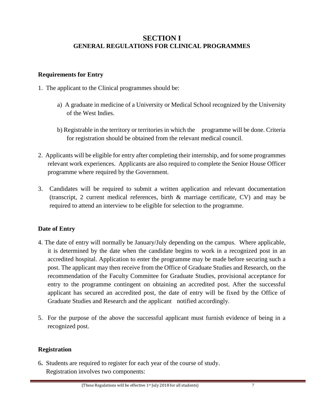## <span id="page-17-0"></span>**SECTION I GENERAL REGULATIONS FOR CLINICAL PROGRAMMES**

## <span id="page-17-2"></span><span id="page-17-1"></span>**Requirements for Entry**

- 1. The applicant to the Clinical programmes should be:
	- a) A graduate in medicine of a University or Medical School recognized by the University of the West Indies.
	- b) Registrable in the territory or territories in which the programme will be done. Criteria for registration should be obtained from the relevant medical council.
- 2. Applicants will be eligible for entry after completing their internship, and for some programmes relevant work experiences. Applicants are also required to complete the Senior House Officer programme where required by the Government.
- 3. Candidates will be required to submit a written application and relevant documentation (transcript, 2 current medical references, birth & marriage certificate, CV) and may be required to attend an interview to be eligible for selection to the programme.

## <span id="page-17-3"></span>**Date of Entry**

- 4. The date of entry will normally be January/July depending on the campus. Where applicable, it is determined by the date when the candidate begins to work in a recognized post in an accredited hospital. Application to enter the programme may be made before securing such a post. The applicant may then receive from the Office of Graduate Studies and Research, on the recommendation of the Faculty Committee for Graduate Studies, provisional acceptance for entry to the programme contingent on obtaining an accredited post. After the successful applicant has secured an accredited post, the date of entry will be fixed by the Office of Graduate Studies and Research and the applicant notified accordingly.
- 5. For the purpose of the above the successful applicant must furnish evidence of being in a recognized post.

#### <span id="page-17-4"></span>**Registration**

6**.** Students are required to register for each year of the course of study. Registration involves two components: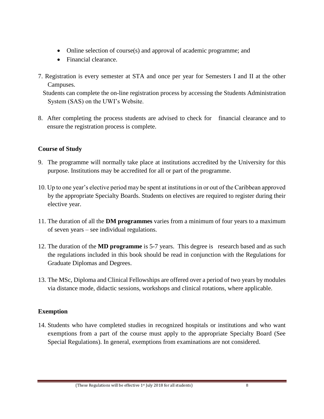- Online selection of course(s) and approval of academic programme; and
- Financial clearance.
- 7. Registration is every semester at STA and once per year for Semesters I and II at the other Campuses.

 Students can complete the on-line registration process by accessing the Students Administration System (SAS) on the UWI's Website.

8. After completing the process students are advised to check for financial clearance and to ensure the registration process is complete.

## <span id="page-18-0"></span>**Course of Study**

- 9. The programme will normally take place at institutions accredited by the University for this purpose. Institutions may be accredited for all or part of the programme.
- 10. Up to one year's elective period may be spent at institutions in or out of the Caribbean approved by the appropriate Specialty Boards. Students on electives are required to register during their elective year.
- 11. The duration of all the **DM programmes** varies from a minimum of four years to a maximum of seven years – see individual regulations.
- 12. The duration of the **MD programme** is 5-7 years. This degree is research based and as such the regulations included in this book should be read in conjunction with the Regulations for Graduate Diplomas and Degrees.
- 13. The MSc, Diploma and Clinical Fellowships are offered over a period of two years by modules via distance mode, didactic sessions, workshops and clinical rotations, where applicable.

## <span id="page-18-1"></span>**Exemption**

14. Students who have completed studies in recognized hospitals or institutions and who want exemptions from a part of the course must apply to the appropriate Specialty Board (See Special Regulations). In general, exemptions from examinations are not considered.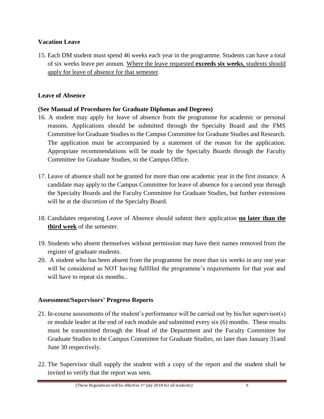## <span id="page-19-0"></span>**Vacation Leave**

15. Each DM student must spend 46 weeks each year in the programme. Students can have a total of six weeks leave per annum. Where the leave requested **exceeds six weeks**, students should apply for leave of absence for that semester.

## <span id="page-19-1"></span>**Leave of Absence**

## **(See Manual of Procedures for Graduate Diplomas and Degrees)**

- 16. A student may apply for leave of absence from the programme for academic or personal reasons. Applications should be submitted through the Specialty Board and the FMS Committee for Graduate Studies to the Campus Committee for Graduate Studies and Research. The application must be accompanied by a statement of the reason for the application. Appropriate recommendations will be made by the Specialty Boards through the Faculty Committee for Graduate Studies, to the Campus Office.
- 17. Leave of absence shall not be granted for more than one academic year in the first instance. A candidate may apply to the Campus Committee for leave of absence for a second year through the Specialty Boards and the Faculty Committee for Graduate Studies, but further extensions will be at the discretion of the Specialty Board.
- 18. Candidates requesting Leave of Absence should submit their application **no later than the third week** of the semester.
- 19. Students who absent themselves without permission may have their names removed from the register of graduate students.
- 20. A student who has been absent from the programme for more than six weeks in any one year will be considered as NOT having fulfilled the programme's requirements for that year and will have to repeat six months...

#### <span id="page-19-2"></span>**Assessment/Supervisors' Progress Reports**

- 21. In-course assessments of the student's performance will be carried out by his/her supervisor(s) or module leader at the end of each module and submitted every six (6) months. These results must be transmitted through the Head of the Department and the Faculty Committee for Graduate Studies to the Campus Committee for Graduate Studies, no later than January 31and June 30 respectively.
- 22. The Supervisor shall supply the student with a copy of the report and the student shall be invited to verify that the report was seen.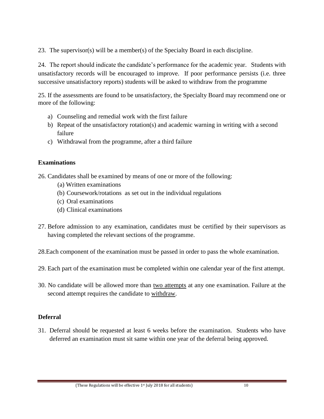23. The supervisor(s) will be a member(s) of the Specialty Board in each discipline.

24. The report should indicate the candidate's performance for the academic year. Students with unsatisfactory records will be encouraged to improve. If poor performance persists (i.e. three successive unsatisfactory reports) students will be asked to withdraw from the programme

25. If the assessments are found to be unsatisfactory, the Specialty Board may recommend one or more of the following:

- a) Counseling and remedial work with the first failure
- b) Repeat of the unsatisfactory rotation(s) and academic warning in writing with a second failure
- c) Withdrawal from the programme, after a third failure

#### <span id="page-20-0"></span>**Examinations**

26. Candidates shall be examined by means of one or more of the following:

- (a) Written examinations
- (b) Coursework/rotations as set out in the individual regulations
- (c) Oral examinations
- (d) Clinical examinations
- 27. Before admission to any examination, candidates must be certified by their supervisors as having completed the relevant sections of the programme.

28.Each component of the examination must be passed in order to pass the whole examination.

- 29. Each part of the examination must be completed within one calendar year of the first attempt.
- 30. No candidate will be allowed more than two attempts at any one examination. Failure at the second attempt requires the candidate to withdraw.

## <span id="page-20-1"></span>**Deferral**

31. Deferral should be requested at least 6 weeks before the examination. Students who have deferred an examination must sit same within one year of the deferral being approved.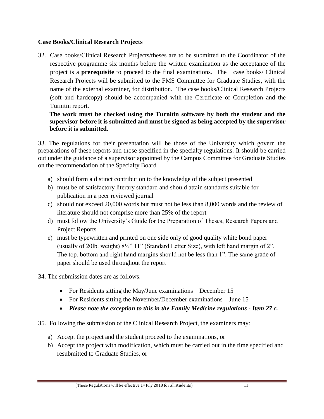## <span id="page-21-0"></span>**Case Books/Clinical Research Projects**

32. Case books/Clinical Research Projects/theses are to be submitted to the Coordinator of the respective programme six months before the written examination as the acceptance of the project is a **prerequisite** to proceed to the final examinations. The case books/ Clinical Research Projects will be submitted to the FMS Committee for Graduate Studies, with the name of the external examiner, for distribution. The case books/Clinical Research Projects (soft and hardcopy) should be accompanied with the Certificate of Completion and the Turnitin report.

**The work must be checked using the Turnitin software by both the student and the supervisor before it is submitted and must be signed as being accepted by the supervisor before it is submitted.** 

33. The regulations for their presentation will be those of the University which govern the preparations of these reports and those specified in the specialty regulations. It should be carried out under the guidance of a supervisor appointed by the Campus Committee for Graduate Studies on the recommendation of the Specialty Board

- a) should form a distinct contribution to the knowledge of the subject presented
- b) must be of satisfactory literary standard and should attain standards suitable for publication in a peer reviewed journal
- c) should not exceed 20,000 words but must not be less than 8,000 words and the review of literature should not comprise more than 25% of the report
- d) must follow the University's Guide for the Preparation of Theses, Research Papers and Project Reports
- e) must be typewritten and printed on one side only of good quality white bond paper (usually of 20lb. weight) 8½" 11" (Standard Letter Size), with left hand margin of 2". The top, bottom and right hand margins should not be less than 1". The same grade of paper should be used throughout the report
- 34. The submission dates are as follows:
	- For Residents sitting the May/June examinations December 15
	- For Residents sitting the November/December examinations June 15
	- *Please note the exception to this in the Family Medicine regulations - Item 27 c.*
- 35. Following the submission of the Clinical Research Project, the examiners may:
	- a) Accept the project and the student proceed to the examinations, or
	- b) Accept the project with modification, which must be carried out in the time specified and resubmitted to Graduate Studies, or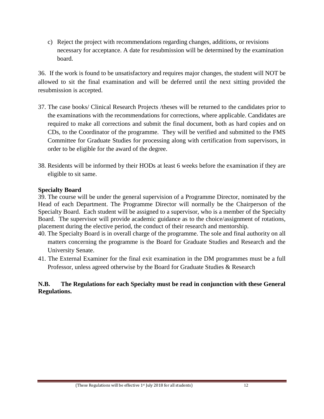c) Reject the project with recommendations regarding changes, additions, or revisions necessary for acceptance. A date for resubmission will be determined by the examination board.

36. If the work is found to be unsatisfactory and requires major changes, the student will NOT be allowed to sit the final examination and will be deferred until the next sitting provided the resubmission is accepted.

- 37. The case books/ Clinical Research Projects /theses will be returned to the candidates prior to the examinations with the recommendations for corrections, where applicable. Candidates are required to make all corrections and submit the final document, both as hard copies and on CDs, to the Coordinator of the programme. They will be verified and submitted to the FMS Committee for Graduate Studies for processing along with certification from supervisors, in order to be eligible for the award of the degree.
- 38. Residents will be informed by their HODs at least 6 weeks before the examination if they are eligible to sit same.

#### <span id="page-22-0"></span>**Specialty Board**

39. The course will be under the general supervision of a Programme Director, nominated by the Head of each Department. The Programme Director will normally be the Chairperson of the Specialty Board. Each student will be assigned to a supervisor, who is a member of the Specialty Board. The supervisor will provide academic guidance as to the choice/assignment of rotations, placement during the elective period, the conduct of their research and mentorship.

- 40. The Specialty Board is in overall charge of the programme. The sole and final authority on all matters concerning the programme is the Board for Graduate Studies and Research and the University Senate.
- 41. The External Examiner for the final exit examination in the DM programmes must be a full Professor, unless agreed otherwise by the Board for Graduate Studies & Research

## **N.B. The Regulations for each Specialty must be read in conjunction with these General Regulations.**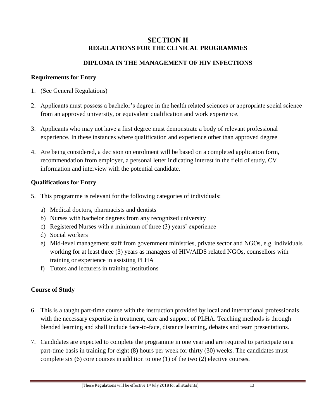## **SECTION II REGULATIONS FOR THE CLINICAL PROGRAMMES**

## **DIPLOMA IN THE MANAGEMENT OF HIV INFECTIONS**

## <span id="page-23-3"></span><span id="page-23-2"></span><span id="page-23-1"></span><span id="page-23-0"></span>**Requirements for Entry**

- 1. (See General Regulations)
- 2. Applicants must possess a bachelor's degree in the health related sciences or appropriate social science from an approved university, or equivalent qualification and work experience.
- 3. Applicants who may not have a first degree must demonstrate a body of relevant professional experience. In these instances where qualification and experience other than approved degree
- 4. Are being considered, a decision on enrolment will be based on a completed application form, recommendation from employer, a personal letter indicating interest in the field of study, CV information and interview with the potential candidate.

## <span id="page-23-4"></span>**Qualifications for Entry**

- 5. This programme is relevant for the following categories of individuals:
	- a) Medical doctors, pharmacists and dentists
	- b) Nurses with bachelor degrees from any recognized university
	- c) Registered Nurses with a minimum of three (3) years' experience
	- d) Social workers
	- e) Mid-level management staff from government ministries, private sector and NGOs, e.g. individuals working for at least three (3) years as managers of HIV/AIDS related NGOs, counsellors with training or experience in assisting PLHA
	- f) Tutors and lecturers in training institutions

## <span id="page-23-5"></span>**Course of Study**

- 6. This is a taught part-time course with the instruction provided by local and international professionals with the necessary expertise in treatment, care and support of PLHA. Teaching methods is through blended learning and shall include face-to-face, distance learning, debates and team presentations.
- 7. Candidates are expected to complete the programme in one year and are required to participate on a part-time basis in training for eight (8) hours per week for thirty (30) weeks. The candidates must complete six (6) core courses in addition to one (1) of the two (2) elective courses.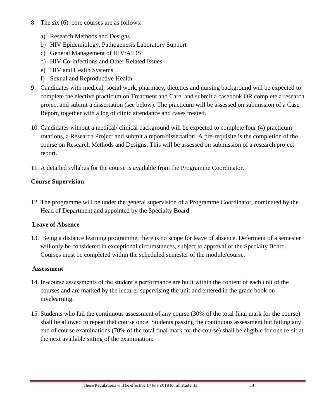- 8. The six (6) core courses are as follows:
	- a) Research Methods and Designs
	- b) HIV Epidemiology, Pathogenesis Laboratory Support
	- c) General Management of HIV/AIDS
	- d) HIV Co-infections and Other Related Issues
	- e) HIV and Health Systems
	- f) Sexual and Reproductive Health
- 9. Candidates with medical, social work, pharmacy, dietetics and nursing background will be expected to complete the elective practicum on Treatment and Care, and submit a casebook OR complete a research project and submit a dissertation (see below). The practicum will be assessed on submission of a Case Report, together with a log of clinic attendance and cases treated.
- 10. Candidates without a medical/ clinical background will be expected to complete four (4) practicum rotations, a Research Project and submit a report/dissertation. A pre-requisite is the completion of the course on Research Methods and Designs. This will be assessed on submission of a research project report.
- 11. A detailed syllabus for the course is available from the Programme Coordinator.

## <span id="page-24-0"></span>**Course Supervision**

12. The programme will be under the general supervision of a Programme Coordinator, nominated by the Head of Department and appointed by the Specialty Board.

## <span id="page-24-1"></span>**Leave of Absence**

13. Being a distance learning programme, there is no scope for leave of absence. Deferment of a semester will only be considered in exceptional circumstances, subject to approval of the Specialty Board. Courses must be completed within the scheduled semester of the module/course.

## <span id="page-24-2"></span>**Assessment**

- 14. In-course assessments of the student's performance are built within the content of each unit of the courses and are marked by the lecturer supervising the unit and entered in the grade book on myelearning.
- 15. Students who fail the continuous assessment of any course (30% of the total final mark for the course) shall be allowed to repeat that course once. Students passing the continuous assessment but failing any end of course examinations (70% of the total final mark for the course) shall be eligible for one re-sit at the next available sitting of the examination.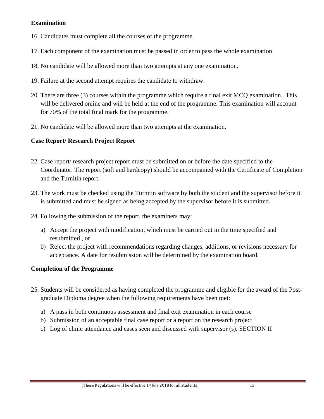## <span id="page-25-0"></span>**Examination**

- 16. Candidates must complete all the courses of the programme.
- 17. Each component of the examination must be passed in order to pass the whole examination
- 18. No candidate will be allowed more than two attempts at any one examination.
- 19. Failure at the second attempt requires the candidate to withdraw.
- 20. There are three (3) courses within the programme which require a final exit MCQ examination. This will be delivered online and will be held at the end of the programme. This examination will account for 70% of the total final mark for the programme.
- 21. No candidate will be allowed more than two attempts at the examination.

## <span id="page-25-1"></span>**Case Report/ Research Project Report**

- 22. Case report/ research project report must be submitted on or before the date specified to the Coordinator. The report (soft and hardcopy) should be accompanied with the Certificate of Completion and the Turnitin report.
- 23. The work must be checked using the Turnitin software by both the student and the supervisor before it is submitted and must be signed as being accepted by the supervisor before it is submitted.
- 24. Following the submission of the report, the examiners may:
	- a) Accept the project with modification, which must be carried out in the time specified and resubmitted , or
	- b) Reject the project with recommendations regarding changes, additions, or revisions necessary for acceptance. A date for resubmission will be determined by the examination board.

## <span id="page-25-2"></span>**Completion of the Programme**

- 25. Students will be considered as having completed the programme and eligible for the award of the Postgraduate Diploma degree when the following requirements have been met:
	- a) A pass in both continuous assessment and final exit examination in each course
	- b) Submission of an acceptable final case report or a report on the research project
	- c) Log of clinic attendance and cases seen and discussed with supervisor (s). SECTION II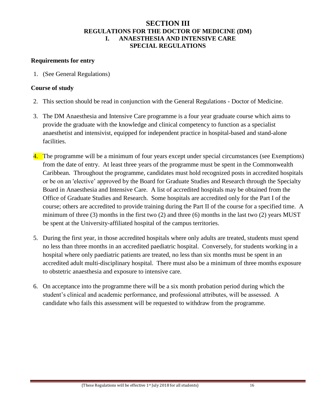### **SECTION III REGULATIONS FOR THE DOCTOR OF MEDICINE (DM) I. ANAESTHESIA AND INTENSIVE CARE SPECIAL REGULATIONS**

#### <span id="page-26-3"></span><span id="page-26-2"></span><span id="page-26-1"></span><span id="page-26-0"></span>**Requirements for entry**

1. (See General Regulations)

#### <span id="page-26-4"></span>**Course of study**

- 2. This section should be read in conjunction with the General Regulations Doctor of Medicine.
- 3. The DM Anaesthesia and Intensive Care programme is a four year graduate course which aims to provide the graduate with the knowledge and clinical competency to function as a specialist anaesthetist and intensivist, equipped for independent practice in hospital-based and stand-alone facilities.
- 4. The programme will be a minimum of four years except under special circumstances (see Exemptions) from the date of entry. At least three years of the programme must be spent in the Commonwealth Caribbean. Throughout the programme, candidates must hold recognized posts in accredited hospitals or be on an 'elective' approved by the Board for Graduate Studies and Research through the Specialty Board in Anaesthesia and Intensive Care. A list of accredited hospitals may be obtained from the Office of Graduate Studies and Research. Some hospitals are accredited only for the Part I of the course; others are accredited to provide training during the Part II of the course for a specified time. A minimum of three  $(3)$  months in the first two  $(2)$  and three  $(6)$  months in the last two  $(2)$  years MUST be spent at the University-affiliated hospital of the campus territories.
- 5. During the first year, in those accredited hospitals where only adults are treated, students must spend no less than three months in an accredited paediatric hospital. Conversely, for students working in a hospital where only paediatric patients are treated, no less than six months must be spent in an accredited adult multi-disciplinary hospital. There must also be a minimum of three months exposure to obstetric anaesthesia and exposure to intensive care.
- 6. On acceptance into the programme there will be a six month probation period during which the student's clinical and academic performance, and professional attributes, will be assessed. A candidate who fails this assessment will be requested to withdraw from the programme.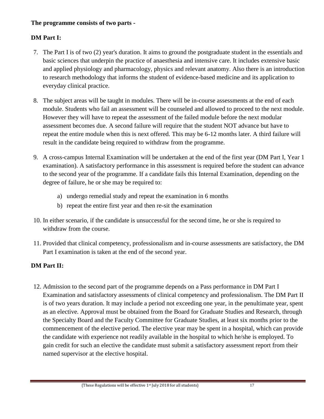## **The programme consists of two parts -**

## **DM Part I:**

- 7. The Part I is of two (2) year's duration. It aims to ground the postgraduate student in the essentials and basic sciences that underpin the practice of anaesthesia and intensive care. It includes extensive basic and applied physiology and pharmacology, physics and relevant anatomy. Also there is an introduction to research methodology that informs the student of evidence-based medicine and its application to everyday clinical practice.
- 8. The subject areas will be taught in modules. There will be in-course assessments at the end of each module. Students who fail an assessment will be counseled and allowed to proceed to the next module. However they will have to repeat the assessment of the failed module before the next modular assessment becomes due. A second failure will require that the student NOT advance but have to repeat the entire module when this is next offered. This may be 6-12 months later. A third failure will result in the candidate being required to withdraw from the programme.
- 9. A cross-campus Internal Examination will be undertaken at the end of the first year (DM Part I, Year 1 examination). A satisfactory performance in this assessment is required before the student can advance to the second year of the programme. If a candidate fails this Internal Examination, depending on the degree of failure, he or she may be required to:
	- a) undergo remedial study and repeat the examination in 6 months
	- b) repeat the entire first year and then re-sit the examination
- 10. In either scenario, if the candidate is unsuccessful for the second time, he or she is required to withdraw from the course.
- 11. Provided that clinical competency, professionalism and in-course assessments are satisfactory, the DM Part I examination is taken at the end of the second year.

## **DM Part II:**

12. Admission to the second part of the programme depends on a Pass performance in DM Part I Examination and satisfactory assessments of clinical competency and professionalism. The DM Part II is of two years duration. It may include a period not exceeding one year, in the penultimate year, spent as an elective. Approval must be obtained from the Board for Graduate Studies and Research, through the Specialty Board and the Faculty Committee for Graduate Studies, at least six months prior to the commencement of the elective period. The elective year may be spent in a hospital, which can provide the candidate with experience not readily available in the hospital to which he/she is employed. To gain credit for such an elective the candidate must submit a satisfactory assessment report from their named supervisor at the elective hospital.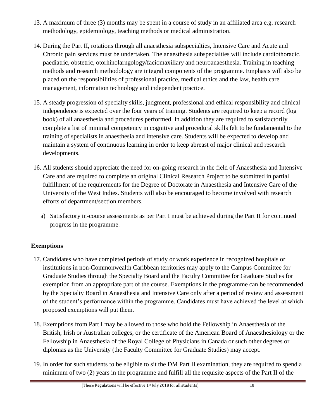- 13. A maximum of three (3) months may be spent in a course of study in an affiliated area e.g. research methodology, epidemiology, teaching methods or medical administration.
- 14. During the Part II, rotations through all anaesthesia subspecialties, Intensive Care and Acute and Chronic pain services must be undertaken. The anaesthesia subspecialties will include cardiothoracic, paediatric, obstetric, otorhinolarngology/faciomaxillary and neuroanaesthesia. Training in teaching methods and research methodology are integral components of the programme. Emphasis will also be placed on the responsibilities of professional practice, medical ethics and the law, health care management, information technology and independent practice.
- 15. A steady progression of specialty skills, judgment, professional and ethical responsibility and clinical independence is expected over the four years of training. Students are required to keep a record (log book) of all anaesthesia and procedures performed. In addition they are required to satisfactorily complete a list of minimal competency in cognitive and procedural skills felt to be fundamental to the training of specialists in anaesthesia and intensive care. Students will be expected to develop and maintain a system of continuous learning in order to keep abreast of major clinical and research developments.
- 16. All students should appreciate the need for on-going research in the field of Anaesthesia and Intensive Care and are required to complete an original Clinical Research Project to be submitted in partial fulfillment of the requirements for the Degree of Doctorate in Anaesthesia and Intensive Care of the University of the West Indies. Students will also be encouraged to become involved with research efforts of department/section members.
	- a) Satisfactory in-course assessments as per Part I must be achieved during the Part II for continued progress in the programme.

## <span id="page-28-0"></span>**Exemptions**

- 17. Candidates who have completed periods of study or work experience in recognized hospitals or institutions in non-Commonwealth Caribbean territories may apply to the Campus Committee for Graduate Studies through the Specialty Board and the Faculty Committee for Graduate Studies for exemption from an appropriate part of the course. Exemptions in the programme can be recommended by the Specialty Board in Anaesthesia and Intensive Care only after a period of review and assessment of the student's performance within the programme. Candidates must have achieved the level at which proposed exemptions will put them.
- 18. Exemptions from Part I may be allowed to those who hold the Fellowship in Anaesthesia of the British, Irish or Australian colleges, or the certificate of the American Board of Anaesthesiology or the Fellowship in Anaesthesia of the Royal College of Physicians in Canada or such other degrees or diplomas as the University (the Faculty Committee for Graduate Studies) may accept.
- 19. In order for such students to be eligible to sit the DM Part II examination, they are required to spend a minimum of two (2) years in the programme and fulfill all the requisite aspects of the Part II of the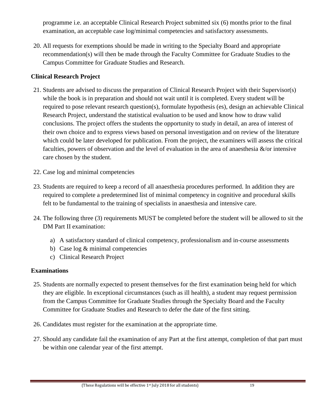programme i.e. an acceptable Clinical Research Project submitted six (6) months prior to the final examination, an acceptable case log/minimal competencies and satisfactory assessments.

20. All requests for exemptions should be made in writing to the Specialty Board and appropriate recommendation(s) will then be made through the Faculty Committee for Graduate Studies to the Campus Committee for Graduate Studies and Research.

## <span id="page-29-0"></span>**Clinical Research Project**

- 21. Students are advised to discuss the preparation of Clinical Research Project with their Supervisor(s) while the book is in preparation and should not wait until it is completed. Every student will be required to pose relevant research question(s), formulate hypothesis (es), design an achievable Clinical Research Project, understand the statistical evaluation to be used and know how to draw valid conclusions. The project offers the students the opportunity to study in detail, an area of interest of their own choice and to express views based on personal investigation and on review of the literature which could be later developed for publication. From the project, the examiners will assess the critical faculties, powers of observation and the level of evaluation in the area of anaesthesia  $\&$ /or intensive care chosen by the student.
- 22. Case log and minimal competencies
- 23. Students are required to keep a record of all anaesthesia procedures performed. In addition they are required to complete a predetermined list of minimal competency in cognitive and procedural skills felt to be fundamental to the training of specialists in anaesthesia and intensive care.
- 24. The following three (3) requirements MUST be completed before the student will be allowed to sit the DM Part II examination:
	- a) A satisfactory standard of clinical competency, professionalism and in-course assessments
	- b) Case log & minimal competencies
	- c) Clinical Research Project

## <span id="page-29-1"></span>**Examinations**

- 25. Students are normally expected to present themselves for the first examination being held for which they are eligible. In exceptional circumstances (such as ill health), a student may request permission from the Campus Committee for Graduate Studies through the Specialty Board and the Faculty Committee for Graduate Studies and Research to defer the date of the first sitting.
- 26. Candidates must register for the examination at the appropriate time.
- 27. Should any candidate fail the examination of any Part at the first attempt, completion of that part must be within one calendar year of the first attempt.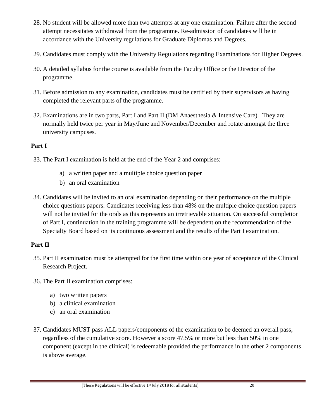- 28. No student will be allowed more than two attempts at any one examination. Failure after the second attempt necessitates withdrawal from the programme. Re-admission of candidates will be in accordance with the University regulations for Graduate Diplomas and Degrees.
- 29. Candidates must comply with the University Regulations regarding Examinations for Higher Degrees.
- 30. A detailed syllabus for the course is available from the Faculty Office or the Director of the programme.
- 31. Before admission to any examination, candidates must be certified by their supervisors as having completed the relevant parts of the programme.
- 32. Examinations are in two parts, Part I and Part II (DM Anaesthesia & Intensive Care). They are normally held twice per year in May/June and November/December and rotate amongst the three university campuses.

## <span id="page-30-0"></span>**Part I**

- 33. The Part I examination is held at the end of the Year 2 and comprises:
	- a) a written paper and a multiple choice question paper
	- b) an oral examination
- 34. Candidates will be invited to an oral examination depending on their performance on the multiple choice questions papers. Candidates receiving less than 48% on the multiple choice question papers will not be invited for the orals as this represents an irretrievable situation. On successful completion of Part I, continuation in the training programme will be dependent on the recommendation of the Specialty Board based on its continuous assessment and the results of the Part I examination.

## <span id="page-30-1"></span>**Part II**

- 35. Part II examination must be attempted for the first time within one year of acceptance of the Clinical Research Project.
- 36. The Part II examination comprises:
	- a) two written papers
	- b) a clinical examination
	- c) an oral examination
- 37. Candidates MUST pass ALL papers/components of the examination to be deemed an overall pass, regardless of the cumulative score. However a score 47.5% or more but less than 50% in one component (except in the clinical) is redeemable provided the performance in the other 2 components is above average.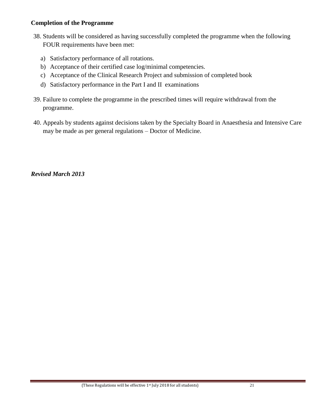#### <span id="page-31-0"></span>**Completion of the Programme**

- 38. Students will be considered as having successfully completed the programme when the following FOUR requirements have been met:
	- a) Satisfactory performance of all rotations.
	- b) Acceptance of their certified case log/minimal competencies.
	- c) Acceptance of the Clinical Research Project and submission of completed book
	- d) Satisfactory performance in the Part I and II examinations
- 39. Failure to complete the programme in the prescribed times will require withdrawal from the programme.
- 40. Appeals by students against decisions taken by the Specialty Board in Anaesthesia and Intensive Care may be made as per general regulations – Doctor of Medicine.

*Revised March 2013*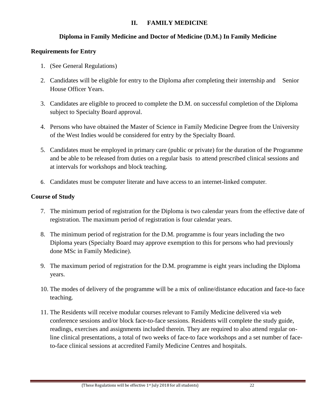## **II. FAMILY MEDICINE**

## **Diploma in Family Medicine and Doctor of Medicine (D.M.) In Family Medicine**

## <span id="page-32-2"></span><span id="page-32-1"></span><span id="page-32-0"></span>**Requirements for Entry**

- 1. (See General Regulations)
- 2. Candidates will be eligible for entry to the Diploma after completing their internship and Senior House Officer Years.
- 3. Candidates are eligible to proceed to complete the D.M. on successful completion of the Diploma subject to Specialty Board approval.
- 4. Persons who have obtained the Master of Science in Family Medicine Degree from the University of the West Indies would be considered for entry by the Specialty Board.
- 5. Candidates must be employed in primary care (public or private) for the duration of the Programme and be able to be released from duties on a regular basis to attend prescribed clinical sessions and at intervals for workshops and block teaching.
- 6. Candidates must be computer literate and have access to an internet-linked computer.

## <span id="page-32-3"></span>**Course of Study**

- 7. The minimum period of registration for the Diploma is two calendar years from the effective date of registration. The maximum period of registration is four calendar years.
- 8. The minimum period of registration for the D.M. programme is four years including the two Diploma years (Specialty Board may approve exemption to this for persons who had previously done MSc in Family Medicine).
- 9. The maximum period of registration for the D.M. programme is eight years including the Diploma years.
- 10. The modes of delivery of the programme will be a mix of online/distance education and face-to face teaching.
- 11. The Residents will receive modular courses relevant to Family Medicine delivered via web conference sessions and/or block face-to-face sessions. Residents will complete the study guide, readings, exercises and assignments included therein. They are required to also attend regular online clinical presentations, a total of two weeks of face-to face workshops and a set number of faceto-face clinical sessions at accredited Family Medicine Centres and hospitals.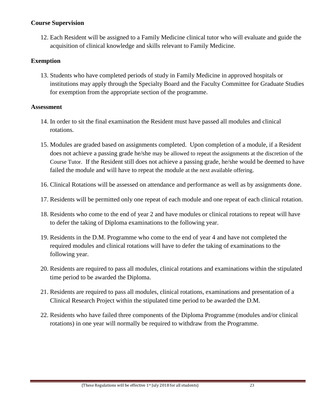#### <span id="page-33-0"></span>**Course Supervision**

12. Each Resident will be assigned to a Family Medicine clinical tutor who will evaluate and guide the acquisition of clinical knowledge and skills relevant to Family Medicine.

## <span id="page-33-1"></span>**Exemption**

13. Students who have completed periods of study in Family Medicine in approved hospitals or institutions may apply through the Specialty Board and the Faculty Committee for Graduate Studies for exemption from the appropriate section of the programme.

## <span id="page-33-2"></span>**Assessment**

- 14. In order to sit the final examination the Resident must have passed all modules and clinical rotations.
- 15. Modules are graded based on assignments completed. Upon completion of a module, if a Resident does not achieve a passing grade he/she may be allowed to repeat the assignments at the discretion of the Course Tutor. If the Resident still does not achieve a passing grade, he/she would be deemed to have failed the module and will have to repeat the module at the next available offering.
- 16. Clinical Rotations will be assessed on attendance and performance as well as by assignments done.
- 17. Residents will be permitted only one repeat of each module and one repeat of each clinical rotation.
- 18. Residents who come to the end of year 2 and have modules or clinical rotations to repeat will have to defer the taking of Diploma examinations to the following year.
- 19. Residents in the D.M. Programme who come to the end of year 4 and have not completed the required modules and clinical rotations will have to defer the taking of examinations to the following year.
- 20. Residents are required to pass all modules, clinical rotations and examinations within the stipulated time period to be awarded the Diploma.
- 21. Residents are required to pass all modules, clinical rotations, examinations and presentation of a Clinical Research Project within the stipulated time period to be awarded the D.M.
- 22. Residents who have failed three components of the Diploma Programme (modules and/or clinical rotations) in one year will normally be required to withdraw from the Programme.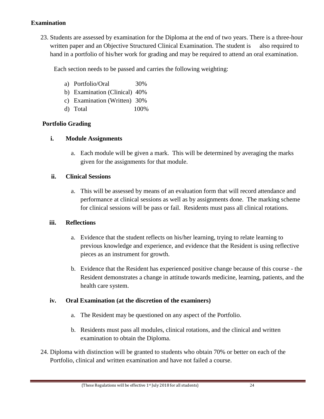## <span id="page-34-0"></span>**Examination**

23. Students are assessed by examination for the Diploma at the end of two years. There is a three-hour written paper and an Objective Structured Clinical Examination. The student is also required to hand in a portfolio of his/her work for grading and may be required to attend an oral examination.

Each section needs to be passed and carries the following weighting:

- a) Portfolio/Oral 30%
- b) Examination (Clinical) 40%
- c) Examination (Written) 30%
- d) Total 100%

## <span id="page-34-1"></span>**Portfolio Grading**

## **i. Module Assignments**

a. Each module will be given a mark. This will be determined by averaging the marks given for the assignments for that module.

## **ii. Clinical Sessions**

a. This will be assessed by means of an evaluation form that will record attendance and performance at clinical sessions as well as by assignments done. The marking scheme for clinical sessions will be pass or fail. Residents must pass all clinical rotations.

## **iii. Reflections**

- a. Evidence that the student reflects on his/her learning, trying to relate learning to previous knowledge and experience, and evidence that the Resident is using reflective pieces as an instrument for growth.
- b. Evidence that the Resident has experienced positive change because of this course the Resident demonstrates a change in attitude towards medicine, learning, patients, and the health care system.

#### **iv. Oral Examination (at the discretion of the examiners)**

- a. The Resident may be questioned on any aspect of the Portfolio.
- b. Residents must pass all modules, clinical rotations, and the clinical and written examination to obtain the Diploma.
- 24. Diploma with distinction will be granted to students who obtain 70% or better on each of the Portfolio, clinical and written examination and have not failed a course.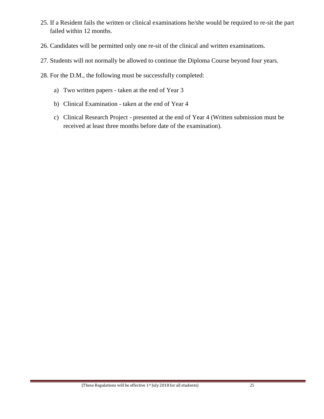- 25. If a Resident fails the written or clinical examinations he/she would be required to re-sit the part failed within 12 months.
- 26. Candidates will be permitted only one re-sit of the clinical and written examinations.
- 27. Students will not normally be allowed to continue the Diploma Course beyond four years.
- 28. For the D.M., the following must be successfully completed:
	- a) Two written papers taken at the end of Year 3
	- b) Clinical Examination taken at the end of Year 4
	- c) Clinical Research Project presented at the end of Year 4 (Written submission must be received at least three months before date of the examination).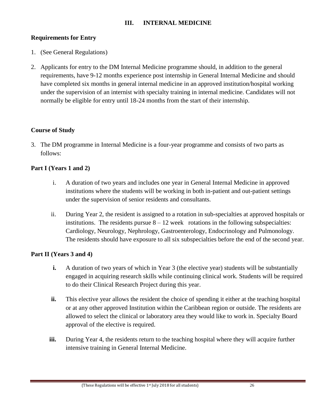# **Requirements for Entry**

- 1. (See General Regulations)
- 2. Applicants for entry to the DM Internal Medicine programme should, in addition to the general requirements, have 9-12 months experience post internship in General Internal Medicine and should have completed six months in general internal medicine in an approved institution/hospital working under the supervision of an internist with specialty training in internal medicine. Candidates will not normally be eligible for entry until 18-24 months from the start of their internship.

# **Course of Study**

3. The DM programme in Internal Medicine is a four-year programme and consists of two parts as follows:

# **Part I (Years 1 and 2)**

- i. A duration of two years and includes one year in General Internal Medicine in approved institutions where the students will be working in both in-patient and out-patient settings under the supervision of senior residents and consultants.
- ii. During Year 2, the resident is assigned to a rotation in sub-specialties at approved hospitals or institutions. The residents pursue  $8 - 12$  week rotations in the following subspecialties: Cardiology, Neurology, Nephrology, Gastroenterology, Endocrinology and Pulmonology. The residents should have exposure to all six subspecialties before the end of the second year.

## **Part II (Years 3 and 4)**

- **i.** A duration of two years of which in Year 3 (the elective year) students will be substantially engaged in acquiring research skills while continuing clinical work. Students will be required to do their Clinical Research Project during this year.
- **ii.** This elective year allows the resident the choice of spending it either at the teaching hospital or at any other approved Institution within the Caribbean region or outside. The residents are allowed to select the clinical or laboratory area they would like to work in. Specialty Board approval of the elective is required.
- **iii.** During Year 4, the residents return to the teaching hospital where they will acquire further intensive training in General Internal Medicine.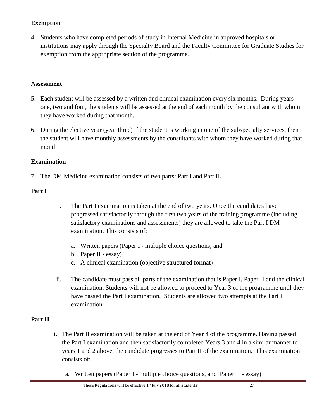# **Exemption**

4. Students who have completed periods of study in Internal Medicine in approved hospitals or institutions may apply through the Specialty Board and the Faculty Committee for Graduate Studies for exemption from the appropriate section of the programme.

### **Assessment**

- 5. Each student will be assessed by a written and clinical examination every six months. During years one, two and four, the students will be assessed at the end of each month by the consultant with whom they have worked during that month.
- 6. During the elective year (year three) if the student is working in one of the subspecialty services, then the student will have monthly assessments by the consultants with whom they have worked during that month

## **Examination**

7. The DM Medicine examination consists of two parts: Part I and Part II.

## **Part I**

- i. The Part I examination is taken at the end of two years. Once the candidates have progressed satisfactorily through the first two years of the training programme (including satisfactory examinations and assessments) they are allowed to take the Part I DM examination. This consists of:
	- a. Written papers (Paper I multiple choice questions, and
	- b. Paper II essay)
	- c. A clinical examination (objective structured format)
- ii. The candidate must pass all parts of the examination that is Paper I, Paper II and the clinical examination. Students will not be allowed to proceed to Year 3 of the programme until they have passed the Part I examination. Students are allowed two attempts at the Part I examination.

### **Part II**

- i. The Part II examination will be taken at the end of Year 4 of the programme. Having passed the Part I examination and then satisfactorily completed Years 3 and 4 in a similar manner to years 1 and 2 above, the candidate progresses to Part II of the examination. This examination consists of:
	- a. Written papers (Paper I multiple choice questions, and Paper II essay)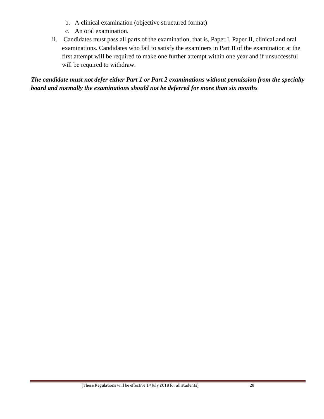- b. A clinical examination (objective structured format)
- c. An oral examination.
- ii. Candidates must pass all parts of the examination, that is, Paper I, Paper II, clinical and oral examinations. Candidates who fail to satisfy the examiners in Part II of the examination at the first attempt will be required to make one further attempt within one year and if unsuccessful will be required to withdraw.

*The candidate must not defer either Part 1 or Part 2 examinations without permission from the specialty board and normally the examinations should not be deferred for more than six months*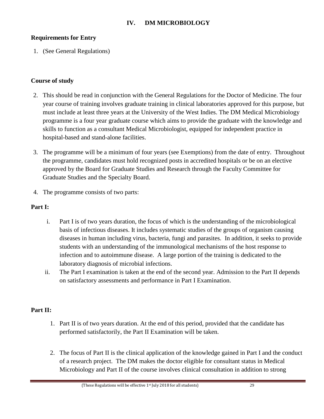### **Requirements for Entry**

1. (See General Regulations)

### **Course of study**

- 2. This should be read in conjunction with the General Regulations for the Doctor of Medicine. The four year course of training involves graduate training in clinical laboratories approved for this purpose, but must include at least three years at the University of the West Indies. The DM Medical Microbiology programme is a four year graduate course which aims to provide the graduate with the knowledge and skills to function as a consultant Medical Microbiologist, equipped for independent practice in hospital-based and stand-alone facilities.
- 3. The programme will be a minimum of four years (see Exemptions) from the date of entry. Throughout the programme, candidates must hold recognized posts in accredited hospitals or be on an elective approved by the Board for Graduate Studies and Research through the Faculty Committee for Graduate Studies and the Specialty Board.
- 4. The programme consists of two parts:

### **Part I:**

- i. Part I is of two years duration, the focus of which is the understanding of the microbiological basis of infectious diseases. It includes systematic studies of the groups of organism causing diseases in human including virus, bacteria, fungi and parasites. In addition, it seeks to provide students with an understanding of the immunological mechanisms of the host response to infection and to autoimmune disease. A large portion of the training is dedicated to the laboratory diagnosis of microbial infections.
- ii. The Part I examination is taken at the end of the second year. Admission to the Part II depends on satisfactory assessments and performance in Part I Examination.

## **Part II:**

- 1. Part II is of two years duration. At the end of this period, provided that the candidate has performed satisfactorily, the Part II Examination will be taken.
- 2. The focus of Part II is the clinical application of the knowledge gained in Part I and the conduct of a research project. The DM makes the doctor eligible for consultant status in Medical Microbiology and Part II of the course involves clinical consultation in addition to strong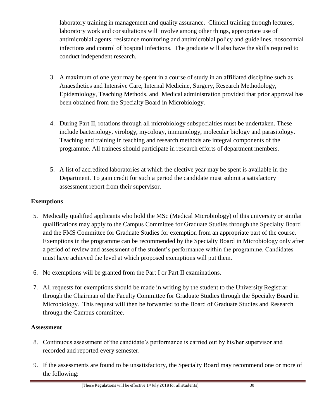laboratory training in management and quality assurance. Clinical training through lectures, laboratory work and consultations will involve among other things, appropriate use of antimicrobial agents, resistance monitoring and antimicrobial policy and guidelines, nosocomial infections and control of hospital infections. The graduate will also have the skills required to conduct independent research.

- 3. A maximum of one year may be spent in a course of study in an affiliated discipline such as Anaesthetics and Intensive Care, Internal Medicine, Surgery, Research Methodology, Epidemiology, Teaching Methods, and Medical administration provided that prior approval has been obtained from the Specialty Board in Microbiology.
- 4. During Part II, rotations through all microbiology subspecialties must be undertaken. These include bacteriology, virology, mycology, immunology, molecular biology and parasitology. Teaching and training in teaching and research methods are integral components of the programme. All trainees should participate in research efforts of department members.
- 5. A list of accredited laboratories at which the elective year may be spent is available in the Department. To gain credit for such a period the candidate must submit a satisfactory assessment report from their supervisor.

# **Exemptions**

- 5. Medically qualified applicants who hold the MSc (Medical Microbiology) of this university or similar qualifications may apply to the Campus Committee for Graduate Studies through the Specialty Board and the FMS Committee for Graduate Studies for exemption from an appropriate part of the course. Exemptions in the programme can be recommended by the Specialty Board in Microbiology only after a period of review and assessment of the student's performance within the programme. Candidates must have achieved the level at which proposed exemptions will put them.
- 6. No exemptions will be granted from the Part I or Part II examinations.
- 7. All requests for exemptions should be made in writing by the student to the University Registrar through the Chairman of the Faculty Committee for Graduate Studies through the Specialty Board in Microbiology. This request will then be forwarded to the Board of Graduate Studies and Research through the Campus committee.

# **Assessment**

- 8. Continuous assessment of the candidate's performance is carried out by his/her supervisor and recorded and reported every semester.
- 9. If the assessments are found to be unsatisfactory, the Specialty Board may recommend one or more of the following: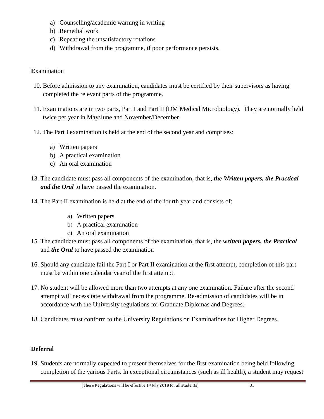- a) Counselling/academic warning in writing
- b) Remedial work
- c) Repeating the unsatisfactory rotations
- d) Withdrawal from the programme, if poor performance persists.

### **E**xamination

- 10. Before admission to any examination, candidates must be certified by their supervisors as having completed the relevant parts of the programme.
- 11. Examinations are in two parts, Part I and Part II (DM Medical Microbiology). They are normally held twice per year in May/June and November/December.
- 12. The Part I examination is held at the end of the second year and comprises:
	- a) Written papers
	- b) A practical examination
	- c) An oral examination
- 13. The candidate must pass all components of the examination, that is, *the Written papers, the Practical and the Oral* to have passed the examination.
- 14. The Part II examination is held at the end of the fourth year and consists of:
	- a) Written papers
	- b) A practical examination
	- c) An oral examination
- 15. The candidate must pass all components of the examination, that is, the *written papers, the Practical*  and *the Oral* to have passed the examination
- 16. Should any candidate fail the Part I or Part II examination at the first attempt, completion of this part must be within one calendar year of the first attempt.
- 17. No student will be allowed more than two attempts at any one examination. Failure after the second attempt will necessitate withdrawal from the programme. Re-admission of candidates will be in accordance with the University regulations for Graduate Diplomas and Degrees.
- 18. Candidates must conform to the University Regulations on Examinations for Higher Degrees.

## **Deferral**

19. Students are normally expected to present themselves for the first examination being held following completion of the various Parts. In exceptional circumstances (such as ill health), a student may request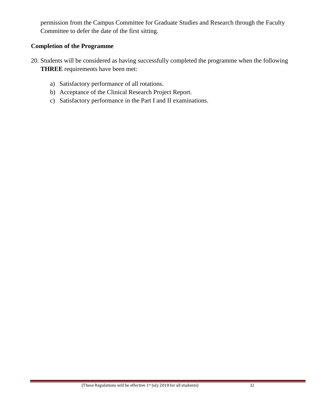permission from the Campus Committee for Graduate Studies and Research through the Faculty Committee to defer the date of the first sitting.

### **Completion of the Programme**

- 20. Students will be considered as having successfully completed the programme when the following **THREE** requirements have been met:
	- a) Satisfactory performance of all rotations.
	- b) Acceptance of the Clinical Research Project Report.
	- c) Satisfactory performance in the Part I and II examinations.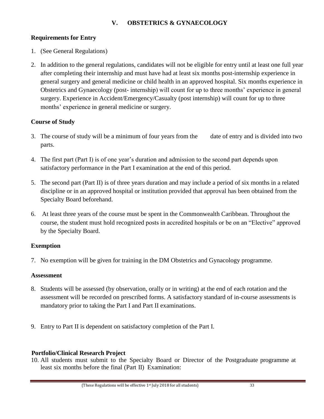### **V. OBSTETRICS & GYNAECOLOGY**

### **Requirements for Entry**

- 1. (See General Regulations)
- 2. In addition to the general regulations, candidates will not be eligible for entry until at least one full year after completing their internship and must have had at least six months post-internship experience in general surgery and general medicine or child health in an approved hospital. Six months experience in Obstetrics and Gynaecology (post- internship) will count for up to three months' experience in general surgery. Experience in Accident/Emergency/Casualty (post internship) will count for up to three months' experience in general medicine or surgery.

### **Course of Study**

- 3. The course of study will be a minimum of four years from the date of entry and is divided into two parts.
- 4. The first part (Part I) is of one year's duration and admission to the second part depends upon satisfactory performance in the Part I examination at the end of this period.
- 5. The second part (Part II) is of three years duration and may include a period of six months in a related discipline or in an approved hospital or institution provided that approval has been obtained from the Specialty Board beforehand.
- 6. At least three years of the course must be spent in the Commonwealth Caribbean. Throughout the course, the student must hold recognized posts in accredited hospitals or be on an "Elective" approved by the Specialty Board.

### **Exemption**

7. No exemption will be given for training in the DM Obstetrics and Gynacology programme.

### **Assessment**

- 8. Students will be assessed (by observation, orally or in writing) at the end of each rotation and the assessment will be recorded on prescribed forms. A satisfactory standard of in-course assessments is mandatory prior to taking the Part I and Part II examinations.
- 9. Entry to Part II is dependent on satisfactory completion of the Part I.

### **Portfolio/Clinical Research Project**

10. All students must submit to the Specialty Board or Director of the Postgraduate programme at least six months before the final (Part II) Examination: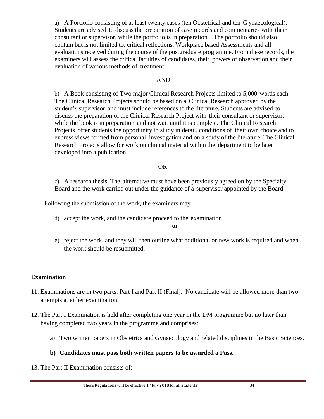a) A Portfolio consisting of at least twenty cases (ten Obstetrical and ten G ynaecological). Students are advised to discuss the preparation of case records and commentaries with their consultant or supervisor, while the portfolio is in preparation. The portfolio should also contain but is not limited to, critical reflections, Workplace based Assessments and all evaluations received during the course of the postgraduate programme. From these records, the examiners will assess the critical faculties of candidates, their powers of observation and their evaluation of various methods of treatment.

### AND

b) A Book consisting of Two major Clinical Research Projects limited to 5,000 words each. The Clinical Research Projects should be based on a Clinical Research approved by the student's supervisor and must include references to the literature. Students are advised to discuss the preparation of the Clinical Research Project with their consultant or supervisor, while the book is in preparation and not wait until it is complete. The Clinical Research Projects offer students the opportunity to study in detail, conditions of their own choice and to express views formed from personal investigation and on a study of the literature. The Clinical Research Projects allow for work on clinical material within the department to be later developed into a publication.

#### OR

c) A research thesis. The alternative must have been previously agreed on by the Specialty Board and the work carried out under the guidance of a supervisor appointed by the Board.

Following the submission of the work, the examiners may

d) accept the work, and the candidate proceed to the examination

#### **or**

e) reject the work, and they will then outline what additional or new work is required and when the work should be resubmitted.

### **Examination**

- 11. Examinations are in two parts: Part I and Part II (Final). No candidate will be allowed more than two attempts at either examination.
- 12. The Part I Examination is held after completing one year in the DM programme but no later than having completed two years in the programme and comprises:
	- a) Two written papers in Obstetrics and Gynaecology and related disciplines in the Basic Sciences.

### **b) Candidates must pass both written papers to be awarded a Pass.**

13. The Part II Examination consists of: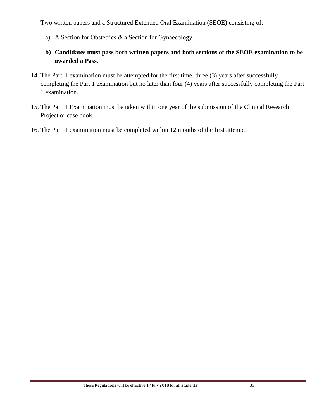Two written papers and a Structured Extended Oral Examination (SEOE) consisting of: -

- a) A Section for Obstetrics & a Section for Gynaecology
- **b) Candidates must pass both written papers and both sections of the SEOE examination to be awarded a Pass.**
- 14. The Part II examination must be attempted for the first time, three (3) years after successfully completing the Part 1 examination but no later than four (4) years after successfully completing the Part 1 examination.
- 15. The Part II Examination must be taken within one year of the submission of the Clinical Research Project or case book.
- 16. The Part II examination must be completed within 12 months of the first attempt.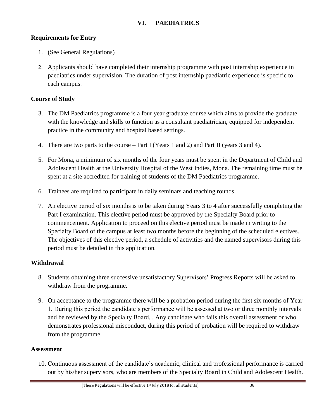### **VI. PAEDIATRICS**

### **Requirements for Entry**

- 1. (See General Regulations)
- 2. Applicants should have completed their internship programme with post internship experience in paediatrics under supervision. The duration of post internship paediatric experience is specific to each campus.

### **Course of Study**

- 3. The DM Paediatrics programme is a four year graduate course which aims to provide the graduate with the knowledge and skills to function as a consultant paediatrician, equipped for independent practice in the community and hospital based settings.
- 4. There are two parts to the course Part I (Years 1 and 2) and Part II (years 3 and 4).
- 5. For Mona, a minimum of six months of the four years must be spent in the Department of Child and Adolescent Health at the University Hospital of the West Indies, Mona. The remaining time must be spent at a site accredited for training of students of the DM Paediatrics programme.
- 6. Trainees are required to participate in daily seminars and teaching rounds.
- 7. An elective period of six months is to be taken during Years 3 to 4 after successfully completing the Part I examination. This elective period must be approved by the Specialty Board prior to commencement. Application to proceed on this elective period must be made in writing to the Specialty Board of the campus at least two months before the beginning of the scheduled electives. The objectives of this elective period, a schedule of activities and the named supervisors during this period must be detailed in this application.

### **Withdrawal**

- 8. Students obtaining three successive unsatisfactory Supervisors' Progress Reports will be asked to withdraw from the programme.
- 9. On acceptance to the programme there will be a probation period during the first six months of Year 1. During this period the candidate's performance will be assessed at two or three monthly intervals and be reviewed by the Specialty Board. . Any candidate who fails this overall assessment or who demonstrates professional misconduct, during this period of probation will be required to withdraw from the programme.

### **Assessment**

10. Continuous assessment of the candidate's academic, clinical and professional performance is carried out by his/her supervisors, who are members of the Specialty Board in Child and Adolescent Health.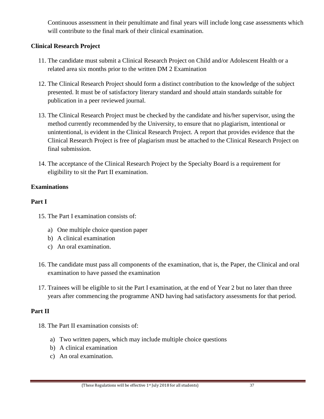Continuous assessment in their penultimate and final years will include long case assessments which will contribute to the final mark of their clinical examination.

### **Clinical Research Project**

- 11. The candidate must submit a Clinical Research Project on Child and/or Adolescent Health or a related area six months prior to the written DM 2 Examination
- 12. The Clinical Research Project should form a distinct contribution to the knowledge of the subject presented. It must be of satisfactory literary standard and should attain standards suitable for publication in a peer reviewed journal.
- 13. The Clinical Research Project must be checked by the candidate and his/her supervisor, using the method currently recommended by the University, to ensure that no plagiarism, intentional or unintentional, is evident in the Clinical Research Project. A report that provides evidence that the Clinical Research Project is free of plagiarism must be attached to the Clinical Research Project on final submission.
- 14. The acceptance of the Clinical Research Project by the Specialty Board is a requirement for eligibility to sit the Part II examination.

### **Examinations**

### **Part I**

- 15. The Part I examination consists of:
	- a) One multiple choice question paper
	- b) A clinical examination
	- c) An oral examination.
- 16. The candidate must pass all components of the examination, that is, the Paper, the Clinical and oral examination to have passed the examination
- 17. Trainees will be eligible to sit the Part I examination, at the end of Year 2 but no later than three years after commencing the programme AND having had satisfactory assessments for that period.

## **Part II**

- 18. The Part II examination consists of:
	- a) Two written papers, which may include multiple choice questions
	- b) A clinical examination
	- c) An oral examination.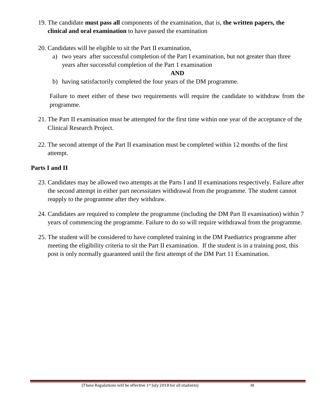- 19. The candidate **must pass all** components of the examination, that is, **the written papers, the clinical and oral examination** to have passed the examination
- 20. Candidates will be eligible to sit the Part II examination,
	- a) two years after successful completion of the Part I examination, but not greater than three years after successful completion of the Part 1 examination

### **AND**

b) having satisfactorily completed the four years of the DM programme.

Failure to meet either of these two requirements will require the candidate to withdraw from the programme.

- 21. The Part II examination must be attempted for the first time within one year of the acceptance of the Clinical Research Project.
- 22. The second attempt of the Part II examination must be completed within 12 months of the first attempt.

### **Parts I and II**

- 23. Candidates may be allowed two attempts at the Parts I and II examinations respectively. Failure after the second attempt in either part necessitates withdrawal from the programme. The student cannot reapply to the programme after they withdraw.
- 24. Candidates are required to complete the programme (including the DM Part II examination) within 7 years of commencing the programme. Failure to do so will require withdrawal from the programme.
- 25. The student will be considered to have completed training in the DM Paediatrics programme after meeting the eligibility criteria to sit the Part II examination. If the student is in a training post, this post is only normally guaranteed until the first attempt of the DM Part 11 Examination.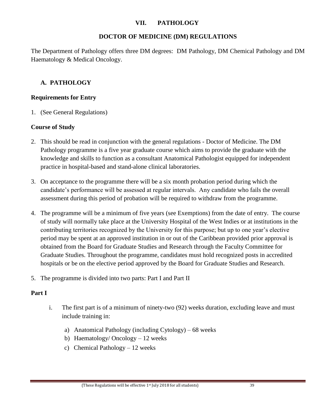### **VII. PATHOLOGY**

### **DOCTOR OF MEDICINE (DM) REGULATIONS**

The Department of Pathology offers three DM degrees: DM Pathology, DM Chemical Pathology and DM Haematology & Medical Oncology.

### **A. PATHOLOGY**

### **Requirements for Entry**

1. (See General Regulations)

### **Course of Study**

- 2. This should be read in conjunction with the general regulations Doctor of Medicine. The DM Pathology programme is a five year graduate course which aims to provide the graduate with the knowledge and skills to function as a consultant Anatomical Pathologist equipped for independent practice in hospital-based and stand-alone clinical laboratories.
- 3. On acceptance to the programme there will be a six month probation period during which the candidate's performance will be assessed at regular intervals. Any candidate who fails the overall assessment during this period of probation will be required to withdraw from the programme.
- 4. The programme will be a minimum of five years (see Exemptions) from the date of entry. The course of study will normally take place at the University Hospital of the West Indies or at institutions in the contributing territories recognized by the University for this purpose; but up to one year's elective period may be spent at an approved institution in or out of the Caribbean provided prior approval is obtained from the Board for Graduate Studies and Research through the Faculty Committee for Graduate Studies. Throughout the programme, candidates must hold recognized posts in accredited hospitals or be on the elective period approved by the Board for Graduate Studies and Research.
- 5. The programme is divided into two parts: Part I and Part II

### **Part I**

- i. The first part is of a minimum of ninety-two (92) weeks duration, excluding leave and must include training in:
	- a) Anatomical Pathology (including Cytology) 68 weeks
	- b) Haematology/ Oncology 12 weeks
	- c) Chemical Pathology 12 weeks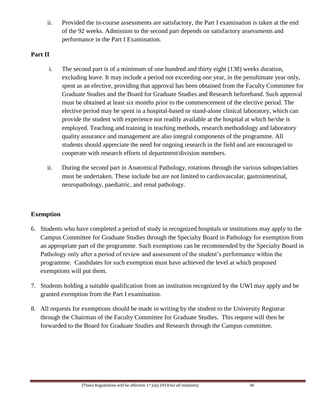ii. Provided the in-course assessments are satisfactory, the Part I examination is taken at the end of the 92 weeks. Admission to the second part depends on satisfactory assessments and performance in the Part I Examination.

### **Part II**

- i. The second part is of a minimum of one hundred and thirty eight (138) weeks duration, excluding leave. It may include a period not exceeding one year, in the penultimate year only, spent as an elective, providing that approval has been obtained from the Faculty Committee for Graduate Studies and the Board for Graduate Studies and Research beforehand. Such approval must be obtained at least six months prior to the commencement of the elective period. The elective period may be spent in a hospital-based or stand-alone clinical laboratory, which can provide the student with experience not readily available at the hospital at which he/she is employed. Teaching and training in teaching methods, research methodology and laboratory quality assurance and management are also integral components of the programme. All students should appreciate the need for ongoing research in the field and are encouraged to cooperate with research efforts of department/division members.
- ii. During the second part in Anatomical Pathology, rotations through the various subspecialties must be undertaken. These include but are not limited to cardiovascular, gastrointestinal, neuropathology, paediatric, and renal pathology.

## **Exemption**

- 6. Students who have completed a period of study in recognized hospitals or institutions may apply to the Campus Committee for Graduate Studies through the Specialty Board in Pathology for exemption from an appropriate part of the programme. Such exemptions can be recommended by the Specialty Board in Pathology only after a period of review and assessment of the student's performance within the programme. Candidates for such exemption must have achieved the level at which proposed exemptions will put them.
- 7. Students holding a suitable qualification from an institution recognized by the UWI may apply and be granted exemption from the Part I examination.
- 8. All requests for exemptions should be made in writing by the student to the University Registrar through the Chairman of the Faculty Committee for Graduate Studies. This request will then be forwarded to the Board for Graduate Studies and Research through the Campus committee.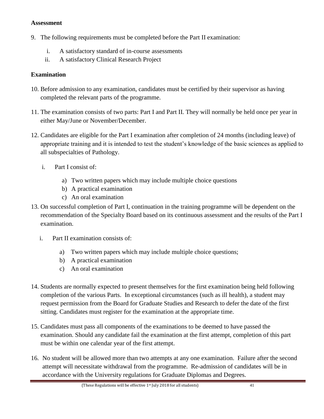### **Assessment**

- 9. The following requirements must be completed before the Part II examination:
	- i. A satisfactory standard of in-course assessments
	- ii. A satisfactory Clinical Research Project

# **Examination**

- 10. Before admission to any examination, candidates must be certified by their supervisor as having completed the relevant parts of the programme.
- 11. The examination consists of two parts: Part I and Part II. They will normally be held once per year in either May/June or November/December.
- 12. Candidates are eligible for the Part I examination after completion of 24 months (including leave) of appropriate training and it is intended to test the student's knowledge of the basic sciences as applied to all subspecialties of Pathology.
	- i. Part I consist of:
		- a) Two written papers which may include multiple choice questions
		- b) A practical examination
		- c) An oral examination
- 13. On successful completion of Part I, continuation in the training programme will be dependent on the recommendation of the Specialty Board based on its continuous assessment and the results of the Part I examination.
	- i. Part II examination consists of:
		- a) Two written papers which may include multiple choice questions;
		- b) A practical examination
		- c) An oral examination
- 14. Students are normally expected to present themselves for the first examination being held following completion of the various Parts. In exceptional circumstances (such as ill health), a student may request permission from the Board for Graduate Studies and Research to defer the date of the first sitting. Candidates must register for the examination at the appropriate time.
- 15. Candidates must pass all components of the examinations to be deemed to have passed the examination. Should any candidate fail the examination at the first attempt, completion of this part must be within one calendar year of the first attempt.
- 16. No student will be allowed more than two attempts at any one examination. Failure after the second attempt will necessitate withdrawal from the programme. Re-admission of candidates will be in accordance with the University regulations for Graduate Diplomas and Degrees.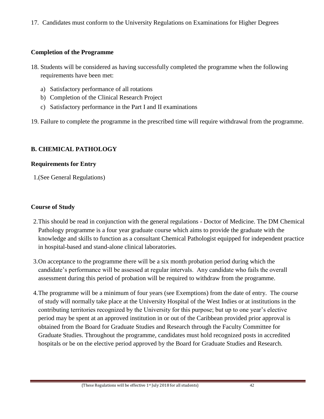17. Candidates must conform to the University Regulations on Examinations for Higher Degrees

## **Completion of the Programme**

- 18. Students will be considered as having successfully completed the programme when the following requirements have been met:
	- a) Satisfactory performance of all rotations
	- b) Completion of the Clinical Research Project
	- c) Satisfactory performance in the Part I and II examinations
- 19. Failure to complete the programme in the prescribed time will require withdrawal from the programme.

## **B. CHEMICAL PATHOLOGY**

### **Requirements for Entry**

1.(See General Regulations)

### **Course of Study**

- 2.This should be read in conjunction with the general regulations Doctor of Medicine. The DM Chemical Pathology programme is a four year graduate course which aims to provide the graduate with the knowledge and skills to function as a consultant Chemical Pathologist equipped for independent practice in hospital-based and stand-alone clinical laboratories.
- 3.On acceptance to the programme there will be a six month probation period during which the candidate's performance will be assessed at regular intervals. Any candidate who fails the overall assessment during this period of probation will be required to withdraw from the programme.
- 4.The programme will be a minimum of four years (see Exemptions) from the date of entry. The course of study will normally take place at the University Hospital of the West Indies or at institutions in the contributing territories recognized by the University for this purpose; but up to one year's elective period may be spent at an approved institution in or out of the Caribbean provided prior approval is obtained from the Board for Graduate Studies and Research through the Faculty Committee for Graduate Studies. Throughout the programme, candidates must hold recognized posts in accredited hospitals or be on the elective period approved by the Board for Graduate Studies and Research.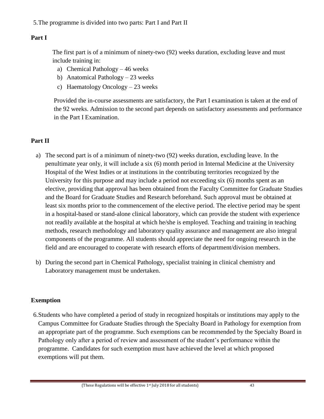# **Part I**

The first part is of a minimum of ninety-two (92) weeks duration, excluding leave and must include training in:

- a) Chemical Pathology 46 weeks
- b) Anatomical Pathology 23 weeks
- c) Haematology Oncology 23 weeks

Provided the in-course assessments are satisfactory, the Part I examination is taken at the end of the 92 weeks. Admission to the second part depends on satisfactory assessments and performance in the Part I Examination.

# **Part II**

- a) The second part is of a minimum of ninety-two (92) weeks duration, excluding leave. In the penultimate year only, it will include a six (6) month period in Internal Medicine at the University Hospital of the West Indies or at institutions in the contributing territories recognized by the University for this purpose and may include a period not exceeding six (6) months spent as an elective, providing that approval has been obtained from the Faculty Committee for Graduate Studies and the Board for Graduate Studies and Research beforehand. Such approval must be obtained at least six months prior to the commencement of the elective period. The elective period may be spent in a hospital-based or stand-alone clinical laboratory, which can provide the student with experience not readily available at the hospital at which he/she is employed. Teaching and training in teaching methods, research methodology and laboratory quality assurance and management are also integral components of the programme. All students should appreciate the need for ongoing research in the field and are encouraged to cooperate with research efforts of department/division members.
- b) During the second part in Chemical Pathology, specialist training in clinical chemistry and Laboratory management must be undertaken.

## **Exemption**

6.Students who have completed a period of study in recognized hospitals or institutions may apply to the Campus Committee for Graduate Studies through the Specialty Board in Pathology for exemption from an appropriate part of the programme. Such exemptions can be recommended by the Specialty Board in Pathology only after a period of review and assessment of the student's performance within the programme. Candidates for such exemption must have achieved the level at which proposed exemptions will put them.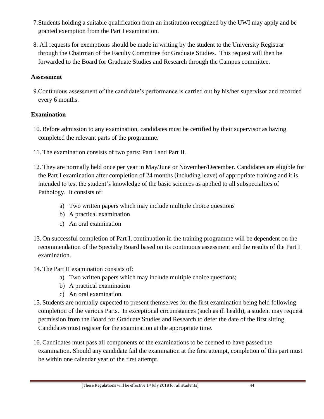- 7.Students holding a suitable qualification from an institution recognized by the UWI may apply and be granted exemption from the Part I examination.
- 8. All requests for exemptions should be made in writing by the student to the University Registrar through the Chairman of the Faculty Committee for Graduate Studies. This request will then be forwarded to the Board for Graduate Studies and Research through the Campus committee.

### **Assessment**

9.Continuous assessment of the candidate's performance is carried out by his/her supervisor and recorded every 6 months.

## **Examination**

- 10. Before admission to any examination, candidates must be certified by their supervisor as having completed the relevant parts of the programme.
- 11. The examination consists of two parts: Part I and Part II.
- 12. They are normally held once per year in May/June or November/December. Candidates are eligible for the Part I examination after completion of 24 months (including leave) of appropriate training and it is intended to test the student's knowledge of the basic sciences as applied to all subspecialties of Pathology. It consists of:
	- a) Two written papers which may include multiple choice questions
	- b) A practical examination
	- c) An oral examination
- 13. On successful completion of Part I, continuation in the training programme will be dependent on the recommendation of the Specialty Board based on its continuous assessment and the results of the Part I examination.
- 14. The Part II examination consists of:
	- a) Two written papers which may include multiple choice questions;
	- b) A practical examination
	- c) An oral examination.
- 15. Students are normally expected to present themselves for the first examination being held following completion of the various Parts. In exceptional circumstances (such as ill health), a student may request permission from the Board for Graduate Studies and Research to defer the date of the first sitting. Candidates must register for the examination at the appropriate time.
- 16. Candidates must pass all components of the examinations to be deemed to have passed the examination. Should any candidate fail the examination at the first attempt, completion of this part must be within one calendar year of the first attempt.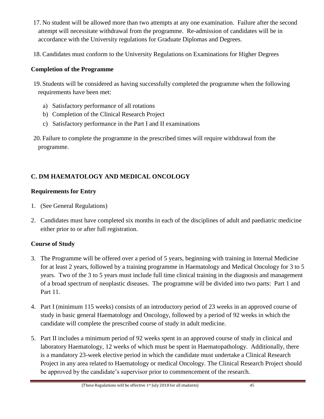- 17. No student will be allowed more than two attempts at any one examination. Failure after the second attempt will necessitate withdrawal from the programme. Re-admission of candidates will be in accordance with the University regulations for Graduate Diplomas and Degrees.
- 18. Candidates must conform to the University Regulations on Examinations for Higher Degrees

# **Completion of the Programme**

- 19. Students will be considered as having successfully completed the programme when the following requirements have been met:
	- a) Satisfactory performance of all rotations
	- b) Completion of the Clinical Research Project
	- c) Satisfactory performance in the Part I and II examinations
- 20. Failure to complete the programme in the prescribed times will require withdrawal from the programme.

# **C. DM HAEMATOLOGY AND MEDICAL ONCOLOGY**

# **Requirements for Entry**

- 1. (See General Regulations)
- 2. Candidates must have completed six months in each of the disciplines of adult and paediatric medicine either prior to or after full registration.

# **Course of Study**

- 3. The Programme will be offered over a period of 5 years, beginning with training in Internal Medicine for at least 2 years, followed by a training programme in Haematology and Medical Oncology for 3 to 5 years. Two of the 3 to 5 years must include full time clinical training in the diagnosis and management of a broad spectrum of neoplastic diseases. The programme will be divided into two parts: Part 1 and Part 11.
- 4. Part I (minimum 115 weeks) consists of an introductory period of 23 weeks in an approved course of study in basic general Haematology and Oncology, followed by a period of 92 weeks in which the candidate will complete the prescribed course of study in adult medicine.
- 5. Part II includes a minimum period of 92 weeks spent in an approved course of study in clinical and laboratory Haematology, 12 weeks of which must be spent in Haematopathology. Additionally, there is a mandatory 23-week elective period in which the candidate must undertake a Clinical Research Project in any area related to Haematology or medical Oncology. The Clinical Research Project should be approved by the candidate's supervisor prior to commencement of the research.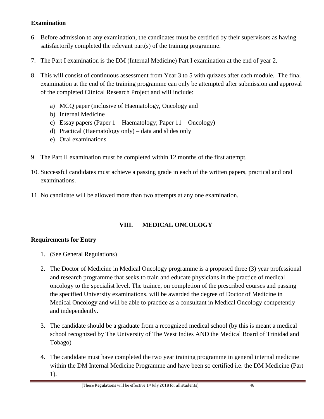## **Examination**

- 6. Before admission to any examination, the candidates must be certified by their supervisors as having satisfactorily completed the relevant part(s) of the training programme.
- 7. The Part I examination is the DM (Internal Medicine) Part I examination at the end of year 2.
- 8. This will consist of continuous assessment from Year 3 to 5 with quizzes after each module. The final examination at the end of the training programme can only be attempted after submission and approval of the completed Clinical Research Project and will include:
	- a) MCQ paper (inclusive of Haematology, Oncology and
	- b) Internal Medicine
	- c) Essay papers (Paper 1 Haematology; Paper 11 Oncology)
	- d) Practical (Haematology only) data and slides only
	- e) Oral examinations
- 9. The Part II examination must be completed within 12 months of the first attempt.
- 10. Successful candidates must achieve a passing grade in each of the written papers, practical and oral examinations.
- 11. No candidate will be allowed more than two attempts at any one examination.

# **VIII. MEDICAL ONCOLOGY**

## **Requirements for Entry**

- 1. (See General Regulations)
- 2. The Doctor of Medicine in Medical Oncology programme is a proposed three (3) year professional and research programme that seeks to train and educate physicians in the practice of medical oncology to the specialist level. The trainee, on completion of the prescribed courses and passing the specified University examinations, will be awarded the degree of Doctor of Medicine in Medical Oncology and will be able to practice as a consultant in Medical Oncology competently and independently.
- 3. The candidate should be a graduate from a recognized medical school (by this is meant a medical school recognized by The University of The West Indies AND the Medical Board of Trinidad and Tobago)
- 4. The candidate must have completed the two year training programme in general internal medicine within the DM Internal Medicine Programme and have been so certified i.e. the DM Medicine (Part 1).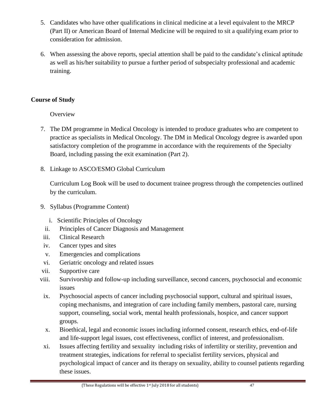- 5. Candidates who have other qualifications in clinical medicine at a level equivalent to the MRCP (Part II) or American Board of Internal Medicine will be required to sit a qualifying exam prior to consideration for admission.
- 6. When assessing the above reports, special attention shall be paid to the candidate's clinical aptitude as well as his/her suitability to pursue a further period of subspecialty professional and academic training.

# **Course of Study**

**Overview** 

- 7. The DM programme in Medical Oncology is intended to produce graduates who are competent to practice as specialists in Medical Oncology. The DM in Medical Oncology degree is awarded upon satisfactory completion of the programme in accordance with the requirements of the Specialty Board, including passing the exit examination (Part 2).
- 8. Linkage to ASCO/ESMO Global Curriculum

Curriculum Log Book will be used to document trainee progress through the competencies outlined by the curriculum.

- 9. Syllabus (Programme Content)
	- i. Scientific Principles of Oncology
	- ii. Principles of Cancer Diagnosis and Management
- iii. Clinical Research
- iv. Cancer types and sites
- v. Emergencies and complications
- vi. Geriatric oncology and related issues
- vii. Supportive care
- viii. Survivorship and follow-up including surveillance, second cancers, psychosocial and economic issues
- ix. Psychosocial aspects of cancer including psychosocial support, cultural and spiritual issues, coping mechanisms, and integration of care including family members, pastoral care, nursing support, counseling, social work, mental health professionals, hospice, and cancer support groups.
- x. Bioethical, legal and economic issues including informed consent, research ethics, end-of-life and life-support legal issues, cost effectiveness, conflict of interest, and professionalism.
- xi. Issues affecting fertility and sexuality including risks of infertility or sterility, prevention and treatment strategies, indications for referral to specialist fertility services, physical and psychological impact of cancer and its therapy on sexuality, ability to counsel patients regarding these issues.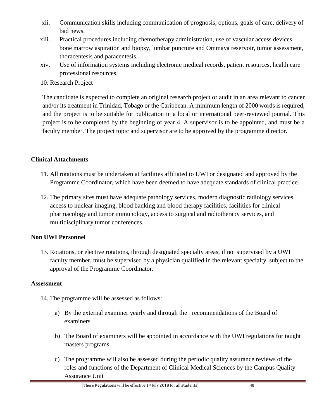- xii. Communication skills including communication of prognosis, options, goals of care, delivery of bad news.
- xiii. Practical procedures including chemotherapy administration, use of vascular access devices, bone marrow aspiration and biopsy, lumbar puncture and Ommaya reservoir, tumor assessment, thoracentesis and paracentesis.
- xiv. Use of information systems including electronic medical records, patient resources, health care professional resources.
- 10. Research Project

The candidate is expected to complete an original research project or audit in an area relevant to cancer and/or its treatment in Trinidad, Tobago or the Caribbean. A minimum length of 2000 words is required, and the project is to be suitable for publication in a local or international peer-reviewed journal. This project is to be completed by the beginning of year 4. A supervisor is to be appointed, and must be a faculty member. The project topic and supervisor are to be approved by the programme director.

## **Clinical Attachments**

- 11. All rotations must be undertaken at facilities affiliated to UWI or designated and approved by the Programme Coordinator, which have been deemed to have adequate standards of clinical practice.
- 12. The primary sites must have adequate pathology services, modern diagnostic radiology services, access to nuclear imaging, blood banking and blood therapy facilities, facilities for clinical pharmacology and tumor immunology, access to surgical and radiotherapy services, and multidisciplinary tumor conferences.

# **Non UWI Personnel**

13. Rotations, or elective rotations, through designated specialty areas, if not supervised by a UWI faculty member, must be supervised by a physician qualified in the relevant specialty, subject to the approval of the Programme Coordinator.

## **Assessment**

- 14. The programme will be assessed as follows:
	- a) By the external examiner yearly and through the recommendations of the Board of examiners
	- b) The Board of examiners will be appointed in accordance with the UWI regulations for taught masters programs
	- c) The programme will also be assessed during the periodic quality assurance reviews of the roles and functions of the Department of Clinical Medical Sciences by the Campus Quality Assurance Unit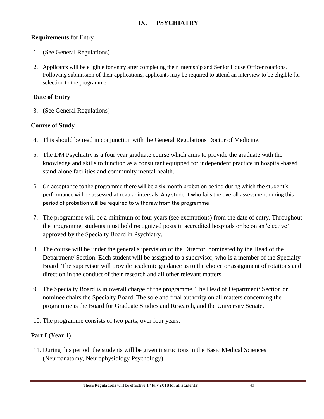## **IX. PSYCHIATRY**

### **Requirements** for Entry

- 1. (See General Regulations)
- 2. Applicants will be eligible for entry after completing their internship and Senior House Officer rotations. Following submission of their applications, applicants may be required to attend an interview to be eligible for selection to the programme.

### **Date of Entry**

3. (See General Regulations)

## **Course of Study**

- 4. This should be read in conjunction with the General Regulations Doctor of Medicine.
- 5. The DM Psychiatry is a four year graduate course which aims to provide the graduate with the knowledge and skills to function as a consultant equipped for independent practice in hospital-based stand-alone facilities and community mental health.
- 6. On acceptance to the programme there will be a six month probation period during which the student's performance will be assessed at regular intervals. Any student who fails the overall assessment during this period of probation will be required to withdraw from the programme
- 7. The programme will be a minimum of four years (see exemptions) from the date of entry. Throughout the programme, students must hold recognized posts in accredited hospitals or be on an 'elective' approved by the Specialty Board in Psychiatry.
- 8. The course will be under the general supervision of the Director, nominated by the Head of the Department/ Section. Each student will be assigned to a supervisor, who is a member of the Specialty Board. The supervisor will provide academic guidance as to the choice or assignment of rotations and direction in the conduct of their research and all other relevant matters
- 9. The Specialty Board is in overall charge of the programme. The Head of Department/ Section or nominee chairs the Specialty Board. The sole and final authority on all matters concerning the programme is the Board for Graduate Studies and Research, and the University Senate.
- 10. The programme consists of two parts, over four years.

## **Part I (Year 1)**

11. During this period, the students will be given instructions in the Basic Medical Sciences (Neuroanatomy, Neurophysiology Psychology)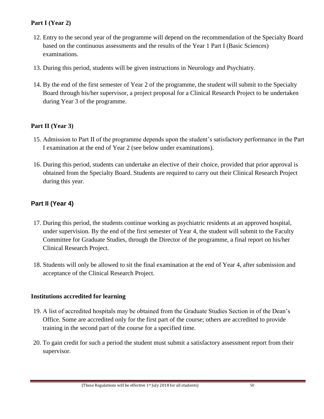## **Part I (Year 2)**

- 12. Entry to the second year of the programme will depend on the recommendation of the Specialty Board based on the continuous assessments and the results of the Year 1 Part I (Basic Sciences) examinations.
- 13. During this period, students will be given instructions in Neurology and Psychiatry.
- 14. By the end of the first semester of Year 2 of the programme, the student will submit to the Specialty Board through his/her supervisor, a project proposal for a Clinical Research Project to be undertaken during Year 3 of the programme.

## **Part II (Year 3)**

- 15. Admission to Part II of the programme depends upon the student's satisfactory performance in the Part I examination at the end of Year 2 (see below under examinations).
- 16. During this period, students can undertake an elective of their choice, provided that prior approval is obtained from the Specialty Board. Students are required to carry out their Clinical Research Project during this year.

# **Part II (Year 4)**

- 17. During this period, the students continue working as psychiatric residents at an approved hospital, under supervision. By the end of the first semester of Year 4, the student will submit to the Faculty Committee for Graduate Studies, through the Director of the programme, a final report on his/her Clinical Research Project.
- 18. Students will only be allowed to sit the final examination at the end of Year 4, after submission and acceptance of the Clinical Research Project.

## **Institutions accredited for learning**

- 19. A list of accredited hospitals may be obtained from the Graduate Studies Section in of the Dean's Office. Some are accredited only for the first part of the course; others are accredited to provide training in the second part of the course for a specified time.
- 20. To gain credit for such a period the student must submit a satisfactory assessment report from their supervisor.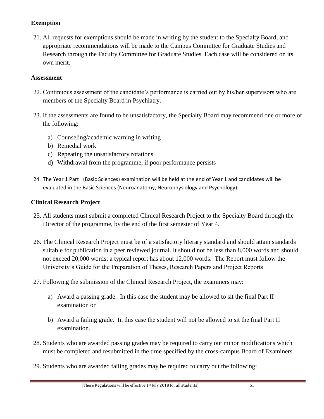## **Exemption**

21. All requests for exemptions should be made in writing by the student to the Specialty Board, and appropriate recommendations will be made to the Campus Committee for Graduate Studies and Research through the Faculty Committee for Graduate Studies. Each case will be considered on its own merit.

### **Assessment**

- 22. Continuous assessment of the candidate's performance is carried out by his/her supervisors who are members of the Specialty Board in Psychiatry.
- 23. If the assessments are found to be unsatisfactory, the Specialty Board may recommend one or more of the following:
	- a) Counseling/academic warning in writing
	- b) Remedial work
	- c) Repeating the unsatisfactory rotations
	- d) Withdrawal from the programme, if poor performance persists
- 24. The Year 1 Part I (Basic Sciences) examination will be held at the end of Year 1 and candidates will be evaluated in the Basic Sciences (Neuroanatomy, Neurophysiology and Psychology).

## **Clinical Research Project**

- 25. All students must submit a completed Clinical Research Project to the Specialty Board through the Director of the programme, by the end of the first semester of Year 4.
- 26. The Clinical Research Project must be of a satisfactory literary standard and should attain standards suitable for publication in a peer reviewed journal. It should not be less than 8,000 words and should not exceed 20,000 words; a typical report has about 12,000 words. The Report must follow the University's Guide for the Preparation of Theses, Research Papers and Project Reports
- 27. Following the submission of the Clinical Research Project, the examiners may:
	- a) Award a passing grade. In this case the student may be allowed to sit the final Part II examination or
	- b) Award a failing grade. In this case the student will not be allowed to sit the final Part II examination.
- 28. Students who are awarded passing grades may be required to carry out minor modifications which must be completed and resubmitted in the time specified by the cross-campus Board of Examiners.
- 29. Students who are awarded failing grades may be required to carry out the following: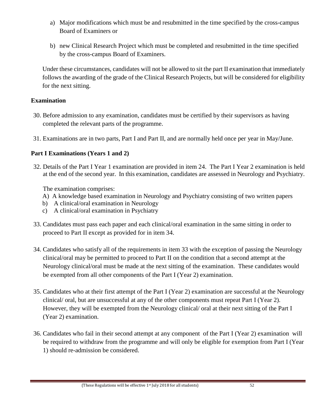- a) Major modifications which must be and resubmitted in the time specified by the cross-campus Board of Examiners or
- b) new Clinical Research Project which must be completed and resubmitted in the time specified by the cross-campus Board of Examiners.

Under these circumstances, candidates will not be allowed to sit the part II examination that immediately follows the awarding of the grade of the Clinical Research Projects, but will be considered for eligibility for the next sitting.

### **Examination**

- 30. Before admission to any examination, candidates must be certified by their supervisors as having completed the relevant parts of the programme.
- 31. Examinations are in two parts, Part I and Part II, and are normally held once per year in May/June.

### **Part I Examinations (Years 1 and 2)**

32. Details of the Part I Year 1 examination are provided in item 24. The Part I Year 2 examination is held at the end of the second year. In this examination, candidates are assessed in Neurology and Psychiatry.

The examination comprises:

- A) A knowledge based examination in Neurology and Psychiatry consisting of two written papers
- b) A clinical/oral examination in Neurology
- c) A clinical/oral examination in Psychiatry
- 33. Candidates must pass each paper and each clinical/oral examination in the same sitting in order to proceed to Part II except as provided for in item 34.
- 34. Candidates who satisfy all of the requirements in item 33 with the exception of passing the Neurology clinical/oral may be permitted to proceed to Part II on the condition that a second attempt at the Neurology clinical/oral must be made at the next sitting of the examination. These candidates would be exempted from all other components of the Part I (Year 2) examination.
- 35. Candidates who at their first attempt of the Part I (Year 2) examination are successful at the Neurology clinical/ oral, but are unsuccessful at any of the other components must repeat Part I (Year 2). However, they will be exempted from the Neurology clinical/ oral at their next sitting of the Part I (Year 2) examination.
- 36. Candidates who fail in their second attempt at any component of the Part I (Year 2) examination will be required to withdraw from the programme and will only be eligible for exemption from Part I (Year 1) should re-admission be considered.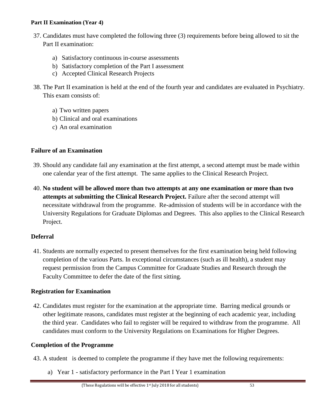#### **Part II Examination (Year 4)**

- 37. Candidates must have completed the following three (3) requirements before being allowed to sit the Part II examination:
	- a) Satisfactory continuous in-course assessments
	- b) Satisfactory completion of the Part I assessment
	- c) Accepted Clinical Research Projects
- 38. The Part II examination is held at the end of the fourth year and candidates are evaluated in Psychiatry. This exam consists of:
	- a) Two written papers
	- b) Clinical and oral examinations
	- c) An oral examination

### **Failure of an Examination**

- 39. Should any candidate fail any examination at the first attempt, a second attempt must be made within one calendar year of the first attempt. The same applies to the Clinical Research Project.
- 40. **No student will be allowed more than two attempts at any one examination or more than two attempts at submitting the Clinical Research Project.** Failure after the second attempt will necessitate withdrawal from the programme. Re-admission of students will be in accordance with the University Regulations for Graduate Diplomas and Degrees. This also applies to the Clinical Research Project.

## **Deferral**

41. Students are normally expected to present themselves for the first examination being held following completion of the various Parts. In exceptional circumstances (such as ill health), a student may request permission from the Campus Committee for Graduate Studies and Research through the Faculty Committee to defer the date of the first sitting.

### **Registration for Examination**

42. Candidates must register for the examination at the appropriate time. Barring medical grounds or other legitimate reasons, candidates must register at the beginning of each academic year, including the third year. Candidates who fail to register will be required to withdraw from the programme. All candidates must conform to the University Regulations on Examinations for Higher Degrees.

### **Completion of the Programme**

- 43. A student is deemed to complete the programme if they have met the following requirements:
	- a) Year 1 satisfactory performance in the Part I Year 1 examination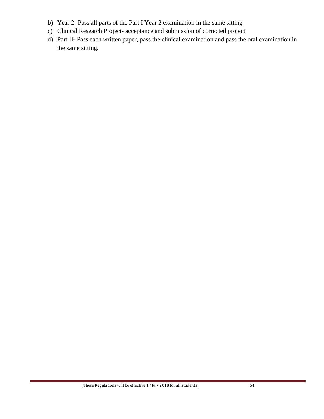- b) Year 2- Pass all parts of the Part I Year 2 examination in the same sitting
- c) Clinical Research Project- acceptance and submission of corrected project
- d) Part II- Pass each written paper, pass the clinical examination and pass the oral examination in the same sitting.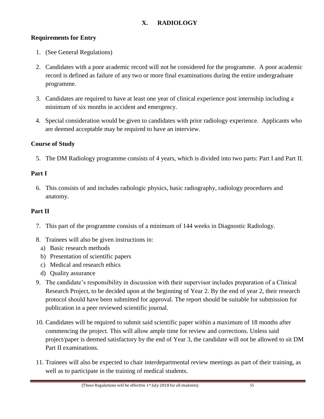# **X. RADIOLOGY**

### **Requirements for Entry**

- 1. (See General Regulations)
- 2. Candidates with a poor academic record will not be considered for the programme. A poor academic record is defined as failure of any two or more final examinations during the entire undergraduate programme.
- 3. Candidates are required to have at least one year of clinical experience post internship including a minimum of six months in accident and emergency.
- 4. Special consideration would be given to candidates with prior radiology experience. Applicants who are deemed acceptable may be required to have an interview.

### **Course of Study**

5. The DM Radiology programme consists of 4 years, which is divided into two parts: Part I and Part II.

### **Part I**

6. This consists of and includes radiologic physics, basic radiography, radiology procedures and anatomy.

### **Part II**

- 7. This part of the programme consists of a minimum of 144 weeks in Diagnostic Radiology.
- 8. Trainees will also be given instructions in:
	- a) Basic research methods
	- b) Presentation of scientific papers
	- c) Medical and research ethics
	- d) Quality assurance
- 9. The candidate's responsibility in discussion with their supervisor includes preparation of a Clinical Research Project, to be decided upon at the beginning of Year 2. By the end of year 2, their research protocol should have been submitted for approval. The report should be suitable for submission for publication in a peer reviewed scientific journal.
- 10. Candidates will be required to submit said scientific paper within a maximum of 18 months after commencing the project. This will allow ample time for review and corrections. Unless said project/paper is deemed satisfactory by the end of Year 3, the candidate will not be allowed to sit DM Part II examinations.
- 11. Trainees will also be expected to chair interdepartmental review meetings as part of their training, as well as to participate in the training of medical students.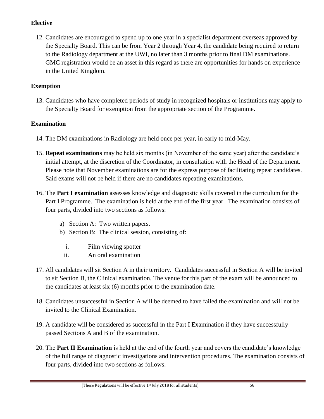# **Elective**

12. Candidates are encouraged to spend up to one year in a specialist department overseas approved by the Specialty Board. This can be from Year 2 through Year 4, the candidate being required to return to the Radiology department at the UWI, no later than 3 months prior to final DM examinations. GMC registration would be an asset in this regard as there are opportunities for hands on experience in the United Kingdom.

## **Exemption**

13. Candidates who have completed periods of study in recognized hospitals or institutions may apply to the Specialty Board for exemption from the appropriate section of the Programme.

# **Examination**

- 14. The DM examinations in Radiology are held once per year, in early to mid-May.
- 15. **Repeat examinations** may be held six months (in November of the same year) after the candidate's initial attempt, at the discretion of the Coordinator, in consultation with the Head of the Department. Please note that November examinations are for the express purpose of facilitating repeat candidates. Said exams will not be held if there are no candidates repeating examinations.
- 16. The **Part I examination** assesses knowledge and diagnostic skills covered in the curriculum for the Part I Programme. The examination is held at the end of the first year. The examination consists of four parts, divided into two sections as follows:
	- a) Section A: Two written papers.
	- b) Section B: The clinical session, consisting of:
		- i. Film viewing spotter
		- ii. An oral examination
- 17. All candidates will sit Section A in their territory. Candidates successful in Section A will be invited to sit Section B, the Clinical examination. The venue for this part of the exam will be announced to the candidates at least six (6) months prior to the examination date.
- 18. Candidates unsuccessful in Section A will be deemed to have failed the examination and will not be invited to the Clinical Examination.
- 19. A candidate will be considered as successful in the Part I Examination if they have successfully passed Sections A and B of the examination.
- 20. The **Part II Examination** is held at the end of the fourth year and covers the candidate's knowledge of the full range of diagnostic investigations and intervention procedures. The examination consists of four parts, divided into two sections as follows: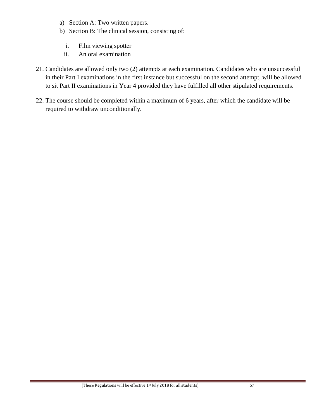- a) Section A: Two written papers.
- b) Section B: The clinical session, consisting of:
	- i. Film viewing spotter
	- ii. An oral examination
- 21. Candidates are allowed only two (2) attempts at each examination. Candidates who are unsuccessful in their Part I examinations in the first instance but successful on the second attempt, will be allowed to sit Part II examinations in Year 4 provided they have fulfilled all other stipulated requirements.
- 22. The course should be completed within a maximum of 6 years, after which the candidate will be required to withdraw unconditionally.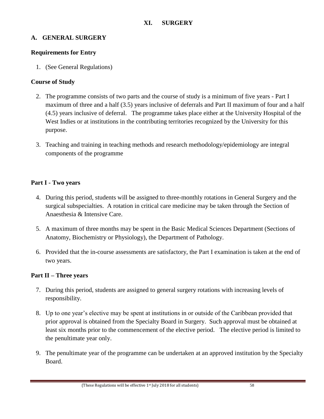### **A. GENERAL SURGERY**

### **Requirements for Entry**

1. (See General Regulations)

### **Course of Study**

- 2. The programme consists of two parts and the course of study is a minimum of five years Part I maximum of three and a half (3.5) years inclusive of deferrals and Part II maximum of four and a half (4.5) years inclusive of deferral. The programme takes place either at the University Hospital of the West Indies or at institutions in the contributing territories recognized by the University for this purpose.
- 3. Teaching and training in teaching methods and research methodology/epidemiology are integral components of the programme

### **Part I - Two years**

- 4. During this period, students will be assigned to three-monthly rotations in General Surgery and the surgical subspecialties. A rotation in critical care medicine may be taken through the Section of Anaesthesia & Intensive Care.
- 5. A maximum of three months may be spent in the Basic Medical Sciences Department (Sections of Anatomy, Biochemistry or Physiology), the Department of Pathology.
- 6. Provided that the in-course assessments are satisfactory, the Part I examination is taken at the end of two years.

### **Part II – Three years**

- 7. During this period, students are assigned to general surgery rotations with increasing levels of responsibility.
- 8. Up to one year's elective may be spent at institutions in or outside of the Caribbean provided that prior approval is obtained from the Specialty Board in Surgery. Such approval must be obtained at least six months prior to the commencement of the elective period. The elective period is limited to the penultimate year only.
- 9. The penultimate year of the programme can be undertaken at an approved institution by the Specialty Board.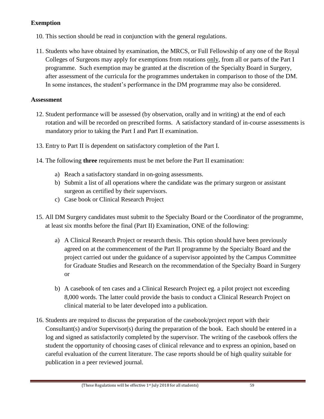# **Exemption**

- 10. This section should be read in conjunction with the general regulations.
- 11. Students who have obtained by examination, the MRCS, or Full Fellowship of any one of the Royal Colleges of Surgeons may apply for exemptions from rotations only, from all or parts of the Part I programme. Such exemption may be granted at the discretion of the Specialty Board in Surgery, after assessment of the curricula for the programmes undertaken in comparison to those of the DM. In some instances, the student's performance in the DM programme may also be considered.

### **Assessment**

- 12. Student performance will be assessed (by observation, orally and in writing) at the end of each rotation and will be recorded on prescribed forms. A satisfactory standard of in-course assessments is mandatory prior to taking the Part I and Part II examination.
- 13. Entry to Part II is dependent on satisfactory completion of the Part I.
- 14. The following **three** requirements must be met before the Part II examination:
	- a) Reach a satisfactory standard in on-going assessments.
	- b) Submit a list of all operations where the candidate was the primary surgeon or assistant surgeon as certified by their supervisors.
	- c) Case book or Clinical Research Project
- 15. All DM Surgery candidates must submit to the Specialty Board or the Coordinator of the programme, at least six months before the final (Part II) Examination, ONE of the following:
	- a) A Clinical Research Project or research thesis. This option should have been previously agreed on at the commencement of the Part II programme by the Specialty Board and the project carried out under the guidance of a supervisor appointed by the Campus Committee for Graduate Studies and Research on the recommendation of the Specialty Board in Surgery or
	- b) A casebook of ten cases and a Clinical Research Project eg. a pilot project not exceeding 8,000 words. The latter could provide the basis to conduct a Clinical Research Project on clinical material to be later developed into a publication.
- 16. Students are required to discuss the preparation of the casebook/project report with their Consultant(s) and/or Supervisor(s) during the preparation of the book. Each should be entered in a log and signed as satisfactorily completed by the supervisor. The writing of the casebook offers the student the opportunity of choosing cases of clinical relevance and to express an opinion, based on careful evaluation of the current literature. The case reports should be of high quality suitable for publication in a peer reviewed journal.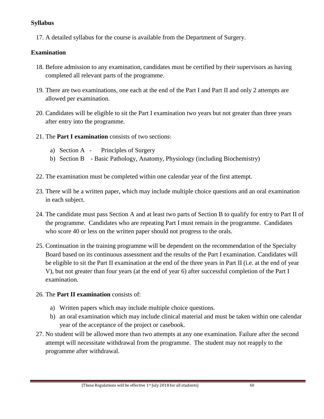## **Syllabus**

17. A detailed syllabus for the course is available from the Department of Surgery.

### **Examination**

- 18. Before admission to any examination, candidates must be certified by their supervisors as having completed all relevant parts of the programme.
- 19. There are two examinations, one each at the end of the Part I and Part II and only 2 attempts are allowed per examination.
- 20. Candidates will be eligible to sit the Part I examination two years but not greater than three years after entry into the programme.
- 21. The **Part I examination** consists of two sections:
	- a) Section A Principles of Surgery
	- b) Section B Basic Pathology, Anatomy, Physiology (including Biochemistry)
- 22. The examination must be completed within one calendar year of the first attempt.
- 23. There will be a written paper, which may include multiple choice questions and an oral examination in each subject.
- 24. The candidate must pass Section A and at least two parts of Section B to qualify for entry to Part II of the programme. Candidates who are repeating Part I must remain in the programme. Candidates who score 40 or less on the written paper should not progress to the orals.
- 25. Continuation in the training programme will be dependent on the recommendation of the Specialty Board based on its continuous assessment and the results of the Part I examination. Candidates will be eligible to sit the Part II examination at the end of the three years in Part II (i.e. at the end of year V), but not greater than four years (at the end of year 6) after successful completion of the Part I examination.

### 26. The **Part II examination** consists of:

- a) Written papers which may include multiple choice questions.
- b) an oral examination which may include clinical material and must be taken within one calendar year of the acceptance of the project or casebook.
- 27. No student will be allowed more than two attempts at any one examination. Failure after the second attempt will necessitate withdrawal from the programme. The student may not reapply to the programme after withdrawal.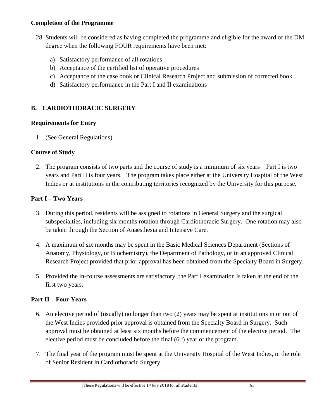### **Completion of the Programme**

- 28. Students will be considered as having completed the programme and eligible for the award of the DM degree when the following FOUR requirements have been met:
	- a) Satisfactory performance of all rotations
	- b) Acceptance of the certified list of operative procedures
	- c) Acceptance of the case book or Clinical Research Project and submission of corrected book.
	- d) Satisfactory performance in the Part I and II examinations

# **B. CARDIOTHORACIC SURGERY**

## **Requirements for Entry**

1. (See General Regulations)

## **Course of Study**

2. The program consists of two parts and the course of study is a minimum of six years – Part I is two years and Part II is four years. The program takes place either at the University Hospital of the West Indies or at institutions in the contributing territories recognized by the University for this purpose.

## **Part I – Two Years**

- 3. During this period, residents will be assigned to rotations in General Surgery and the surgical subspecialties, including six months rotation through Cardiothoracic Surgery. One rotation may also be taken through the Section of Anaesthesia and Intensive Care.
- 4. A maximum of six months may be spent in the Basic Medical Sciences Department (Sections of Anatomy, Physiology, or Biochemistry), the Department of Pathology, or in an approved Clinical Research Project provided that prior approval has been obtained from the Specialty Board in Surgery.
- 5. Provided the in-course assessments are satisfactory, the Part I examination is taken at the end of the first two years.

## **Part II – Four Years**

- 6. An elective period of (usually) no longer than two (2) years may be spent at institutions in or out of the West Indies provided prior approval is obtained from the Specialty Board in Surgery. Such approval must be obtained at least six months before the commencement of the elective period. The elective period must be concluded before the final  $(6<sup>th</sup>)$  year of the program.
- 7. The final year of the program must be spent at the University Hospital of the West Indies, in the role of Senior Resident in Cardiothoracic Surgery.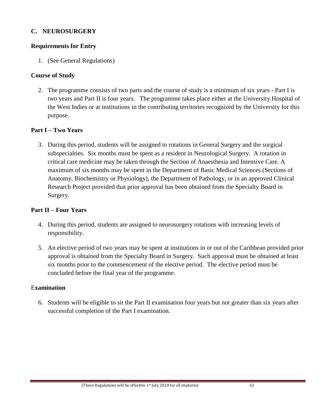#### **C. NEUROSURGERY**

## **Requirements for Entry**

1. (See General Regulations)

## **Course of Study**

2. The programme consists of two parts and the course of study is a minimum of six years - Part I is two years and Part II is four years. The programme takes place either at the University Hospital of the West Indies or at institutions in the contributing territories recognized by the University for this purpose.

## **Part I – Two Years**

3. During this period, students will be assigned to rotations in General Surgery and the surgical subspecialties. Six months must be spent as a resident in Neurological Surgery. A rotation in critical care medicine may be taken through the Section of Anaesthesia and Intensive Care. A maximum of six months may be spent in the Department of Basic Medical Sciences (Sections of Anatomy, Biochemistry or Physiology), the Department of Pathology, or in an approved Clinical Research Project provided that prior approval has been obtained from the Specialty Board in Surgery.

#### **Part II – Four Years**

- 4. During this period, students are assigned to neurosurgery rotations with increasing levels of responsibility.
- 5. An elective period of two years may be spent at institutions in or out of the Caribbean provided prior approval is obtained from the Specialty Board in Surgery. Such approval must be obtained at least six months prior to the commencement of the elective period. The elective period must be concluded before the final year of the programme.

#### E**xamination**

6. Students will be eligible to sit the Part II examination four years but not greater than six years after successful completion of the Part I examination.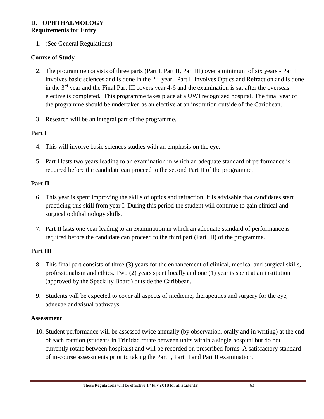### **D. OPHTHALMOLOGY Requirements for Entry**

1. (See General Regulations)

# **Course of Study**

- 2. The programme consists of three parts (Part I, Part II, Part III) over a minimum of six years Part I involves basic sciences and is done in the 2<sup>nd</sup> year. Part II involves Optics and Refraction and is done in the 3<sup>rd</sup> year and the Final Part III covers year 4-6 and the examination is sat after the overseas elective is completed. This programme takes place at a UWI recognized hospital. The final year of the programme should be undertaken as an elective at an institution outside of the Caribbean.
- 3. Research will be an integral part of the programme.

# **Part I**

- 4. This will involve basic sciences studies with an emphasis on the eye.
- 5. Part I lasts two years leading to an examination in which an adequate standard of performance is required before the candidate can proceed to the second Part II of the programme.

# **Part II**

- 6. This year is spent improving the skills of optics and refraction. It is advisable that candidates start practicing this skill from year I. During this period the student will continue to gain clinical and surgical ophthalmology skills.
- 7. Part II lasts one year leading to an examination in which an adequate standard of performance is required before the candidate can proceed to the third part (Part III) of the programme.

# **Part III**

- 8. This final part consists of three (3) years for the enhancement of clinical, medical and surgical skills, professionalism and ethics. Two (2) years spent locally and one (1) year is spent at an institution (approved by the Specialty Board) outside the Caribbean.
- 9. Students will be expected to cover all aspects of medicine, therapeutics and surgery for the eye, adnexae and visual pathways.

# **Assessment**

10. Student performance will be assessed twice annually (by observation, orally and in writing) at the end of each rotation (students in Trinidad rotate between units within a single hospital but do not currently rotate between hospitals) and will be recorded on prescribed forms. A satisfactory standard of in-course assessments prior to taking the Part I, Part II and Part II examination.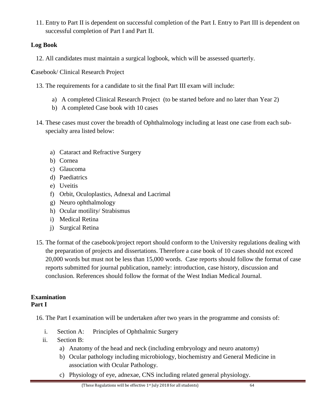11. Entry to Part II is dependent on successful completion of the Part I. Entry to Part III is dependent on successful completion of Part I and Part II.

# **Log Book**

12. All candidates must maintain a surgical logbook, which will be assessed quarterly.

**C**asebook/ Clinical Research Project

- 13. The requirements for a candidate to sit the final Part III exam will include:
	- a) A completed Clinical Research Project (to be started before and no later than Year 2)
	- b) A completed Case book with 10 cases
- 14. These cases must cover the breadth of Ophthalmology including at least one case from each subspecialty area listed below:
	- a) Cataract and Refractive Surgery
	- b) Cornea
	- c) Glaucoma
	- d) Paediatrics
	- e) Uveitis
	- f) Orbit, Oculoplastics, Adnexal and Lacrimal
	- g) Neuro ophthalmology
	- h) Ocular motility/ Strabismus
	- i) Medical Retina
	- j) Surgical Retina
- 15. The format of the casebook/project report should conform to the University regulations dealing with the preparation of projects and dissertations. Therefore a case book of 10 cases should not exceed 20,000 words but must not be less than 15,000 words. Case reports should follow the format of case reports submitted for journal publication, namely: introduction, case history, discussion and conclusion. References should follow the format of the West Indian Medical Journal.

## **Examination Part I**

16. The Part I examination will be undertaken after two years in the programme and consists of:

- i. Section A: Principles of Ophthalmic Surgery
- ii. Section B:
	- a) Anatomy of the head and neck (including embryology and neuro anatomy)
	- b) Ocular pathology including microbiology, biochemistry and General Medicine in association with Ocular Pathology.
	- c) Physiology of eye, adnexae, CNS including related general physiology.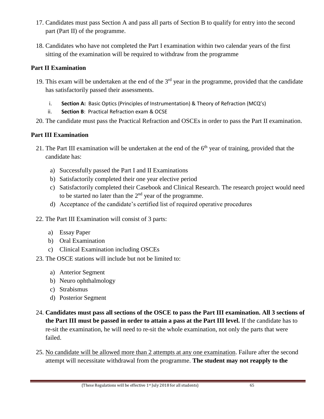- 17. Candidates must pass Section A and pass all parts of Section B to qualify for entry into the second part (Part II) of the programme.
- 18. Candidates who have not completed the Part I examination within two calendar years of the first sitting of the examination will be required to withdraw from the programme

# **Part II Examination**

- 19. This exam will be undertaken at the end of the  $3<sup>rd</sup>$  year in the programme, provided that the candidate has satisfactorily passed their assessments.
	- i. **Section A:** Basic Optics (Principles of Instrumentation) & Theory of Refraction (MCQ's)
	- ii. **Section B**: Practical Refraction exam & OCSE
- 20. The candidate must pass the Practical Refraction and OSCEs in order to pass the Part II examination.

# **Part III Examination**

- 21. The Part III examination will be undertaken at the end of the 6<sup>th</sup> year of training, provided that the candidate has:
	- a) Successfully passed the Part I and II Examinations
	- b) Satisfactorily completed their one year elective period
	- c) Satisfactorily completed their Casebook and Clinical Research. The research project would need to be started no later than the  $2<sup>nd</sup>$  year of the programme.
	- d) Acceptance of the candidate's certified list of required operative procedures
- 22. The Part III Examination will consist of 3 parts:
	- a) Essay Paper
	- b) Oral Examination
	- c) Clinical Examination including OSCEs
- 23. The OSCE stations will include but not be limited to:
	- a) Anterior Segment
	- b) Neuro ophthalmology
	- c) Strabismus
	- d) Posterior Segment
- 24. **Candidates must pass all sections of the OSCE to pass the Part III examination. All 3 sections of the Part III must be passed in order to attain a pass at the Part III level.** If the candidate has to re-sit the examination, he will need to re-sit the whole examination, not only the parts that were failed.
- 25. No candidate will be allowed more than 2 attempts at any one examination. Failure after the second attempt will necessitate withdrawal from the programme. **The student may not reapply to the**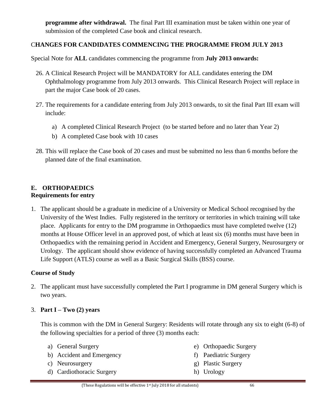**programme after withdrawal.** The final Part III examination must be taken within one year of submission of the completed Case book and clinical research.

# C**HANGES FOR CANDIDATES COMMENCING THE PROGRAMME FROM JULY 2013**

Special Note for **ALL** candidates commencing the programme from **July 2013 onwards:**

- 26. A Clinical Research Project will be MANDATORY for ALL candidates entering the DM Ophthalmology programme from July 2013 onwards. This Clinical Research Project will replace in part the major Case book of 20 cases.
- 27. The requirements for a candidate entering from July 2013 onwards, to sit the final Part III exam will include:
	- a) A completed Clinical Research Project (to be started before and no later than Year 2)
	- b) A completed Case book with 10 cases
- 28. This will replace the Case book of 20 cases and must be submitted no less than 6 months before the planned date of the final examination.

## **E. ORTHOPAEDICS Requirements for entry**

1. The applicant should be a graduate in medicine of a University or Medical School recognised by the University of the West Indies. Fully registered in the territory or territories in which training will take place. Applicants for entry to the DM programme in Orthopaedics must have completed twelve (12) months at House Officer level in an approved post, of which at least six (6) months must have been in Orthopaedics with the remaining period in Accident and Emergency, General Surgery, Neurosurgery or Urology. The applicant should show evidence of having successfully completed an Advanced Trauma Life Support (ATLS) course as well as a Basic Surgical Skills (BSS) course.

# **Course of Study**

2. The applicant must have successfully completed the Part I programme in DM general Surgery which is two years.

# 3. **Part I – Two (2) years**

This is common with the DM in General Surgery: Residents will rotate through any six to eight (6-8) of the following specialties for a period of three (3) months each:

- a) General Surgery
- b) Accident and Emergency
- c) Neurosurgery
- d) Cardiothoracic Surgery
- e) Orthopaedic Surgery
- f) Paediatric Surgery
- g) Plastic Surgery
- h) Urology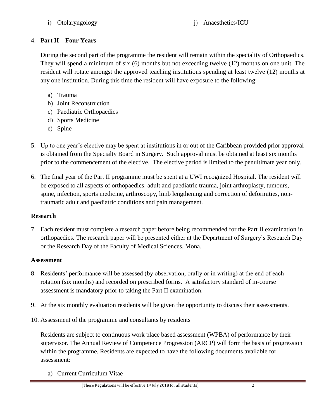i) Otolaryngology j) Anaesthetics/ICU

# 4. **Part II – Four Years**

During the second part of the programme the resident will remain within the speciality of Orthopaedics. They will spend a minimum of six (6) months but not exceeding twelve (12) months on one unit. The resident will rotate amongst the approved teaching institutions spending at least twelve (12) months at any one institution. During this time the resident will have exposure to the following:

- a) Trauma
- b) Joint Reconstruction
- c) Paediatric Orthopaedics
- d) Sports Medicine
- e) Spine
- 5. Up to one year's elective may be spent at institutions in or out of the Caribbean provided prior approval is obtained from the Specialty Board in Surgery. Such approval must be obtained at least six months prior to the commencement of the elective. The elective period is limited to the penultimate year only.
- 6. The final year of the Part II programme must be spent at a UWI recognized Hospital. The resident will be exposed to all aspects of orthopaedics: adult and paediatric trauma, joint arthroplasty, tumours, spine, infection, sports medicine, arthroscopy, limb lengthening and correction of deformities, nontraumatic adult and paediatric conditions and pain management.

# **Research**

7. Each resident must complete a research paper before being recommended for the Part II examination in orthopaedics. The research paper will be presented either at the Department of Surgery's Research Day or the Research Day of the Faculty of Medical Sciences, Mona.

#### **Assessment**

- 8. Residents' performance will be assessed (by observation, orally or in writing) at the end of each rotation (six months) and recorded on prescribed forms. A satisfactory standard of in-course assessment is mandatory prior to taking the Part II examination.
- 9. At the six monthly evaluation residents will be given the opportunity to discuss their assessments.
- 10. Assessment of the programme and consultants by residents

Residents are subject to continuous work place based assessment (WPBA) of performance by their supervisor. The Annual Review of Competence Progression (ARCP) will form the basis of progression within the programme. Residents are expected to have the following documents available for assessment:

a) Current Curriculum Vitae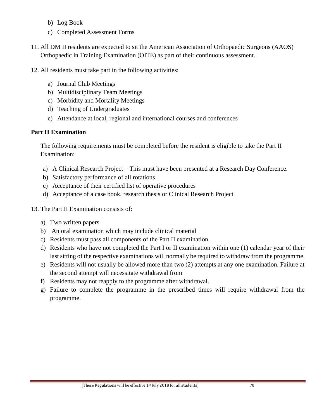- b) Log Book
- c) Completed Assessment Forms
- 11. All DM II residents are expected to sit the American Association of Orthopaedic Surgeons (AAOS) Orthopaedic in Training Examination (OITE) as part of their continuous assessment.
- 12. All residents must take part in the following activities:
	- a) Journal Club Meetings
	- b) Multidisciplinary Team Meetings
	- c) Morbidity and Mortality Meetings
	- d) Teaching of Undergraduates
	- e) Attendance at local, regional and international courses and conferences

## **Part II Examination**

The following requirements must be completed before the resident is eligible to take the Part II Examination:

- a) A Clinical Research Project This must have been presented at a Research Day Conference.
- b) Satisfactory performance of all rotations
- c) Acceptance of their certified list of operative procedures
- d) Acceptance of a case book, research thesis or Clinical Research Project
- 13. The Part II Examination consists of:
	- a) Two written papers
	- b) An oral examination which may include clinical material
	- c) Residents must pass all components of the Part II examination.
	- d) Residents who have not completed the Part I or II examination within one (1) calendar year of their last sitting of the respective examinations will normally be required to withdraw from the programme.
	- e) Residents will not usually be allowed more than two (2) attempts at any one examination. Failure at the second attempt will necessitate withdrawal from
	- f) Residents may not reapply to the programme after withdrawal.
	- g) Failure to complete the programme in the prescribed times will require withdrawal from the programme.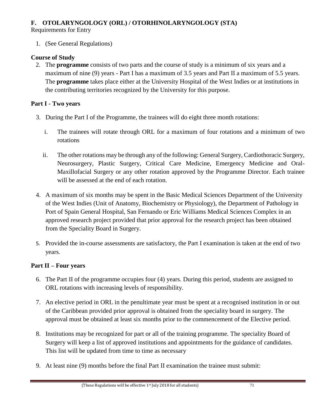# **F. OTOLARYNGOLOGY (ORL) / OTORHINOLARYNGOLOGY (STA)**

Requirements for Entry

1. (See General Regulations)

# **Course of Study**

2. The **programme** consists of two parts and the course of study is a minimum of six years and a maximum of nine (9) years - Part I has a maximum of 3.5 years and Part II a maximum of 5.5 years. The **programme** takes place either at the University Hospital of the West Indies or at institutions in the contributing territories recognized by the University for this purpose.

# **Part I - Two years**

- 3. During the Part I of the Programme, the trainees will do eight three month rotations:
	- i. The trainees will rotate through ORL for a maximum of four rotations and a minimum of two rotations
	- ii. The other rotations may be through any of the following: General Surgery, Cardiothoracic Surgery, Neurosurgery, Plastic Surgery, Critical Care Medicine, Emergency Medicine and Oral-Maxillofacial Surgery or any other rotation approved by the Programme Director. Each trainee will be assessed at the end of each rotation.
- 4. A maximum of six months may be spent in the Basic Medical Sciences Department of the University of the West Indies (Unit of Anatomy, Biochemistry or Physiology), the Department of Pathology in Port of Spain General Hospital, San Fernando or Eric Williams Medical Sciences Complex in an approved research project provided that prior approval for the research project has been obtained from the Speciality Board in Surgery.
- 5. Provided the in-course assessments are satisfactory, the Part I examination is taken at the end of two years.

# **Part II – Four years**

- 6. The Part II of the programme occupies four (4) years. During this period, students are assigned to ORL rotations with increasing levels of responsibility.
- 7. An elective period in ORL in the penultimate year must be spent at a recognised institution in or out of the Caribbean provided prior approval is obtained from the speciality board in surgery. The approval must be obtained at least six months prior to the commencement of the Elective period.
- 8. Institutions may be recognized for part or all of the training programme. The speciality Board of Surgery will keep a list of approved institutions and appointments for the guidance of candidates. This list will be updated from time to time as necessary
- 9. At least nine (9) months before the final Part II examination the trainee must submit: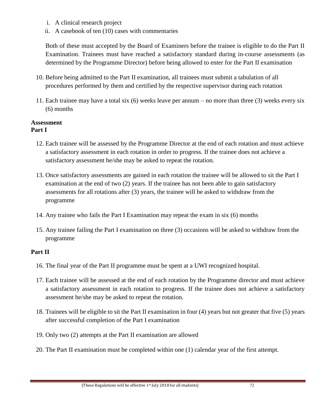- i. A clinical research project
- ii. A casebook of ten (10) cases with commentaries

Both of these must accepted by the Board of Examiners before the trainee is eligible to do the Part II Examination. Trainees must have reached a satisfactory standard during in-course assessments (as determined by the Programme Director) before being allowed to enter for the Part II examination

- 10. Before being admitted to the Part II examination, all trainees must submit a tabulation of all procedures performed by them and certified by the respective supervisor during each rotation
- 11. Each trainee may have a total six (6) weeks leave per annum no more than three (3) weeks every six (6) months

#### **Assessment Part I**

- 12. Each trainee will be assessed by the Programme Director at the end of each rotation and must achieve a satisfactory assessment in each rotation in order to progress. If the trainee does not achieve a satisfactory assessment he/she may be asked to repeat the rotation.
- 13. Once satisfactory assessments are gained in each rotation the trainee will be allowed to sit the Part I examination at the end of two (2) years. If the trainee has not been able to gain satisfactory assessments for all rotations after (3) years, the trainee will be asked to withdraw from the programme
- 14. Any trainee who fails the Part I Examination may repeat the exam in six (6) months
- 15. Any trainee failing the Part I examination on three (3) occasions will be asked to withdraw from the programme

# **Part II**

- 16. The final year of the Part II programme must be spent at a UWI recognized hospital.
- 17. Each trainee will be assessed at the end of each rotation by the Programme director and must achieve a satisfactory assessment in each rotation to progress. If the trainee does not achieve a satisfactory assessment he/she may be asked to repeat the rotation.
- 18. Trainees will be eligible to sit the Part II examination in four (4) years but not greater that five (5) years after successful completion of the Part I examination
- 19. Only two (2) attempts at the Part II examination are allowed
- 20. The Part II examination must be completed within one (1) calendar year of the first attempt.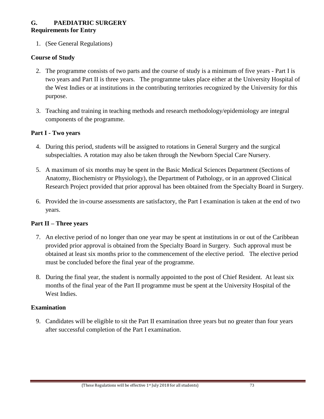## **G. PAEDIATRIC SURGERY Requirements for Entry**

1. (See General Regulations)

# **Course of Study**

- 2. The programme consists of two parts and the course of study is a minimum of five years Part I is two years and Part II is three years. The programme takes place either at the University Hospital of the West Indies or at institutions in the contributing territories recognized by the University for this purpose.
- 3. Teaching and training in teaching methods and research methodology/epidemiology are integral components of the programme.

#### **Part I - Two years**

- 4. During this period, students will be assigned to rotations in General Surgery and the surgical subspecialties. A rotation may also be taken through the Newborn Special Care Nursery.
- 5. A maximum of six months may be spent in the Basic Medical Sciences Department (Sections of Anatomy, Biochemistry or Physiology), the Department of Pathology, or in an approved Clinical Research Project provided that prior approval has been obtained from the Specialty Board in Surgery.
- 6. Provided the in-course assessments are satisfactory, the Part I examination is taken at the end of two years.

# **Part II – Three years**

- 7. An elective period of no longer than one year may be spent at institutions in or out of the Caribbean provided prior approval is obtained from the Specialty Board in Surgery. Such approval must be obtained at least six months prior to the commencement of the elective period. The elective period must be concluded before the final year of the programme.
- 8. During the final year, the student is normally appointed to the post of Chief Resident. At least six months of the final year of the Part II programme must be spent at the University Hospital of the West Indies.

#### **Examination**

9. Candidates will be eligible to sit the Part II examination three years but no greater than four years after successful completion of the Part I examination.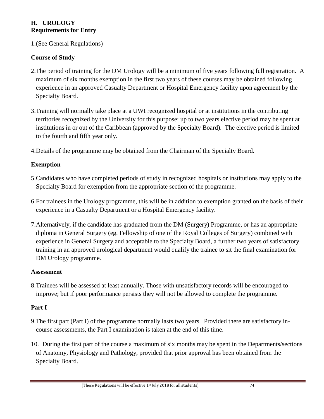# **H. UROLOGY Requirements for Entry**

1.(See General Regulations)

# **Course of Study**

- 2.The period of training for the DM Urology will be a minimum of five years following full registration. A maximum of six months exemption in the first two years of these courses may be obtained following experience in an approved Casualty Department or Hospital Emergency facility upon agreement by the Specialty Board.
- 3.Training will normally take place at a UWI recognized hospital or at institutions in the contributing territories recognized by the University for this purpose: up to two years elective period may be spent at institutions in or out of the Caribbean (approved by the Specialty Board). The elective period is limited to the fourth and fifth year only.
- 4.Details of the programme may be obtained from the Chairman of the Specialty Board.

# **Exemption**

- 5.Candidates who have completed periods of study in recognized hospitals or institutions may apply to the Specialty Board for exemption from the appropriate section of the programme.
- 6.For trainees in the Urology programme, this will be in addition to exemption granted on the basis of their experience in a Casualty Department or a Hospital Emergency facility.
- 7.Alternatively, if the candidate has graduated from the DM (Surgery) Programme, or has an appropriate diploma in General Surgery (eg. Fellowship of one of the Royal Colleges of Surgery) combined with experience in General Surgery and acceptable to the Specialty Board, a further two years of satisfactory training in an approved urological department would qualify the trainee to sit the final examination for DM Urology programme.

# **Assessment**

8.Trainees will be assessed at least annually. Those with unsatisfactory records will be encouraged to improve; but if poor performance persists they will not be allowed to complete the programme.

# **Part I**

- 9.The first part (Part I) of the programme normally lasts two years. Provided there are satisfactory incourse assessments, the Part I examination is taken at the end of this time.
- 10. During the first part of the course a maximum of six months may be spent in the Departments/sections of Anatomy, Physiology and Pathology, provided that prior approval has been obtained from the Specialty Board.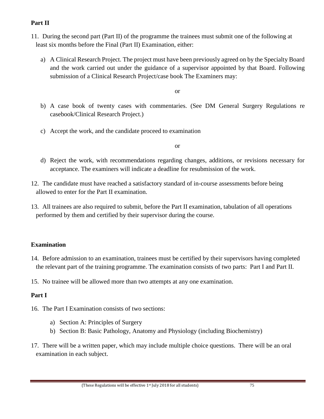# **Part II**

- 11. During the second part (Part II) of the programme the trainees must submit one of the following at least six months before the Final (Part II) Examination, either:
	- a) A Clinical Research Project. The project must have been previously agreed on by the Specialty Board and the work carried out under the guidance of a supervisor appointed by that Board. Following submission of a Clinical Research Project/case book The Examiners may:

or

- b) A case book of twenty cases with commentaries. (See DM General Surgery Regulations re casebook/Clinical Research Project.)
- c) Accept the work, and the candidate proceed to examination

or

- d) Reject the work, with recommendations regarding changes, additions, or revisions necessary for acceptance. The examiners will indicate a deadline for resubmission of the work.
- 12. The candidate must have reached a satisfactory standard of in-course assessments before being allowed to enter for the Part II examination.
- 13. All trainees are also required to submit, before the Part II examination, tabulation of all operations performed by them and certified by their supervisor during the course.

# **Examination**

- 14. Before admission to an examination, trainees must be certified by their supervisors having completed the relevant part of the training programme. The examination consists of two parts: Part I and Part II.
- 15. No trainee will be allowed more than two attempts at any one examination.

# **Part I**

- 16. The Part I Examination consists of two sections:
	- a) Section A: Principles of Surgery
	- b) Section B: Basic Pathology, Anatomy and Physiology (including Biochemistry)
- 17. There will be a written paper, which may include multiple choice questions. There will be an oral examination in each subject.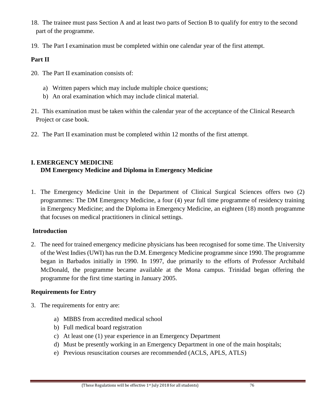- 18. The trainee must pass Section A and at least two parts of Section B to qualify for entry to the second part of the programme.
- 19. The Part I examination must be completed within one calendar year of the first attempt.

# **Part II**

- 20. The Part II examination consists of:
	- a) Written papers which may include multiple choice questions;
	- b) An oral examination which may include clinical material.
- 21. This examination must be taken within the calendar year of the acceptance of the Clinical Research Project or case book.
- 22. The Part II examination must be completed within 12 months of the first attempt.

# **I. EMERGENCY MEDICINE**

# **DM Emergency Medicine and Diploma in Emergency Medicine**

1. The Emergency Medicine Unit in the Department of Clinical Surgical Sciences offers two (2) programmes: The DM Emergency Medicine, a four (4) year full time programme of residency training in Emergency Medicine; and the Diploma in Emergency Medicine, an eighteen (18) month programme that focuses on medical practitioners in clinical settings.

# **Introduction**

2. The need for trained emergency medicine physicians has been recognised for some time. The University of the West Indies (UWI) has run the D.M. Emergency Medicine programme since 1990. The programme began in Barbados initially in 1990. In 1997, due primarily to the efforts of Professor Archibald McDonald, the programme became available at the Mona campus. Trinidad began offering the programme for the first time starting in January 2005.

# **Requirements for Entry**

- 3. The requirements for entry are:
	- a) MBBS from accredited medical school
	- b) Full medical board registration
	- c) At least one (1) year experience in an Emergency Department
	- d) Must be presently working in an Emergency Department in one of the main hospitals;
	- e) Previous resuscitation courses are recommended (ACLS, APLS, ATLS)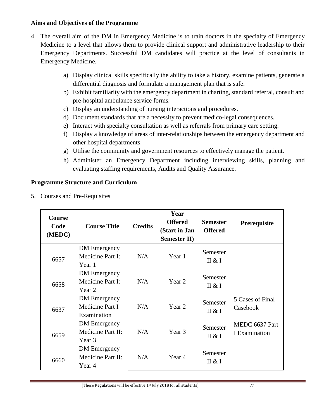#### **Aims and Objectives of the Programme**

- 4. The overall aim of the DM in Emergency Medicine is to train doctors in the specialty of Emergency Medicine to a level that allows them to provide clinical support and administrative leadership to their Emergency Departments. Successful DM candidates will practice at the level of consultants in Emergency Medicine.
	- a) Display clinical skills specifically the ability to take a history, examine patients, generate a differential diagnosis and formulate a management plan that is safe.
	- b) Exhibit familiarity with the emergency department in charting, standard referral, consult and pre-hospital ambulance service forms.
	- c) Display an understanding of nursing interactions and procedures.
	- d) Document standards that are a necessity to prevent medico-legal consequences.
	- e) Interact with specialty consultation as well as referrals from primary care setting.
	- f) Display a knowledge of areas of inter-relationships between the emergency department and other hospital departments.
	- g) Utilise the community and government resources to effectively manage the patient.
	- h) Administer an Emergency Department including interviewing skills, planning and evaluating staffing requirements, Audits and Quality Assurance.

# **Programme Structure and Curriculum**

5. Courses and Pre-Requisites

| <b>Course</b><br>Code<br>(MEDC) | <b>Course Title</b>                            | <b>Credits</b> | Year<br><b>Offered</b><br>(Start in Jan<br><b>Semester II)</b> | <b>Semester</b><br><b>Offered</b> | Prerequisite                    |
|---------------------------------|------------------------------------------------|----------------|----------------------------------------------------------------|-----------------------------------|---------------------------------|
| 6657                            | DM Emergency<br>Medicine Part I:<br>Year 1     | N/A            | Year 1                                                         | Semester<br>II & I                |                                 |
| 6658                            | DM Emergency<br>Medicine Part I:<br>Year 2     | N/A            | Year 2                                                         | Semester<br>II & I                |                                 |
| 6637                            | DM Emergency<br>Medicine Part I<br>Examination | N/A            | Year <sub>2</sub>                                              | Semester<br>II & I                | 5 Cases of Final<br>Casebook    |
| 6659                            | DM Emergency<br>Medicine Part II:<br>Year 3    | N/A            | Year 3                                                         | Semester<br>II & I                | MEDC 6637 Part<br>I Examination |
| 6660                            | DM Emergency<br>Medicine Part II:<br>Year 4    | N/A            | Year 4                                                         | Semester<br>II & I                |                                 |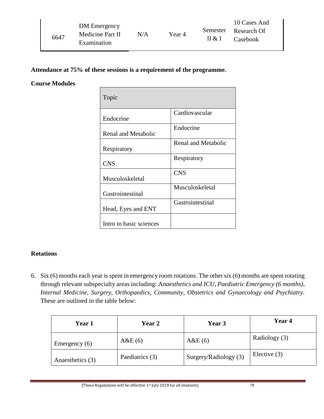|      | DM Emergency       |     |        |          | 10 Cases And         |
|------|--------------------|-----|--------|----------|----------------------|
|      | Medicine Part II   | N/A | Year 4 |          | Semester Research Of |
| 6647 | <b>Examination</b> |     | II & I | Casebook |                      |

#### **Attendance at 75% of these sessions is a requirement of the programme.**

#### **Course Modules**

| Topic                      |                     |
|----------------------------|---------------------|
| Endocrine                  | Cardiovascular      |
| <b>Renal and Metabolic</b> | Endocrine           |
| Respiratory                | Renal and Metabolic |
| <b>CNS</b>                 | Respiratory         |
| Musculoskeletal            | <b>CNS</b>          |
| Gastrointestinal           | Musculoskeletal     |
| Head, Eyes and ENT         | Gastrointestinal    |
| Intro to basic sciences    |                     |

#### **Rotations**

6. Six (6) months each year is spent in emergency room rotations. The other six (6) months are spent rotating through relevant subspecialty areas including: A*naesthetics and ICU, Paediatric Emergency (6 months), Internal Medicine, Surgery, Orthopaedics, Community, Obstetrics and Gynaecology and Psychiatry.* These are outlined in the table below:

| <b>Year 1</b>    | <b>Year 2</b>   | Year 3                | <b>Year 4</b>  |
|------------------|-----------------|-----------------------|----------------|
| Emergency $(6)$  | A&E(6)          | A&E(6)                | Radiology (3)  |
| Anaesthetics (3) | Paediatrics (3) | Surgery/Radiology (3) | Elective $(3)$ |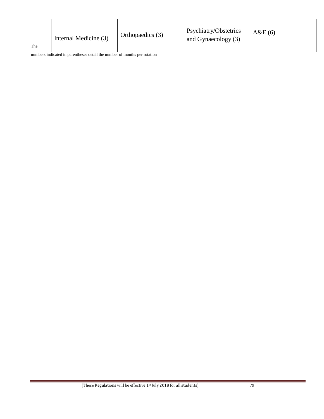| The | Internal Medicine (3) | Orthopaedics (3) | Psychiatry/Obstetrics<br>and Gynaecology (3) | A&E(6) |
|-----|-----------------------|------------------|----------------------------------------------|--------|
|-----|-----------------------|------------------|----------------------------------------------|--------|

numbers indicated in parentheses detail the number of months per rotation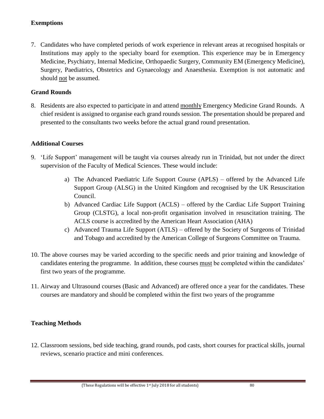# **Exemptions**

7. Candidates who have completed periods of work experience in relevant areas at recognised hospitals or Institutions may apply to the specialty board for exemption. This experience may be in Emergency Medicine, Psychiatry, Internal Medicine, Orthopaedic Surgery, Community EM (Emergency Medicine), Surgery, Paediatrics, Obstetrics and Gynaecology and Anaesthesia. Exemption is not automatic and should not be assumed.

## **Grand Rounds**

8. Residents are also expected to participate in and attend monthly Emergency Medicine Grand Rounds. A chief resident is assigned to organise each grand rounds session. The presentation should be prepared and presented to the consultants two weeks before the actual grand round presentation.

## **Additional Courses**

- 9. 'Life Support' management will be taught via courses already run in Trinidad, but not under the direct supervision of the Faculty of Medical Sciences. These would include:
	- a) The Advanced Paediatric Life Support Course (APLS) offered by the Advanced Life Support Group (ALSG) in the United Kingdom and recognised by the UK Resuscitation Council.
	- b) Advanced Cardiac Life Support (ACLS) offered by the Cardiac Life Support Training Group (CLSTG), a local non-profit organisation involved in resuscitation training. The ACLS course is accredited by the American Heart Association (AHA)
	- c) Advanced Trauma Life Support (ATLS) offered by the Society of Surgeons of Trinidad and Tobago and accredited by the American College of Surgeons Committee on Trauma.
- 10. The above courses may be varied according to the specific needs and prior training and knowledge of candidates entering the programme. In addition, these courses must be completed within the candidates' first two years of the programme.
- 11. Airway and Ultrasound courses (Basic and Advanced) are offered once a year for the candidates. These courses are mandatory and should be completed within the first two years of the programme

# **Teaching Methods**

12. Classroom sessions, bed side teaching, grand rounds, pod casts, short courses for practical skills, journal reviews, scenario practice and mini conferences.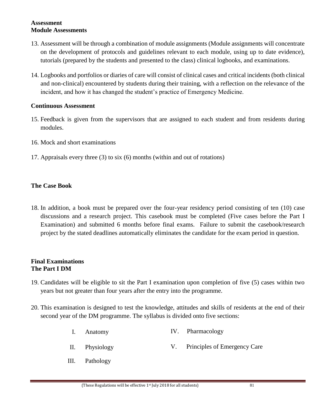#### **Assessment Module Assessments**

- 13. Assessment will be through a combination of module assignments (Module assignments will concentrate on the development of protocols and guidelines relevant to each module, using up to date evidence), tutorials (prepared by the students and presented to the class) clinical logbooks, and examinations.
- 14. Logbooks and portfolios or diaries of care will consist of clinical cases and critical incidents (both clinical and non-clinical) encountered by students during their training, with a reflection on the relevance of the incident, and how it has changed the student's practice of Emergency Medicine.

#### **Continuous Assessment**

- 15. Feedback is given from the supervisors that are assigned to each student and from residents during modules.
- 16. Mock and short examinations
- 17. Appraisals every three (3) to six (6) months (within and out of rotations)

#### **The Case Book**

18. In addition, a book must be prepared over the four-year residency period consisting of ten (10) case discussions and a research project. This casebook must be completed (Five cases before the Part I Examination) and submitted 6 months before final exams. Failure to submit the casebook/research project by the stated deadlines automatically eliminates the candidate for the exam period in question.

#### **Final Examinations The Part I DM**

- 19. Candidates will be eligible to sit the Part I examination upon completion of five (5) cases within two years but not greater than four years after the entry into the programme.
- 20. This examination is designed to test the knowledge, attitudes and skills of residents at the end of their second year of the DM programme. The syllabus is divided onto five sections:
	- I. Anatomy IV. Pharmacology
	- II. Physiology V. Principles of Emergency Care
	- III. Pathology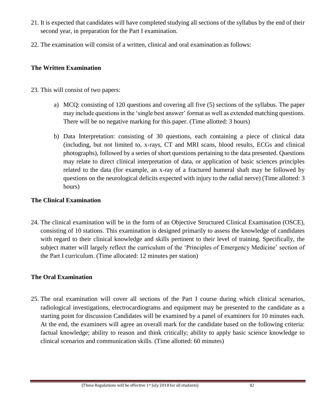- 21. It is expected that candidates will have completed studying all sections of the syllabus by the end of their second year, in preparation for the Part I examination.
- 22. The examination will consist of a written, clinical and oral examination as follows:

## **The Written Examination**

- 23. This will consist of two papers:
	- a) MCQ: consisting of 120 questions and covering all five (5) sections of the syllabus. The paper may include questions in the 'single best answer' format as well as extended matching questions. There will be no negative marking for this paper. (Time allotted: 3 hours)
	- b) Data Interpretation: consisting of 30 questions, each containing a piece of clinical data (including, but not limited to, x-rays, CT and MRI scans, blood results, ECGs and clinical photographs), followed by a series of short questions pertaining to the data presented. Questions may relate to direct clinical interpretation of data, or application of basic sciences principles related to the data (for example, an x-ray of a fractured humeral shaft may be followed by questions on the neurological deficits expected with injury to the radial nerve) (Time allotted: 3 hours)

## **The Clinical Examination**

24. The clinical examination will be in the form of an Objective Structured Clinical Examination (OSCE), consisting of 10 stations. This examination is designed primarily to assess the knowledge of candidates with regard to their clinical knowledge and skills pertinent to their level of training. Specifically, the subject matter will largely reflect the curriculum of the 'Principles of Emergency Medicine' section of the Part I curriculum. (Time allocated: 12 minutes per station)

# **The Oral Examination**

25. The oral examination will cover all sections of the Part I course during which clinical scenarios, radiological investigations, electrocardiograms and equipment may be presented to the candidate as a starting point for discussion Candidates will be examined by a panel of examiners for 10 minutes each. At the end, the examiners will agree an overall mark for the candidate based on the following criteria: factual knowledge; ability to reason and think critically; ability to apply basic science knowledge to clinical scenarios and communication skills. (Time allotted: 60 minutes)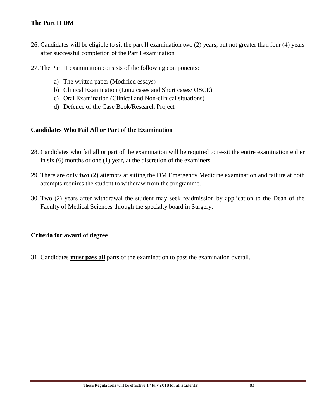# **The Part II DM**

- 26. Candidates will be eligible to sit the part II examination two (2) years, but not greater than four (4) years after successful completion of the Part I examination
- 27. The Part II examination consists of the following components:
	- a) The written paper (Modified essays)
	- b) Clinical Examination (Long cases and Short cases/ OSCE)
	- c) Oral Examination (Clinical and Non-clinical situations)
	- d) Defence of the Case Book/Research Project

#### **Candidates Who Fail All or Part of the Examination**

- 28. Candidates who fail all or part of the examination will be required to re-sit the entire examination either in six (6) months or one (1) year, at the discretion of the examiners.
- 29. There are only **two (2)** attempts at sitting the DM Emergency Medicine examination and failure at both attempts requires the student to withdraw from the programme.
- 30. Two (2) years after withdrawal the student may seek readmission by application to the Dean of the Faculty of Medical Sciences through the specialty board in Surgery.

# **Criteria for award of degree**

31. Candidates **must pass all** parts of the examination to pass the examination overall.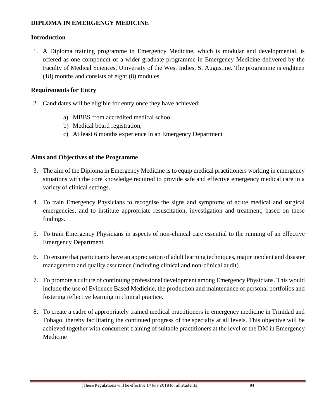## **DIPLOMA IN EMERGENGY MEDICINE**

#### **Introduction**

1. A Diploma training programme in Emergency Medicine, which is modular and developmental, is offered as one component of a wider graduate programme in Emergency Medicine delivered by the Faculty of Medical Sciences, University of the West Indies, St Augustine. The programme is eighteen (18) months and consists of eight (8) modules.

## **Requirements for Entry**

- 2. Candidates will be eligible for entry once they have achieved:
	- a) MBBS from accredited medical school
	- b) Medical board registration,
	- c) At least 6 months experience in an Emergency Department

## **Aims and Objectives of the Programme**

- 3. The aim of the Diploma in Emergency Medicine is to equip medical practitioners working in emergency situations with the core knowledge required to provide safe and effective emergency medical care in a variety of clinical settings.
- 4. To train Emergency Physicians to recognise the signs and symptoms of acute medical and surgical emergencies, and to institute appropriate resuscitation, investigation and treatment, based on these findings.
- 5. To train Emergency Physicians in aspects of non-clinical care essential to the running of an effective Emergency Department.
- 6. To ensure that participants have an appreciation of adult learning techniques, major incident and disaster management and quality assurance (including clinical and non-clinical audit)
- 7. To promote a culture of continuing professional development among Emergency Physicians. This would include the use of Evidence Based Medicine, the production and maintenance of personal portfolios and fostering reflective learning in clinical practice.
- 8. To create a cadre of appropriately trained medical practitioners in emergency medicine in Trinidad and Tobago, thereby facilitating the continued progress of the specialty at all levels. This objective will be achieved together with concurrent training of suitable practitioners at the level of the DM in Emergency Medicine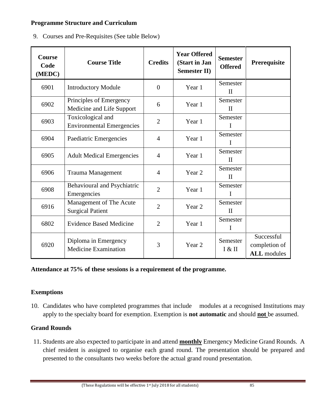## **Programme Structure and Curriculum**

9. Courses and Pre-Requisites (See table Below)

| <b>Course</b><br>Code<br>(MEDC) | <b>Course Title</b>                                   | <b>Credits</b> | <b>Year Offered</b><br>(Start in Jan<br><b>Semester II)</b> | <b>Semester</b><br><b>Offered</b> | Prerequisite                                      |
|---------------------------------|-------------------------------------------------------|----------------|-------------------------------------------------------------|-----------------------------------|---------------------------------------------------|
| 6901                            | <b>Introductory Module</b>                            | $\overline{0}$ | Year 1                                                      | Semester<br>$\mathbf{I}$          |                                                   |
| 6902                            | Principles of Emergency<br>Medicine and Life Support  | 6              | Year 1                                                      | Semester<br>$\mathbf{I}$          |                                                   |
| 6903                            | Toxicological and<br><b>Environmental Emergencies</b> | $\overline{2}$ | Year 1                                                      | Semester<br>I                     |                                                   |
| 6904                            | Paediatric Emergencies                                | $\overline{4}$ | Year 1                                                      | Semester<br>I                     |                                                   |
| 6905                            | <b>Adult Medical Emergencies</b>                      | $\overline{4}$ | Year 1                                                      | Semester<br>$\mathbf{I}$          |                                                   |
| 6906                            | Trauma Management                                     | $\overline{4}$ | Year <sub>2</sub>                                           | Semester<br>$\mathbf{I}$          |                                                   |
| 6908                            | Behavioural and Psychiatric<br>Emergencies            | $\overline{2}$ | Year 1                                                      | Semester<br>I                     |                                                   |
| 6916                            | Management of The Acute<br><b>Surgical Patient</b>    | $\overline{2}$ | Year 2                                                      | Semester<br>$\mathbf{H}$          |                                                   |
| 6802                            | <b>Evidence Based Medicine</b>                        | $\overline{2}$ | Year 1                                                      | Semester<br>I                     |                                                   |
| 6920                            | Diploma in Emergency<br><b>Medicine Examination</b>   | 3              | Year <sub>2</sub>                                           | Semester<br>I & II                | Successful<br>completion of<br><b>ALL</b> modules |

**Attendance at 75% of these sessions is a requirement of the programme.**

# **Exemptions**

10. Candidates who have completed programmes that include modules at a recognised Institutions may apply to the specialty board for exemption. Exemption is **not automatic** and should **not** be assumed.

# **Grand Rounds**

11. Students are also expected to participate in and attend **monthly** Emergency Medicine Grand Rounds. A chief resident is assigned to organise each grand round. The presentation should be prepared and presented to the consultants two weeks before the actual grand round presentation.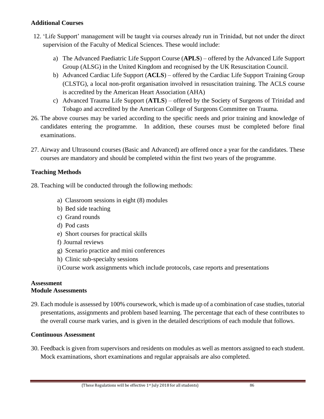### **Additional Courses**

- 12. 'Life Support' management will be taught via courses already run in Trinidad, but not under the direct supervision of the Faculty of Medical Sciences. These would include:
	- a) The Advanced Paediatric Life Support Course (**APLS**) offered by the Advanced Life Support Group (ALSG) in the United Kingdom and recognised by the UK Resuscitation Council.
	- b) Advanced Cardiac Life Support (**ACLS**) offered by the Cardiac Life Support Training Group (CLSTG), a local non-profit organisation involved in resuscitation training. The ACLS course is accredited by the American Heart Association (AHA)
	- c) Advanced Trauma Life Support (**ATLS**) offered by the Society of Surgeons of Trinidad and Tobago and accredited by the American College of Surgeons Committee on Trauma.
- 26. The above courses may be varied according to the specific needs and prior training and knowledge of candidates entering the programme. In addition, these courses must be completed before final examinations.
- 27. Airway and Ultrasound courses (Basic and Advanced) are offered once a year for the candidates. These courses are mandatory and should be completed within the first two years of the programme.

# **Teaching Methods**

- 28. Teaching will be conducted through the following methods:
	- a) Classroom sessions in eight (8) modules
	- b) Bed side teaching
	- c) Grand rounds
	- d) Pod casts
	- e) Short courses for practical skills
	- f) Journal reviews
	- g) Scenario practice and mini conferences
	- h) Clinic sub-specialty sessions
	- i)Course work assignments which include protocols, case reports and presentations

#### **Assessment Module Assessments**

29. Each module is assessed by 100% coursework, which is made up of a combination of case studies, tutorial presentations, assignments and problem based learning. The percentage that each of these contributes to the overall course mark varies, and is given in the detailed descriptions of each module that follows.

#### **Continuous Assessment**

30. Feedback is given from supervisors and residents on modules as well as mentors assigned to each student. Mock examinations, short examinations and regular appraisals are also completed.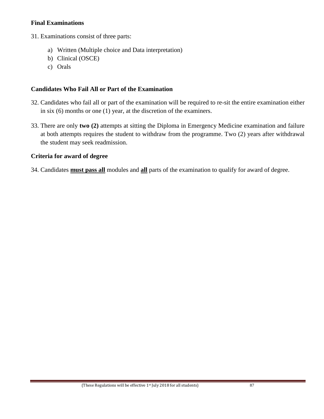#### **Final Examinations**

31. Examinations consist of three parts:

- a) Written (Multiple choice and Data interpretation)
- b) Clinical (OSCE)
- c) Orals

## **Candidates Who Fail All or Part of the Examination**

- 32. Candidates who fail all or part of the examination will be required to re-sit the entire examination either in six (6) months or one (1) year, at the discretion of the examiners.
- 33. There are only **two (2)** attempts at sitting the Diploma in Emergency Medicine examination and failure at both attempts requires the student to withdraw from the programme. Two (2) years after withdrawal the student may seek readmission.

## **Criteria for award of degree**

34. Candidates **must pass all** modules and **all** parts of the examination to qualify for award of degree.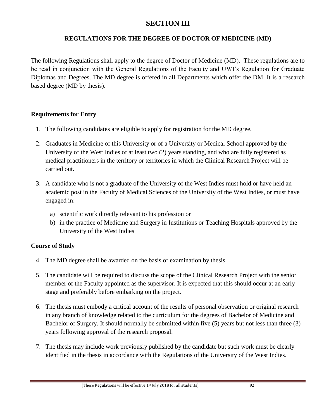# **SECTION III**

# **REGULATIONS FOR THE DEGREE OF DOCTOR OF MEDICINE (MD)**

The following Regulations shall apply to the degree of Doctor of Medicine (MD). These regulations are to be read in conjunction with the General Regulations of the Faculty and UWI's Regulation for Graduate Diplomas and Degrees. The MD degree is offered in all Departments which offer the DM. It is a research based degree (MD by thesis).

# **Requirements for Entry**

- 1. The following candidates are eligible to apply for registration for the MD degree.
- 2. Graduates in Medicine of this University or of a University or Medical School approved by the University of the West Indies of at least two (2) years standing, and who are fully registered as medical practitioners in the territory or territories in which the Clinical Research Project will be carried out.
- 3. A candidate who is not a graduate of the University of the West Indies must hold or have held an academic post in the Faculty of Medical Sciences of the University of the West Indies, or must have engaged in:
	- a) scientific work directly relevant to his profession or
	- b) in the practice of Medicine and Surgery in Institutions or Teaching Hospitals approved by the University of the West Indies

# **Course of Study**

- 4. The MD degree shall be awarded on the basis of examination by thesis.
- 5. The candidate will be required to discuss the scope of the Clinical Research Project with the senior member of the Faculty appointed as the supervisor. It is expected that this should occur at an early stage and preferably before embarking on the project.
- 6. The thesis must embody a critical account of the results of personal observation or original research in any branch of knowledge related to the curriculum for the degrees of Bachelor of Medicine and Bachelor of Surgery. It should normally be submitted within five (5) years but not less than three (3) years following approval of the research proposal.
- 7. The thesis may include work previously published by the candidate but such work must be clearly identified in the thesis in accordance with the Regulations of the University of the West Indies.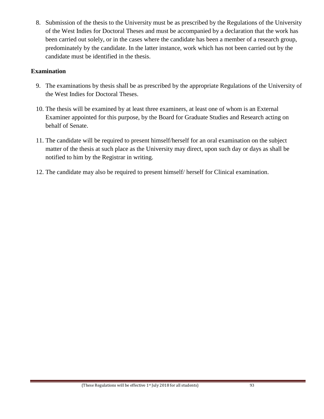8. Submission of the thesis to the University must be as prescribed by the Regulations of the University of the West Indies for Doctoral Theses and must be accompanied by a declaration that the work has been carried out solely, or in the cases where the candidate has been a member of a research group, predominately by the candidate. In the latter instance, work which has not been carried out by the candidate must be identified in the thesis.

## **Examination**

- 9. The examinations by thesis shall be as prescribed by the appropriate Regulations of the University of the West Indies for Doctoral Theses.
- 10. The thesis will be examined by at least three examiners, at least one of whom is an External Examiner appointed for this purpose, by the Board for Graduate Studies and Research acting on behalf of Senate.
- 11. The candidate will be required to present himself/herself for an oral examination on the subject matter of the thesis at such place as the University may direct, upon such day or days as shall be notified to him by the Registrar in writing.
- 12. The candidate may also be required to present himself/ herself for Clinical examination.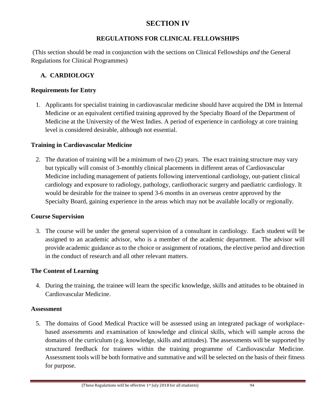# **SECTION IV**

# **REGULATIONS FOR CLINICAL FELLOWSHIPS**

(This section should be read in conjunction with the sections on Clinical Fellowships *and* the General Regulations for Clinical Programmes)

# **A. CARDIOLOGY**

# **Requirements for Entry**

1. Applicants for specialist training in cardiovascular medicine should have acquired the DM in Internal Medicine or an equivalent certified training approved by the Specialty Board of the Department of Medicine at the University of the West Indies. A period of experience in cardiology at core training level is considered desirable, although not essential.

# **Training in Cardiovascular Medicine**

2. The duration of training will be a minimum of two (2) years. The exact training structure may vary but typically will consist of 3-monthly clinical placements in different areas of Cardiovascular Medicine including management of patients following interventional cardiology, out-patient clinical cardiology and exposure to radiology, pathology, cardiothoracic surgery and paediatric cardiology. It would be desirable for the trainee to spend 3-6 months in an overseas centre approved by the Specialty Board, gaining experience in the areas which may not be available locally or regionally.

# **Course Supervision**

3. The course will be under the general supervision of a consultant in cardiology. Each student will be assigned to an academic advisor, who is a member of the academic department. The advisor will provide academic guidance as to the choice or assignment of rotations, the elective period and direction in the conduct of research and all other relevant matters.

# **The Content of Learning**

4. During the training, the trainee will learn the specific knowledge, skills and attitudes to be obtained in Cardiovascular Medicine.

# **Assessment**

5. The domains of Good Medical Practice will be assessed using an integrated package of workplacebased assessments and examination of knowledge and clinical skills, which will sample across the domains of the curriculum (e.g. knowledge, skills and attitudes). The assessments will be supported by structured feedback for trainees within the training programme of Cardiovascular Medicine. Assessment tools will be both formative and summative and will be selected on the basis of their fitness for purpose.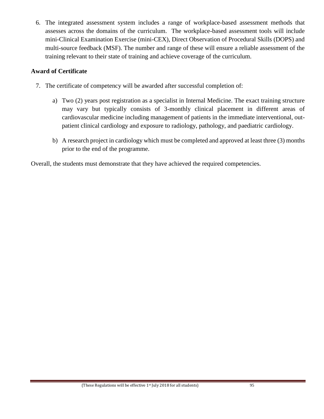6. The integrated assessment system includes a range of workplace-based assessment methods that assesses across the domains of the curriculum. The workplace-based assessment tools will include mini-Clinical Examination Exercise (mini-CEX), Direct Observation of Procedural Skills (DOPS) and multi-source feedback (MSF). The number and range of these will ensure a reliable assessment of the training relevant to their state of training and achieve coverage of the curriculum.

## **Award of Certificate**

- 7. The certificate of competency will be awarded after successful completion of:
	- a) Two (2) years post registration as a specialist in Internal Medicine. The exact training structure may vary but typically consists of 3-monthly clinical placement in different areas of cardiovascular medicine including management of patients in the immediate interventional, outpatient clinical cardiology and exposure to radiology, pathology, and paediatric cardiology.
	- b) A research project in cardiology which must be completed and approved at least three (3) months prior to the end of the programme.

Overall, the students must demonstrate that they have achieved the required competencies.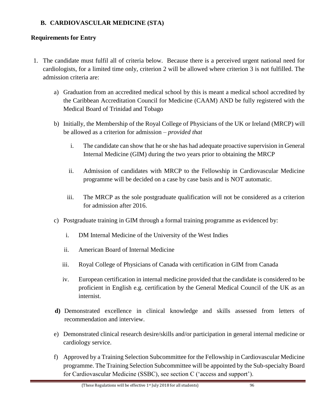# **B. CARDIOVASCULAR MEDICINE (STA)**

# **Requirements for Entry**

- 1. The candidate must fulfil all of criteria below. Because there is a perceived urgent national need for cardiologists, for a limited time only, criterion 2 will be allowed where criterion 3 is not fulfilled. The admission criteria are:
	- a) Graduation from an accredited medical school by this is meant a medical school accredited by the Caribbean Accreditation Council for Medicine (CAAM) AND be fully registered with the Medical Board of Trinidad and Tobago
	- b) Initially, the Membership of the Royal College of Physicians of the UK or Ireland (MRCP) will be allowed as a criterion for admission – *provided that*
		- i. The candidate can show that he or she has had adequate proactive supervision in General Internal Medicine (GIM) during the two years prior to obtaining the MRCP
		- ii. Admission of candidates with MRCP to the Fellowship in Cardiovascular Medicine programme will be decided on a case by case basis and is NOT automatic.
		- iii. The MRCP as the sole postgraduate qualification will not be considered as a criterion for admission after 2016.
	- c) Postgraduate training in GIM through a formal training programme as evidenced by:
		- i. DM Internal Medicine of the University of the West Indies
		- ii. American Board of Internal Medicine
		- iii. Royal College of Physicians of Canada with certification in GIM from Canada
		- iv. European certification in internal medicine provided that the candidate is considered to be proficient in English e.g. certification by the General Medical Council of the UK as an internist.
	- **d)** Demonstrated excellence in clinical knowledge and skills assessed from letters of recommendation and interview.
	- e) Demonstrated clinical research desire/skills and/or participation in general internal medicine or cardiology service.
	- f) Approved by a Training Selection Subcommittee for the Fellowship in Cardiovascular Medicine programme. The Training Selection Subcommittee will be appointed by the Sub-specialty Board for Cardiovascular Medicine (SSBC), see section C ('access and support').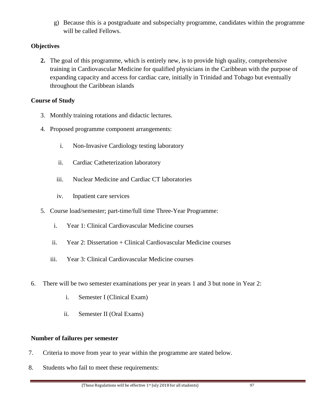g) Because this is a postgraduate and subspecialty programme, candidates within the programme will be called Fellows.

# **Objectives**

**2.** The goal of this programme, which is entirely new, is to provide high quality, comprehensive training in Cardiovascular Medicine for qualified physicians in the Caribbean with the purpose of expanding capacity and access for cardiac care, initially in Trinidad and Tobago but eventually throughout the Caribbean islands

# **Course of Study**

- 3. Monthly training rotations and didactic lectures.
- 4. Proposed programme component arrangements:
	- i. Non-Invasive Cardiology testing laboratory
	- ii. Cardiac Catheterization laboratory
	- iii. Nuclear Medicine and Cardiac CT laboratories
	- iv. Inpatient care services
- 5. Course load/semester; part-time/full time Three-Year Programme:
	- i. Year 1: Clinical Cardiovascular Medicine courses
	- ii. Year 2: Dissertation + Clinical Cardiovascular Medicine courses
	- iii. Year 3: Clinical Cardiovascular Medicine courses
- 6. There will be two semester examinations per year in years 1 and 3 but none in Year 2:
	- i. Semester I (Clinical Exam)
	- ii. Semester II (Oral Exams)

# **Number of failures per semester**

- 7. Criteria to move from year to year within the programme are stated below.
- 8. Students who fail to meet these requirements: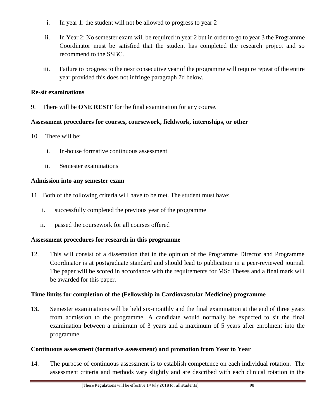- i. In year 1: the student will not be allowed to progress to year 2
- ii. In Year 2: No semester exam will be required in year 2 but in order to go to year 3 the Programme Coordinator must be satisfied that the student has completed the research project and so recommend to the SSBC.
- iii. Failure to progress to the next consecutive year of the programme will require repeat of the entire year provided this does not infringe paragraph 7d below.

## **Re-sit examinations**

9. There will be **ONE RESIT** for the final examination for any course.

# **Assessment procedures for courses, coursework, fieldwork, internships, or other**

- 10. There will be:
	- i. In-house formative continuous assessment
	- ii. Semester examinations

## **Admission into any semester exam**

- 11. Both of the following criteria will have to be met. The student must have:
	- i. successfully completed the previous year of the programme
	- ii. passed the coursework for all courses offered

# **Assessment procedures for research in this programme**

12. This will consist of a dissertation that in the opinion of the Programme Director and Programme Coordinator is at postgraduate standard and should lead to publication in a peer-reviewed journal. The paper will be scored in accordance with the requirements for MSc Theses and a final mark will be awarded for this paper.

# **Time limits for completion of the (Fellowship in Cardiovascular Medicine) programme**

**13.** Semester examinations will be held six-monthly and the final examination at the end of three years from admission to the programme. A candidate would normally be expected to sit the final examination between a minimum of 3 years and a maximum of 5 years after enrolment into the programme.

# **Continuous assessment (formative assessment) and promotion from Year to Year**

14. The purpose of continuous assessment is to establish competence on each individual rotation. The assessment criteria and methods vary slightly and are described with each clinical rotation in the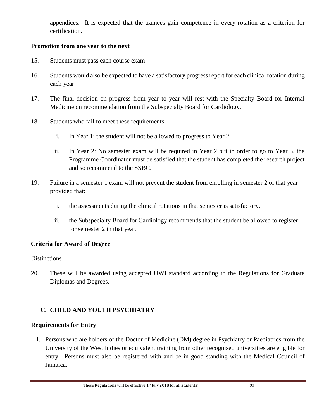appendices. It is expected that the trainees gain competence in every rotation as a criterion for certification.

#### **Promotion from one year to the next**

- 15. Students must pass each course exam
- 16. Students would also be expected to have a satisfactory progress report for each clinical rotation during each year
- 17. The final decision on progress from year to year will rest with the Specialty Board for Internal Medicine on recommendation from the Subspecialty Board for Cardiology.
- 18. Students who fail to meet these requirements:
	- i. In Year 1: the student will not be allowed to progress to Year 2
	- ii. In Year 2: No semester exam will be required in Year 2 but in order to go to Year 3, the Programme Coordinator must be satisfied that the student has completed the research project and so recommend to the SSBC.
- 19. Failure in a semester 1 exam will not prevent the student from enrolling in semester 2 of that year provided that:
	- i. the assessments during the clinical rotations in that semester is satisfactory.
	- ii. the Subspecialty Board for Cardiology recommends that the student be allowed to register for semester 2 in that year.

# **Criteria for Award of Degree**

# **Distinctions**

20. These will be awarded using accepted UWI standard according to the Regulations for Graduate Diplomas and Degrees.

# **C. CHILD AND YOUTH PSYCHIATRY**

# **Requirements for Entry**

1. Persons who are holders of the Doctor of Medicine (DM) degree in Psychiatry or Paediatrics from the University of the West Indies or equivalent training from other recognised universities are eligible for entry. Persons must also be registered with and be in good standing with the Medical Council of Jamaica.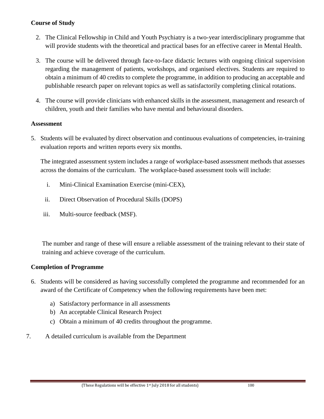# **Course of Study**

- 2. The Clinical Fellowship in Child and Youth Psychiatry is a two-year interdisciplinary programme that will provide students with the theoretical and practical bases for an effective career in Mental Health.
- 3. The course will be delivered through face-to-face didactic lectures with ongoing clinical supervision regarding the management of patients, workshops, and organised electives. Students are required to obtain a minimum of 40 credits to complete the programme, in addition to producing an acceptable and publishable research paper on relevant topics as well as satisfactorily completing clinical rotations.
- 4. The course will provide clinicians with enhanced skills in the assessment, management and research of children, youth and their families who have mental and behavioural disorders.

#### **Assessment**

5. Students will be evaluated by direct observation and continuous evaluations of competencies, in-training evaluation reports and written reports every six months.

The integrated assessment system includes a range of workplace-based assessment methods that assesses across the domains of the curriculum. The workplace-based assessment tools will include:

- i. Mini-Clinical Examination Exercise (mini-CEX),
- ii. Direct Observation of Procedural Skills (DOPS)
- iii. Multi-source feedback (MSF).

The number and range of these will ensure a reliable assessment of the training relevant to their state of training and achieve coverage of the curriculum.

#### **Completion of Programme**

- 6. Students will be considered as having successfully completed the programme and recommended for an award of the Certificate of Competency when the following requirements have been met:
	- a) Satisfactory performance in all assessments
	- b) An acceptable Clinical Research Project
	- c) Obtain a minimum of 40 credits throughout the programme.
- 7. A detailed curriculum is available from the Department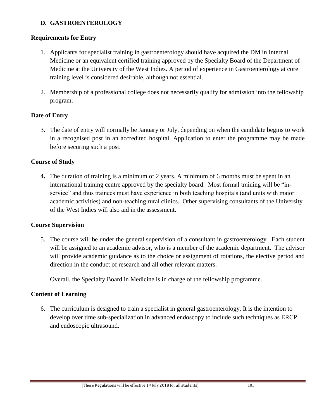# **D. GASTROENTEROLOGY**

# **Requirements for Entry**

- 1. Applicants for specialist training in gastroenterology should have acquired the DM in Internal Medicine or an equivalent certified training approved by the Specialty Board of the Department of Medicine at the University of the West Indies. A period of experience in Gastroenterology at core training level is considered desirable, although not essential.
- 2. Membership of a professional college does not necessarily qualify for admission into the fellowship program.

# **Date of Entry**

3. The date of entry will normally be January or July, depending on when the candidate begins to work in a recognised post in an accredited hospital. Application to enter the programme may be made before securing such a post.

# **Course of Study**

**4.** The duration of training is a minimum of 2 years. A minimum of 6 months must be spent in an international training centre approved by the specialty board. Most formal training will be "inservice" and thus trainees must have experience in both teaching hospitals (and units with major academic activities) and non-teaching rural clinics. Other supervising consultants of the University of the West Indies will also aid in the assessment.

#### **Course Supervision**

5. The course will be under the general supervision of a consultant in gastroenterology. Each student will be assigned to an academic advisor, who is a member of the academic department. The advisor will provide academic guidance as to the choice or assignment of rotations, the elective period and direction in the conduct of research and all other relevant matters.

Overall, the Specialty Board in Medicine is in charge of the fellowship programme.

# **Content of Learning**

6. The curriculum is designed to train a specialist in general gastroenterology. It is the intention to develop over time sub-specialization in advanced endoscopy to include such techniques as ERCP and endoscopic ultrasound.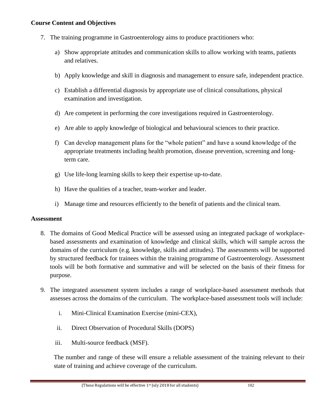#### **Course Content and Objectives**

- 7. The training programme in Gastroenterology aims to produce practitioners who:
	- a) Show appropriate attitudes and communication skills to allow working with teams, patients and relatives.
	- b) Apply knowledge and skill in diagnosis and management to ensure safe, independent practice.
	- c) Establish a differential diagnosis by appropriate use of clinical consultations, physical examination and investigation.
	- d) Are competent in performing the core investigations required in Gastroenterology.
	- e) Are able to apply knowledge of biological and behavioural sciences to their practice.
	- f) Can develop management plans for the "whole patient" and have a sound knowledge of the appropriate treatments including health promotion, disease prevention, screening and longterm care.
	- g) Use life-long learning skills to keep their expertise up-to-date.
	- h) Have the qualities of a teacher, team-worker and leader.
	- i) Manage time and resources efficiently to the benefit of patients and the clinical team.

#### **Assessment**

- 8. The domains of Good Medical Practice will be assessed using an integrated package of workplacebased assessments and examination of knowledge and clinical skills, which will sample across the domains of the curriculum (e.g. knowledge, skills and attitudes). The assessments will be supported by structured feedback for trainees within the training programme of Gastroenterology. Assessment tools will be both formative and summative and will be selected on the basis of their fitness for purpose.
- 9. The integrated assessment system includes a range of workplace-based assessment methods that assesses across the domains of the curriculum. The workplace-based assessment tools will include:
	- i. Mini-Clinical Examination Exercise (mini-CEX),
	- ii. Direct Observation of Procedural Skills (DOPS)
	- iii. Multi-source feedback (MSF).

The number and range of these will ensure a reliable assessment of the training relevant to their state of training and achieve coverage of the curriculum.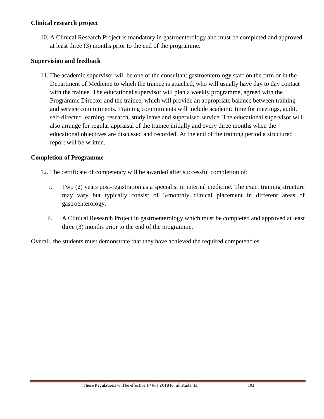#### **Clinical research project**

10. A Clinical Research Project is mandatory in gastroenterology and must be completed and approved at least three (3) months prior to the end of the programme.

## **Supervision and feedback**

11. The academic supervisor will be one of the consultant gastroenterology staff on the firm or in the Department of Medicine to which the trainee is attached, who will usually have day to day contact with the trainee. The educational supervisor will plan a weekly programme, agreed with the Programme Director and the trainee, which will provide an appropriate balance between training and service commitments. Training commitments will include academic time for meetings, audit, self-directed learning, research, study leave and supervised service. The educational supervisor will also arrange for regular appraisal of the trainee initially and every three months when the educational objectives are discussed and recorded. At the end of the training period a structured report will be written.

## **Completion of Programme**

12. The certificate of competency will be awarded after successful completion of:

- i. Two (2) years post-registration as a specialist in internal medicine. The exact training structure may vary but typically consist of 3-monthly clinical placement in different areas of gastroenterology.
- ii. A Clinical Research Project in gastroenterology which must be completed and approved at least three (3) months prior to the end of the programme.

Overall, the students must demonstrate that they have achieved the required competencies.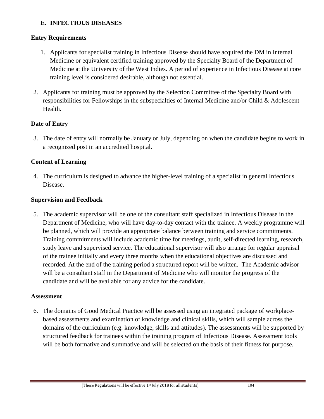### **E. INFECTIOUS DISEASES**

## **Entry Requirements**

- 1. Applicants for specialist training in Infectious Disease should have acquired the DM in Internal Medicine or equivalent certified training approved by the Specialty Board of the Department of Medicine at the University of the West Indies. A period of experience in Infectious Disease at core training level is considered desirable, although not essential.
- 2. Applicants for training must be approved by the Selection Committee of the Specialty Board with responsibilities for Fellowships in the subspecialties of Internal Medicine and/or Child & Adolescent Health.

## **Date of Entry**

3. The date of entry will normally be January or July, depending on when the candidate begins to work in a recognized post in an accredited hospital.

## **Content of Learning**

4. The curriculum is designed to advance the higher-level training of a specialist in general Infectious Disease.

### **Supervision and Feedback**

5. The academic supervisor will be one of the consultant staff specialized in Infectious Disease in the Department of Medicine, who will have day-to-day contact with the trainee. A weekly programme will be planned, which will provide an appropriate balance between training and service commitments. Training commitments will include academic time for meetings, audit, self-directed learning, research, study leave and supervised service. The educational supervisor will also arrange for regular appraisal of the trainee initially and every three months when the educational objectives are discussed and recorded. At the end of the training period a structured report will be written. The Academic advisor will be a consultant staff in the Department of Medicine who will monitor the progress of the candidate and will be available for any advice for the candidate.

### **Assessment**

6. The domains of Good Medical Practice will be assessed using an integrated package of workplacebased assessments and examination of knowledge and clinical skills, which will sample across the domains of the curriculum (e.g. knowledge, skills and attitudes). The assessments will be supported by structured feedback for trainees within the training program of Infectious Disease. Assessment tools will be both formative and summative and will be selected on the basis of their fitness for purpose.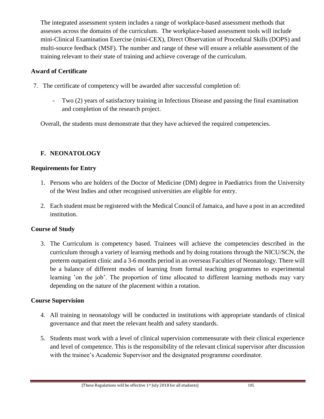The integrated assessment system includes a range of workplace-based assessment methods that assesses across the domains of the curriculum. The workplace-based assessment tools will include mini-Clinical Examination Exercise (mini-CEX), Direct Observation of Procedural Skills (DOPS) and multi-source feedback (MSF). The number and range of these will ensure a reliable assessment of the training relevant to their state of training and achieve coverage of the curriculum.

### **Award of Certificate**

- 7. The certificate of competency will be awarded after successful completion of:
	- Two (2) years of satisfactory training in Infectious Disease and passing the final examination and completion of the research project.

Overall, the students must demonstrate that they have achieved the required competencies.

## **F. NEONATOLOGY**

### **Requirements for Entry**

- 1. Persons who are holders of the Doctor of Medicine (DM) degree in Paediatrics from the University of the West Indies and other recognised universities are eligible for entry.
- 2. Each student must be registered with the Medical Council of Jamaica, and have a post in an accredited institution.

### **Course of Study**

3. The Curriculum is competency based. Trainees will achieve the competencies described in the curriculum through a variety of learning methods and by doing rotations through the NICU/SCN, the preterm outpatient clinic and a 3-6 months period in an overseas Faculties of Neonatology. There will be a balance of different modes of learning from formal teaching programmes to experimental learning 'on the job'. The proportion of time allocated to different learning methods may vary depending on the nature of the placement within a rotation.

### **Course Supervision**

- 4. All training in neonatology will be conducted in institutions with appropriate standards of clinical governance and that meet the relevant health and safety standards.
- 5. Students must work with a level of clinical supervision commensurate with their clinical experience and level of competence. This is the responsibility of the relevant clinical supervisor after discussion with the trainee's Academic Supervisor and the designated programme coordinator.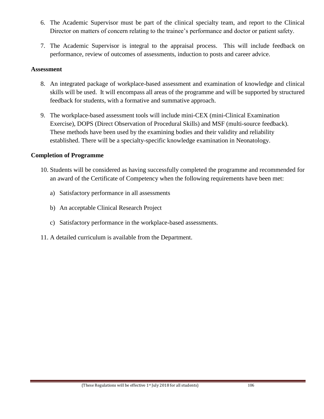- 6. The Academic Supervisor must be part of the clinical specialty team, and report to the Clinical Director on matters of concern relating to the trainee's performance and doctor or patient safety.
- 7. The Academic Supervisor is integral to the appraisal process. This will include feedback on performance, review of outcomes of assessments, induction to posts and career advice.

#### **Assessment**

- 8. An integrated package of workplace-based assessment and examination of knowledge and clinical skills will be used. It will encompass all areas of the programme and will be supported by structured feedback for students, with a formative and summative approach.
- 9. The workplace-based assessment tools will include mini-CEX (mini-Clinical Examination Exercise), DOPS (Direct Observation of Procedural Skills) and MSF (multi-source feedback). These methods have been used by the examining bodies and their validity and reliability established. There will be a specialty-specific knowledge examination in Neonatology.

### **Completion of Programme**

- 10. Students will be considered as having successfully completed the programme and recommended for an award of the Certificate of Competency when the following requirements have been met:
	- a) Satisfactory performance in all assessments
	- b) An acceptable Clinical Research Project
	- c) Satisfactory performance in the workplace-based assessments.
- 11. A detailed curriculum is available from the Department.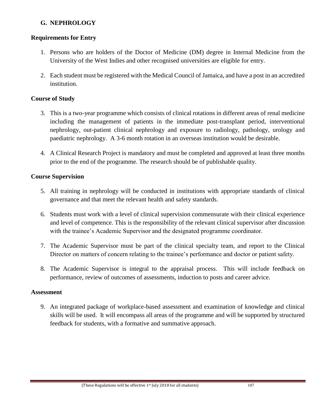## **G. NEPHROLOGY**

### **Requirements for Entry**

- 1. Persons who are holders of the Doctor of Medicine (DM) degree in Internal Medicine from the University of the West Indies and other recognised universities are eligible for entry.
- 2. Each student must be registered with the Medical Council of Jamaica, and have a post in an accredited institution.

### **Course of Study**

- 3. This is a two-year programme which consists of clinical rotations in different areas of renal medicine including the management of patients in the immediate post-transplant period, interventional nephrology, out-patient clinical nephrology and exposure to radiology, pathology, urology and paediatric nephrology. A 3-6 month rotation in an overseas institution would be desirable.
- 4. A Clinical Research Project is mandatory and must be completed and approved at least three months prior to the end of the programme. The research should be of publishable quality.

### **Course Supervision**

- 5. All training in nephrology will be conducted in institutions with appropriate standards of clinical governance and that meet the relevant health and safety standards.
- 6. Students must work with a level of clinical supervision commensurate with their clinical experience and level of competence. This is the responsibility of the relevant clinical supervisor after discussion with the trainee's Academic Supervisor and the designated programme coordinator.
- 7. The Academic Supervisor must be part of the clinical specialty team, and report to the Clinical Director on matters of concern relating to the trainee's performance and doctor or patient safety.
- 8. The Academic Supervisor is integral to the appraisal process. This will include feedback on performance, review of outcomes of assessments, induction to posts and career advice.

### **Assessment**

9. An integrated package of workplace-based assessment and examination of knowledge and clinical skills will be used. It will encompass all areas of the programme and will be supported by structured feedback for students, with a formative and summative approach.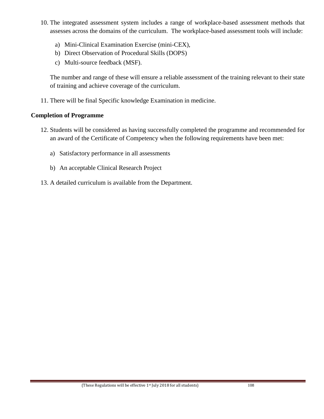- 10. The integrated assessment system includes a range of workplace-based assessment methods that assesses across the domains of the curriculum. The workplace-based assessment tools will include:
	- a) Mini-Clinical Examination Exercise (mini-CEX),
	- b) Direct Observation of Procedural Skills (DOPS)
	- c) Multi-source feedback (MSF).

The number and range of these will ensure a reliable assessment of the training relevant to their state of training and achieve coverage of the curriculum.

11. There will be final Specific knowledge Examination in medicine.

### **Completion of Programme**

- 12. Students will be considered as having successfully completed the programme and recommended for an award of the Certificate of Competency when the following requirements have been met:
	- a) Satisfactory performance in all assessments
	- b) An acceptable Clinical Research Project
- 13. A detailed curriculum is available from the Department.